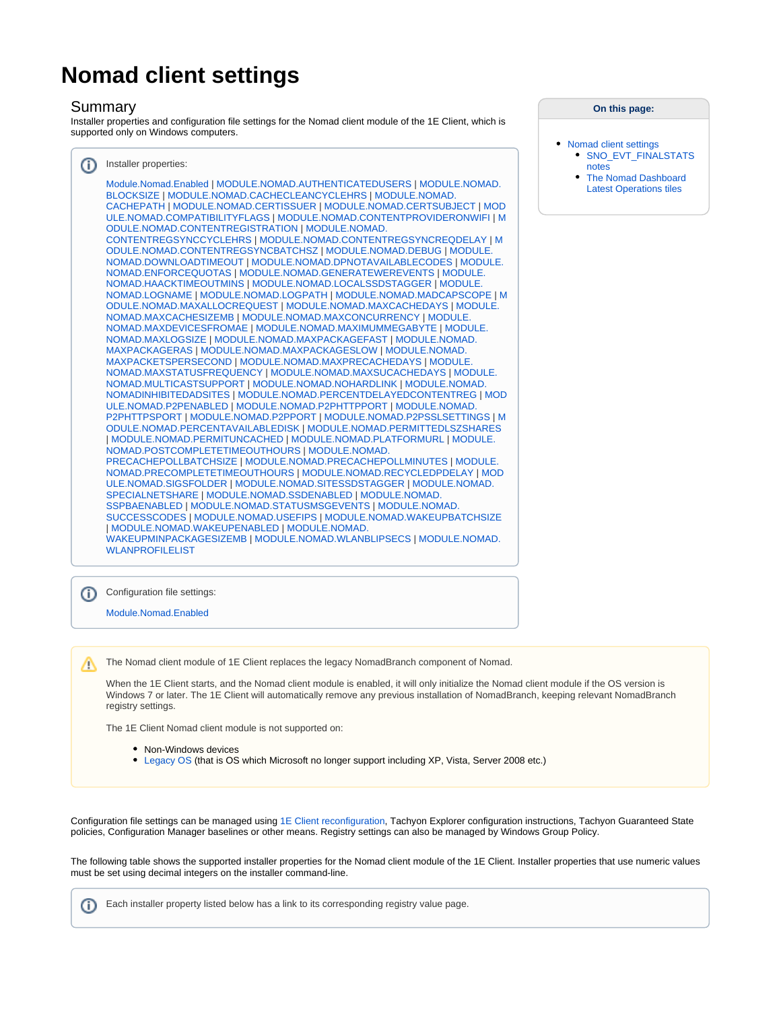## **Nomad client settings**

## Summary

Installer properties and configuration file settings for the Nomad client module of the 1E Client, which is supported only on Windows computers.

| ⋒ | Installer properties:                                                                                                                                                                                                                                                                                                                                                                                                                                                                                                                                                                                                                                                                                                                                                                                                                                                                                                                                                                                                                                                                                                                                                                                                                                                                                                                                                                                                                                                                                                                                                                                                                                                                                                                                                                                                                                                                                                                                                                                                                                                                                                                                    |
|---|----------------------------------------------------------------------------------------------------------------------------------------------------------------------------------------------------------------------------------------------------------------------------------------------------------------------------------------------------------------------------------------------------------------------------------------------------------------------------------------------------------------------------------------------------------------------------------------------------------------------------------------------------------------------------------------------------------------------------------------------------------------------------------------------------------------------------------------------------------------------------------------------------------------------------------------------------------------------------------------------------------------------------------------------------------------------------------------------------------------------------------------------------------------------------------------------------------------------------------------------------------------------------------------------------------------------------------------------------------------------------------------------------------------------------------------------------------------------------------------------------------------------------------------------------------------------------------------------------------------------------------------------------------------------------------------------------------------------------------------------------------------------------------------------------------------------------------------------------------------------------------------------------------------------------------------------------------------------------------------------------------------------------------------------------------------------------------------------------------------------------------------------------------|
|   | Module.Nomad.Enabled   MODULE.NOMAD.AUTHENTICATEDUSERS   MODULE.NOMAD.<br>BLOCKSIZE   MODULE.NOMAD.CACHECLEANCYCLEHRS   MODULE.NOMAD.<br>CACHEPATH   MODULE.NOMAD.CERTISSUER   MODULE.NOMAD.CERTSUBJECT   MOD<br>ULE.NOMAD.COMPATIBILITYFLAGS   MODULE.NOMAD.CONTENTPROVIDERONWIFI   M<br>ODULE.NOMAD.CONTENTREGISTRATION   MODULE.NOMAD.<br>CONTENTREGSYNCCYCLEHRS   MODULE.NOMAD.CONTENTREGSYNCREQDELAY   M<br>ODULE.NOMAD.CONTENTREGSYNCBATCHSZ   MODULE.NOMAD.DEBUG   MODULE.<br>NOMAD.DOWNLOADTIMEOUT   MODULE.NOMAD.DPNOTAVAILABLECODES   MODULE.<br>NOMAD.ENFORCEQUOTAS   MODULE.NOMAD.GENERATEWEREVENTS   MODULE.<br>NOMAD.HAACKTIMEOUTMINS   MODULE.NOMAD.LOCALSSDSTAGGER   MODULE.<br>NOMAD.LOGNAME   MODULE.NOMAD.LOGPATH   MODULE.NOMAD.MADCAPSCOPE   M<br>ODULE.NOMAD.MAXALLOCREQUEST   MODULE.NOMAD.MAXCACHEDAYS   MODULE.<br>NOMAD.MAXCACHESIZEMB   MODULE.NOMAD.MAXCONCURRENCY   MODULE.<br>NOMAD.MAXDEVICESFROMAE   MODULE.NOMAD.MAXIMUMMEGABYTE   MODULE.<br>NOMAD.MAXLOGSIZE   MODULE.NOMAD.MAXPACKAGEFAST   MODULE.NOMAD.<br>MAXPACKAGERAS   MODULE.NOMAD.MAXPACKAGESLOW   MODULE.NOMAD.<br>MAXPACKETSPERSECOND   MODULE.NOMAD.MAXPRECACHEDAYS   MODULE.<br>NOMAD.MAXSTATUSFREQUENCY   MODULE.NOMAD.MAXSUCACHEDAYS   MODULE.<br>NOMAD.MULTICASTSUPPORT   MODULE.NOMAD.NOHARDLINK   MODULE.NOMAD.<br>NOMADINHIBITEDADSITES   MODULE.NOMAD.PERCENTDELAYEDCONTENTREG   MOD<br>ULE.NOMAD.P2PENABLED   MODULE.NOMAD.P2PHTTPPORT   MODULE.NOMAD.<br>P2PHTTPSPORT   MODULE.NOMAD.P2PPORT   MODULE.NOMAD.P2PSSLSETTINGS   M<br>ODULE.NOMAD.PERCENTAVAILABLEDISK   MODULE.NOMAD.PERMITTEDLSZSHARES<br>  MODULE.NOMAD.PERMITUNCACHED   MODULE.NOMAD.PLATFORMURL   MODULE.<br>NOMAD.POSTCOMPLETETIMEOUTHOURS   MODULE.NOMAD.<br>PRECACHEPOLLBATCHSIZE   MODULE.NOMAD.PRECACHEPOLLMINUTES   MODULE.<br>NOMAD.PRECOMPLETETIMEOUTHOURS   MODULE.NOMAD.RECYCLEDPDELAY   MOD<br>ULE.NOMAD.SIGSFOLDER   MODULE.NOMAD.SITESSDSTAGGER   MODULE.NOMAD.<br>SPECIALNETSHARE   MODULE.NOMAD.SSDENABLED   MODULE.NOMAD.<br>SSPBAENABLED   MODULE.NOMAD.STATUSMSGEVENTS   MODULE.NOMAD.<br>SUCCESSCODES   MODULE.NOMAD.USEFIPS   MODULE.NOMAD.WAKEUPBATCHSIZE |
|   | MODULE.NOMAD.WAKEUPENABLED   MODULE.NOMAD.<br>WAKEUPMINPACKAGESIZEMB   MODULE.NOMAD.WLANBLIPSECS   MODULE.NOMAD.<br><b>WLANPROFILELIST</b>                                                                                                                                                                                                                                                                                                                                                                                                                                                                                                                                                                                                                                                                                                                                                                                                                                                                                                                                                                                                                                                                                                                                                                                                                                                                                                                                                                                                                                                                                                                                                                                                                                                                                                                                                                                                                                                                                                                                                                                                               |
|   |                                                                                                                                                                                                                                                                                                                                                                                                                                                                                                                                                                                                                                                                                                                                                                                                                                                                                                                                                                                                                                                                                                                                                                                                                                                                                                                                                                                                                                                                                                                                                                                                                                                                                                                                                                                                                                                                                                                                                                                                                                                                                                                                                          |
|   |                                                                                                                                                                                                                                                                                                                                                                                                                                                                                                                                                                                                                                                                                                                                                                                                                                                                                                                                                                                                                                                                                                                                                                                                                                                                                                                                                                                                                                                                                                                                                                                                                                                                                                                                                                                                                                                                                                                                                                                                                                                                                                                                                          |

**On this page:**

- [Nomad client settings](#page-0-0) • SNO\_EVT\_FINALSTATS [notes](#page-19-0)
	- [The Nomad Dashboard](#page-19-1)  [Latest Operations tiles](#page-19-1)

ത Configuration file settings:

[Module.Nomad.Enabled](https://help.1e.com/display/1EC50/Nomad+client+settings#Nomadclientsettings-MODULE.X.ENABLEDModule.Nomad.Enabled)

The Nomad client module of 1E Client replaces the legacy NomadBranch component of Nomad. Δ

When the 1E Client starts, and the Nomad client module is enabled, it will only initialize the Nomad client module if the OS version is Windows 7 or later. The 1E Client will automatically remove any previous installation of NomadBranch, keeping relevant NomadBranch registry settings.

The 1E Client Nomad client module is not supported on:

- Non-Windows devices
- [Legacy OS](https://help.1e.com/display/1EC50/Supported+Platforms) (that is OS which Microsoft no longer support including XP, Vista, Server 2008 etc.)

Configuration file settings can be managed using [1E Client reconfiguration,](https://help.1e.com/display/1EC50/1E+Client+command-line+parameters) Tachyon Explorer configuration instructions, Tachyon Guaranteed State policies, Configuration Manager baselines or other means. Registry settings can also be managed by Windows Group Policy.

The following table shows the supported installer properties for the Nomad client module of the 1E Client. Installer properties that use numeric values must be set using decimal integers on the installer command-line.

<span id="page-0-0"></span>Each installer property listed below has a link to its corresponding registry value page.O)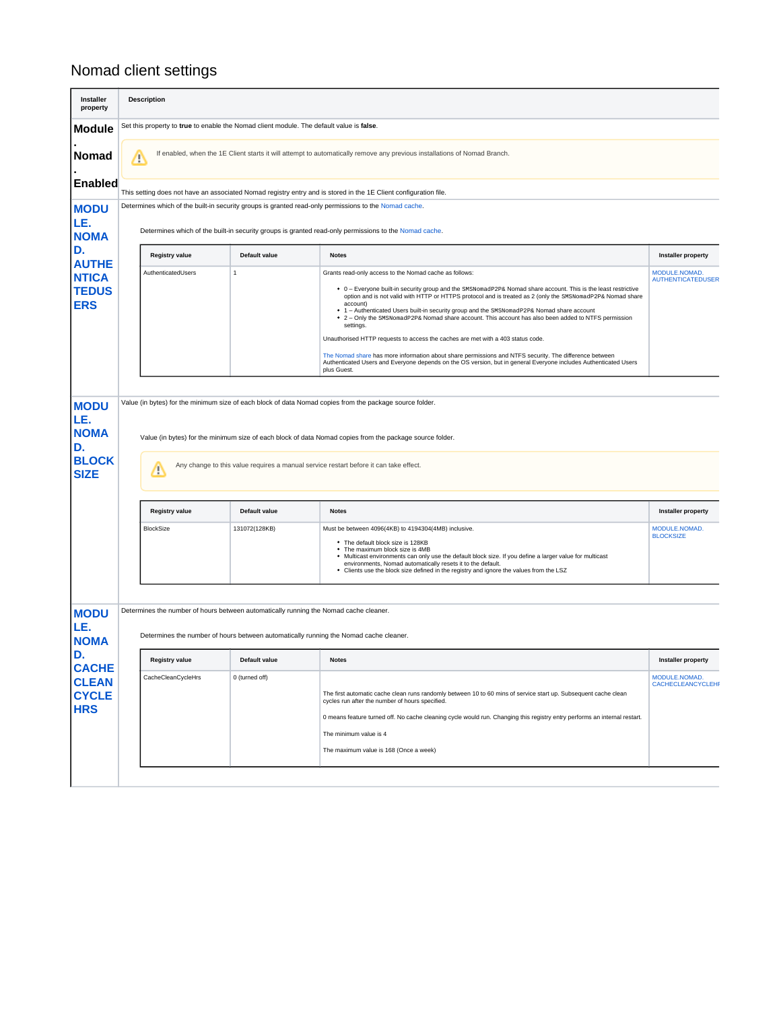## Nomad client settings

| <b>Installer</b><br>property                            |                                                                                          | <b>Description</b>    |                                                                                                                                                                                |                                                                                                                                                                                                                                                                                                                                                                                                                                                                                                                       |                                           |  |  |  |  |  |
|---------------------------------------------------------|------------------------------------------------------------------------------------------|-----------------------|--------------------------------------------------------------------------------------------------------------------------------------------------------------------------------|-----------------------------------------------------------------------------------------------------------------------------------------------------------------------------------------------------------------------------------------------------------------------------------------------------------------------------------------------------------------------------------------------------------------------------------------------------------------------------------------------------------------------|-------------------------------------------|--|--|--|--|--|
| <b>Module</b>                                           | Set this property to true to enable the Nomad client module. The default value is false. |                       |                                                                                                                                                                                |                                                                                                                                                                                                                                                                                                                                                                                                                                                                                                                       |                                           |  |  |  |  |  |
| Nomad                                                   | Δ                                                                                        |                       |                                                                                                                                                                                | If enabled, when the 1E Client starts it will attempt to automatically remove any previous installations of Nomad Branch.                                                                                                                                                                                                                                                                                                                                                                                             |                                           |  |  |  |  |  |
| <b>Enabled</b>                                          |                                                                                          |                       |                                                                                                                                                                                | This setting does not have an associated Nomad registry entry and is stored in the 1E Client configuration file.                                                                                                                                                                                                                                                                                                                                                                                                      |                                           |  |  |  |  |  |
| <b>MODU</b><br>LE.<br><b>NOMA</b>                       |                                                                                          |                       |                                                                                                                                                                                | Determines which of the built-in security groups is granted read-only permissions to the Nomad cache.<br>Determines which of the built-in security groups is granted read-only permissions to the Nomad cache.                                                                                                                                                                                                                                                                                                        |                                           |  |  |  |  |  |
| D.<br><b>AUTHE</b>                                      |                                                                                          | Registry value        | Default value                                                                                                                                                                  | <b>Notes</b>                                                                                                                                                                                                                                                                                                                                                                                                                                                                                                          | <b>Installer property</b>                 |  |  |  |  |  |
| <b>NTICA</b><br><b>TEDUS</b><br><b>ERS</b>              |                                                                                          | AuthenticatedUsers    | $\mathbf{1}$                                                                                                                                                                   | Grants read-only access to the Nomad cache as follows:<br>• 0 - Everyone built-in security group and the SMSNomadP2P& Nomad share account. This is the least restrictive<br>option and is not valid with HTTP or HTTPS protocol and is treated as 2 (only the SMSNomadP2P& Nomad share<br>account)<br>• 1 - Authenticated Users built-in security group and the SMSNomadP2P& Nomad share account<br>• 2 - Only the SMSNomadP2P& Nomad share account. This account has also been added to NTFS permission<br>settings. | MODULE.NOMAD.<br><b>AUTHENTICATEDUSER</b> |  |  |  |  |  |
|                                                         |                                                                                          |                       |                                                                                                                                                                                | Unauthorised HTTP requests to access the caches are met with a 403 status code.<br>The Nomad share has more information about share permissions and NTFS security. The difference between<br>Authenticated Users and Everyone depends on the OS version, but in general Everyone includes Authenticated Users<br>plus Guest.                                                                                                                                                                                          |                                           |  |  |  |  |  |
| LE.<br><b>NOMA</b><br>D.<br><b>BLOCK</b><br><b>SIZE</b> |                                                                                          | m                     |                                                                                                                                                                                | Value (in bytes) for the minimum size of each block of data Nomad copies from the package source folder.<br>Any change to this value requires a manual service restart before it can take effect.                                                                                                                                                                                                                                                                                                                     |                                           |  |  |  |  |  |
|                                                         |                                                                                          | <b>Registry value</b> | Default value                                                                                                                                                                  | <b>Notes</b>                                                                                                                                                                                                                                                                                                                                                                                                                                                                                                          | <b>Installer property</b>                 |  |  |  |  |  |
|                                                         |                                                                                          | <b>BlockSize</b>      | 131072(128KB)                                                                                                                                                                  | Must be between 4096(4KB) to 4194304(4MB) inclusive.<br>• The default block size is 128KB<br>• The maximum block size is 4MB<br>. Multicast environments can only use the default block size. If you define a larger value for multicast<br>environments, Nomad automatically resets it to the default.<br>• Clients use the block size defined in the registry and ignore the values from the LSZ                                                                                                                    | MODULE.NOMAD.<br><b>BLOCKSIZE</b>         |  |  |  |  |  |
| <b>MODU</b><br>LE.<br><b>NOMA</b>                       |                                                                                          |                       | Determines the number of hours between automatically running the Nomad cache cleaner.<br>Determines the number of hours between automatically running the Nomad cache cleaner. |                                                                                                                                                                                                                                                                                                                                                                                                                                                                                                                       |                                           |  |  |  |  |  |
| D.<br><b>CACHE</b>                                      |                                                                                          | Registry value        | Default value                                                                                                                                                                  | <b>Notes</b>                                                                                                                                                                                                                                                                                                                                                                                                                                                                                                          | <b>Installer property</b>                 |  |  |  |  |  |
| <b>CLEAN</b><br><b>CYCLE</b><br><b>HRS</b>              |                                                                                          | CacheCleanCycleHrs    | 0 (turned off)                                                                                                                                                                 | The first automatic cache clean runs randomly between 10 to 60 mins of service start up. Subsequent cache clean<br>cycles run after the number of hours specified.<br>0 means feature turned off. No cache cleaning cycle would run. Changing this registry entry performs an internal restart.<br>The minimum value is 4<br>The maximum value is 168 (Once a week)                                                                                                                                                   | MODULE.NOMAD.<br>CACHECLEANCYCLEHI        |  |  |  |  |  |
|                                                         |                                                                                          |                       |                                                                                                                                                                                |                                                                                                                                                                                                                                                                                                                                                                                                                                                                                                                       |                                           |  |  |  |  |  |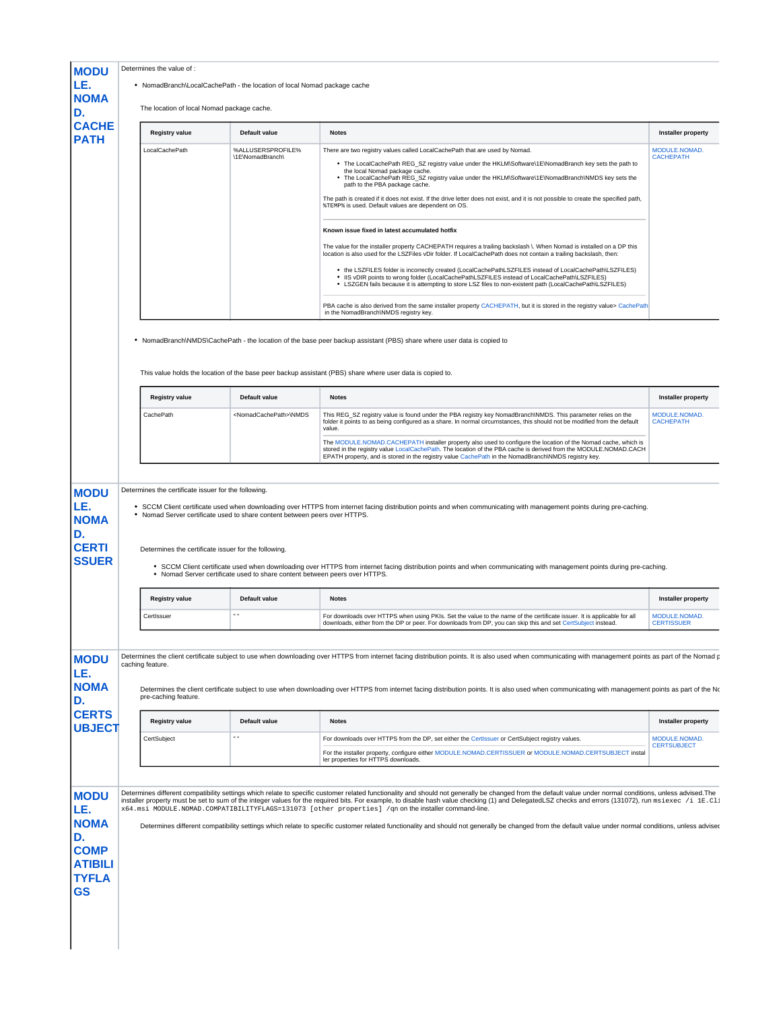|               |                                                                                                              | • NomadBranch\LocalCachePath - the location of local Nomad package cache   |                                                                                                                                                                                                                                                                                                                                                                                                                                                                                                                                                                                                                        |                                                          |  |
|---------------|--------------------------------------------------------------------------------------------------------------|----------------------------------------------------------------------------|------------------------------------------------------------------------------------------------------------------------------------------------------------------------------------------------------------------------------------------------------------------------------------------------------------------------------------------------------------------------------------------------------------------------------------------------------------------------------------------------------------------------------------------------------------------------------------------------------------------------|----------------------------------------------------------|--|
|               | The location of local Nomad package cache.                                                                   |                                                                            |                                                                                                                                                                                                                                                                                                                                                                                                                                                                                                                                                                                                                        |                                                          |  |
| <b>CACHE</b>  | <b>Registry value</b>                                                                                        | Default value                                                              | <b>Notes</b>                                                                                                                                                                                                                                                                                                                                                                                                                                                                                                                                                                                                           | <b>Installer property</b>                                |  |
|               | LocalCachePath                                                                                               | %ALLUSERSPROFILE%<br>\1E\NomadBranch\                                      | There are two registry values called LocalCachePath that are used by Nomad.<br>. The LocalCachePath REG_SZ registry value under the HKLM\Software\1E\NomadBranch key sets the path to<br>the local Nomad package cache.<br>The LocalCachePath REG_SZ registry value under the HKLM\Software\1E\NomadBranch\NMDS key sets the<br>path to the PBA package cache.<br>The path is created if it does not exist. If the drive letter does not exist, and it is not possible to create the specified path,<br><b><i>&amp;TEMP&amp;</i></b> is used. Default values are dependent on OS.                                      | MODULE.NOMAD.<br><b>CACHEPATH</b>                        |  |
|               |                                                                                                              |                                                                            | Known issue fixed in latest accumulated hotfix<br>The value for the installer property CACHEPATH requires a trailing backslash \. When Nomad is installed on a DP this<br>location is also used for the LSZFiles vDir folder. If LocalCachePath does not contain a trailing backslash, then:<br>. the LSZFILES folder is incorrectly created (LocalCachePathLSZFILES instead of LocalCachePath\LSZFILES)<br>. IIS vDIR points to wrong folder (LocalCachePathLSZFILES instead of LocalCachePath\LSZFILES)<br>. LSZGEN fails because it is attempting to store LSZ files to non-existent path (LocalCachePath\LSZFILES) |                                                          |  |
|               |                                                                                                              |                                                                            | PBA cache is also derived from the same installer property CACHEPATH, but it is stored in the registry value> CachePath<br>in the NomadBranch\NMDS registry key.                                                                                                                                                                                                                                                                                                                                                                                                                                                       |                                                          |  |
|               | <b>Registry value</b>                                                                                        | Default value                                                              | • NomadBranch\NMDS\CachePath - the location of the base peer backup assistant (PBS) share where user data is copied to<br>This value holds the location of the base peer backup assistant (PBS) share where user data is copied to.<br><b>Notes</b>                                                                                                                                                                                                                                                                                                                                                                    | <b>Installer property</b>                                |  |
|               | CachePath                                                                                                    | <nomadcachepath>\NMDS</nomadcachepath>                                     |                                                                                                                                                                                                                                                                                                                                                                                                                                                                                                                                                                                                                        |                                                          |  |
|               |                                                                                                              |                                                                            |                                                                                                                                                                                                                                                                                                                                                                                                                                                                                                                                                                                                                        |                                                          |  |
|               |                                                                                                              |                                                                            | This REG_SZ registry value is found under the PBA registry key NomadBranch\NMDS. This parameter relies on the<br>folder it points to as being configured as a share. In normal circumstances, this should not be modified from the default<br>value.                                                                                                                                                                                                                                                                                                                                                                   | MODULE.NOMAD.<br><b>CACHEPATH</b>                        |  |
|               | Determines the certificate issuer for the following.<br>Determines the certificate issuer for the following. | . Nomad Server certificate used to share content between peers over HTTPS. | The MODULE.NOMAD.CACHEPATH installer property also used to configure the location of the Nomad cache, which is<br>stored in the registry value LocalCachePath. The location of the PBA cache is derived from the MODULE.NOMAD.CACH<br>EPATH property, and is stored in the registry value CachePath in the NomadBranch\NMDS registry key.<br>• SCCM Client certificate used when downloading over HTTPS from internet facing distribution points and when communicating with management points during pre-caching.                                                                                                     |                                                          |  |
| <b>SSUER</b>  |                                                                                                              | . Nomad Server certificate used to share content between peers over HTTPS. | • SCCM Client certificate used when downloading over HTTPS from internet facing distribution points and when communicating with management points during pre-caching.                                                                                                                                                                                                                                                                                                                                                                                                                                                  |                                                          |  |
|               | <b>Registry value</b>                                                                                        | Default value                                                              | <b>Notes</b>                                                                                                                                                                                                                                                                                                                                                                                                                                                                                                                                                                                                           |                                                          |  |
|               | CertIssuer                                                                                                   | $\sim$ $\sim$                                                              | For downloads over HTTPS when using PKIs. Set the value to the name of the certificate issuer. It is applicable for all<br>downloads, either from the DP or peer. For downloads from DP, you can skip this and set CertSubject instead.                                                                                                                                                                                                                                                                                                                                                                                | Installer property<br>MODULE.NOMAD.<br><b>CERTISSUER</b> |  |
|               |                                                                                                              |                                                                            |                                                                                                                                                                                                                                                                                                                                                                                                                                                                                                                                                                                                                        |                                                          |  |
|               | caching feature.<br>pre-caching feature.                                                                     |                                                                            | Determines the client certificate subject to use when downloading over HTTPS from internet facing distribution points. It is also used when communicating with management points as part of the Nomad p<br>Determines the client certificate subject to use when downloading over HTTPS from internet facing distribution points. It is also used when communicating with management points as part of the No                                                                                                                                                                                                          |                                                          |  |
| <b>CERTS</b>  | <b>Registry value</b>                                                                                        | Default value                                                              | <b>Notes</b>                                                                                                                                                                                                                                                                                                                                                                                                                                                                                                                                                                                                           | <b>Installer property</b>                                |  |
| <b>UBJECT</b> | CertSubject                                                                                                  | $\sim$ $\sim$                                                              | For downloads over HTTPS from the DP, set either the CertIssuer or CertSubject registry values.                                                                                                                                                                                                                                                                                                                                                                                                                                                                                                                        | MODULE.NOMAD.                                            |  |
|               |                                                                                                              |                                                                            | For the installer property, configure either MODULE.NOMAD.CERTISSUER or MODULE.NOMAD.CERTSUBJECT instal<br>ler properties for HTTPS downloads.                                                                                                                                                                                                                                                                                                                                                                                                                                                                         | <b>CERTSUBJECT</b>                                       |  |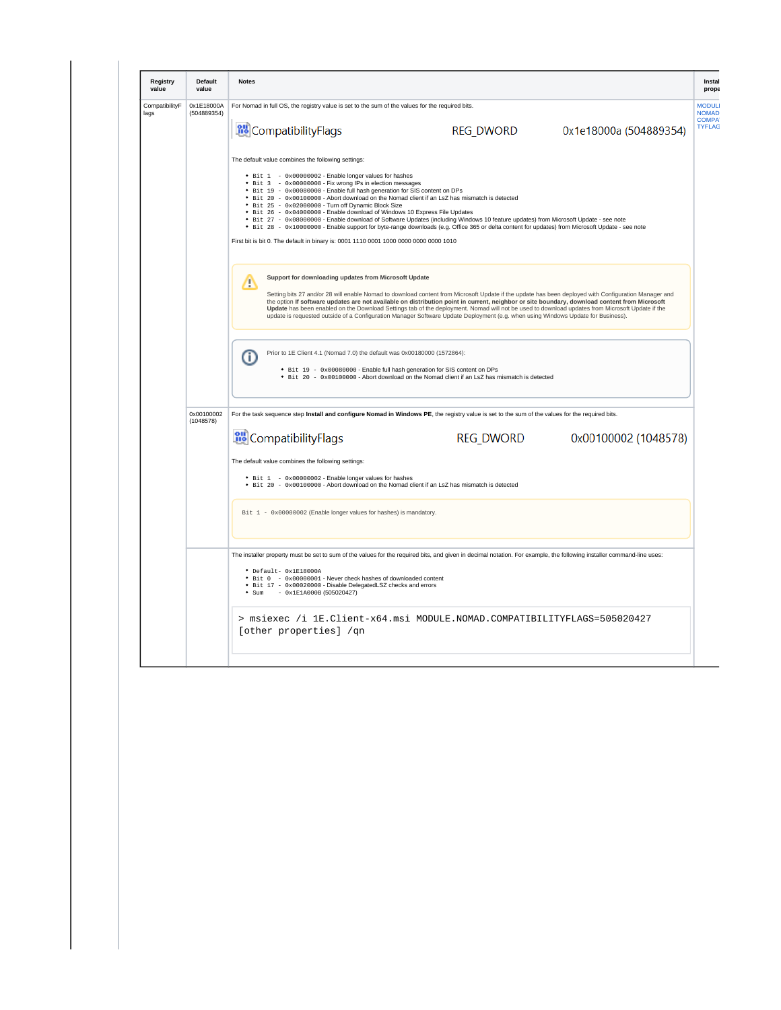<span id="page-3-0"></span>

| Registry<br>value      | <b>Default</b><br>value                            | <b>Notes</b>                                                                                                                                                                                                                                                                                                                                                                                                                                                                                                                                                                                                                                                                                                                                                                                                               |                                                                                               |                        |                                              |  |  |  |  |  |
|------------------------|----------------------------------------------------|----------------------------------------------------------------------------------------------------------------------------------------------------------------------------------------------------------------------------------------------------------------------------------------------------------------------------------------------------------------------------------------------------------------------------------------------------------------------------------------------------------------------------------------------------------------------------------------------------------------------------------------------------------------------------------------------------------------------------------------------------------------------------------------------------------------------------|-----------------------------------------------------------------------------------------------|------------------------|----------------------------------------------|--|--|--|--|--|
| CompatibilityF<br>lags | 0x1E18000A<br>(504889354)                          | For Nomad in full OS, the registry value is set to the sum of the values for the required bits.                                                                                                                                                                                                                                                                                                                                                                                                                                                                                                                                                                                                                                                                                                                            |                                                                                               |                        | <b>MODUL</b><br><b>NOMAD</b><br><b>COMPA</b> |  |  |  |  |  |
|                        |                                                    | <b>RU</b> CompatibilityFlags                                                                                                                                                                                                                                                                                                                                                                                                                                                                                                                                                                                                                                                                                                                                                                                               | <b>REG_DWORD</b>                                                                              | 0x1e18000a (504889354) | <b>TYFLAG</b>                                |  |  |  |  |  |
|                        | The default value combines the following settings: |                                                                                                                                                                                                                                                                                                                                                                                                                                                                                                                                                                                                                                                                                                                                                                                                                            |                                                                                               |                        |                                              |  |  |  |  |  |
|                        |                                                    | • Bit 1 - 0x00000002 - Enable longer values for hashes<br>• Bit 3 - 0x00000008 - Fix wrong IPs in election messages<br>• Bit 19 - 0x00080000 - Enable full hash generation for SIS content on DPs<br>• Bit 20 - 0x00100000 - Abort download on the Nomad client if an LsZ has mismatch is detected<br>• Bit 25 - 0x02000000 - Turn off Dynamic Block Size<br>• Bit 26 - 0x04000000 - Enable download of Windows 10 Express File Updates<br>. Bit 27 - 0x08000000 - Enable download of Software Updates (including Windows 10 feature updates) from Microsoft Update - see note<br>• Bit 28 - 0x10000000 - Enable support for byte-range downloads (e.g. Office 365 or delta content for updates) from Microsoft Update - see note<br>First bit is bit 0. The default in binary is: 0001 1110 0001 1000 0000 0000 0000 1010 |                                                                                               |                        |                                              |  |  |  |  |  |
|                        |                                                    | Support for downloading updates from Microsoft Update<br>Δ<br>Setting bits 27 and/or 28 will enable Nomad to download content from Microsoft Update if the update has been deployed with Configuration Manager and<br>the option If software updates are not available on distribution point in current, neighbor or site boundary, download content from Microsoft<br>Update has been enabled on the Download Settings tab of the deployment. Nomad will not be used to download updates from Microsoft Update if the<br>update is requested outside of a Configuration Manager Software Update Deployment (e.g. when using Windows Update for Business).                                                                                                                                                                 |                                                                                               |                        |                                              |  |  |  |  |  |
|                        |                                                    | Prior to 1E Client 4.1 (Nomad 7.0) the default was 0x00180000 (1572864):<br>⋒<br>• Bit 19 - 0x00080000 - Enable full hash generation for SIS content on DPs                                                                                                                                                                                                                                                                                                                                                                                                                                                                                                                                                                                                                                                                | • Bit 20 - 0x00100000 - Abort download on the Nomad client if an LsZ has mismatch is detected |                        |                                              |  |  |  |  |  |
|                        | 0x00100002<br>(1048578)                            | For the task sequence step Install and configure Nomad in Windows PE, the registry value is set to the sum of the values for the required bits.                                                                                                                                                                                                                                                                                                                                                                                                                                                                                                                                                                                                                                                                            |                                                                                               |                        |                                              |  |  |  |  |  |
|                        |                                                    | <b>RU</b> CompatibilityFlags                                                                                                                                                                                                                                                                                                                                                                                                                                                                                                                                                                                                                                                                                                                                                                                               |                                                                                               |                        |                                              |  |  |  |  |  |
|                        |                                                    | The default value combines the following settings:                                                                                                                                                                                                                                                                                                                                                                                                                                                                                                                                                                                                                                                                                                                                                                         |                                                                                               |                        |                                              |  |  |  |  |  |
|                        |                                                    | • Bit 1 - 0x00000002 - Enable longer values for hashes<br>• Bit 20 - 0x00100000 - Abort download on the Nomad client if an LsZ has mismatch is detected                                                                                                                                                                                                                                                                                                                                                                                                                                                                                                                                                                                                                                                                    |                                                                                               |                        |                                              |  |  |  |  |  |
|                        |                                                    | Bit 1 - 0x00000002 (Enable longer values for hashes) is mandatory.                                                                                                                                                                                                                                                                                                                                                                                                                                                                                                                                                                                                                                                                                                                                                         |                                                                                               |                        |                                              |  |  |  |  |  |
|                        |                                                    | The installer property must be set to sum of the values for the required bits, and given in decimal notation. For example, the following installer command-line uses:<br>* Default- 0x1E18000A<br>• Bit 0 - 0x00000001 - Never check hashes of downloaded content<br>• Bit 17 - 0x00020000 - Disable DelegatedLSZ checks and errors<br>$\bullet$ Sum - 0x1E1A000B (505020427)                                                                                                                                                                                                                                                                                                                                                                                                                                              |                                                                                               |                        |                                              |  |  |  |  |  |
|                        |                                                    | > msiexec /i 1E.Client-x64.msi MODULE.NOMAD.COMPATIBILITYFLAGS=505020427                                                                                                                                                                                                                                                                                                                                                                                                                                                                                                                                                                                                                                                                                                                                                   |                                                                                               |                        |                                              |  |  |  |  |  |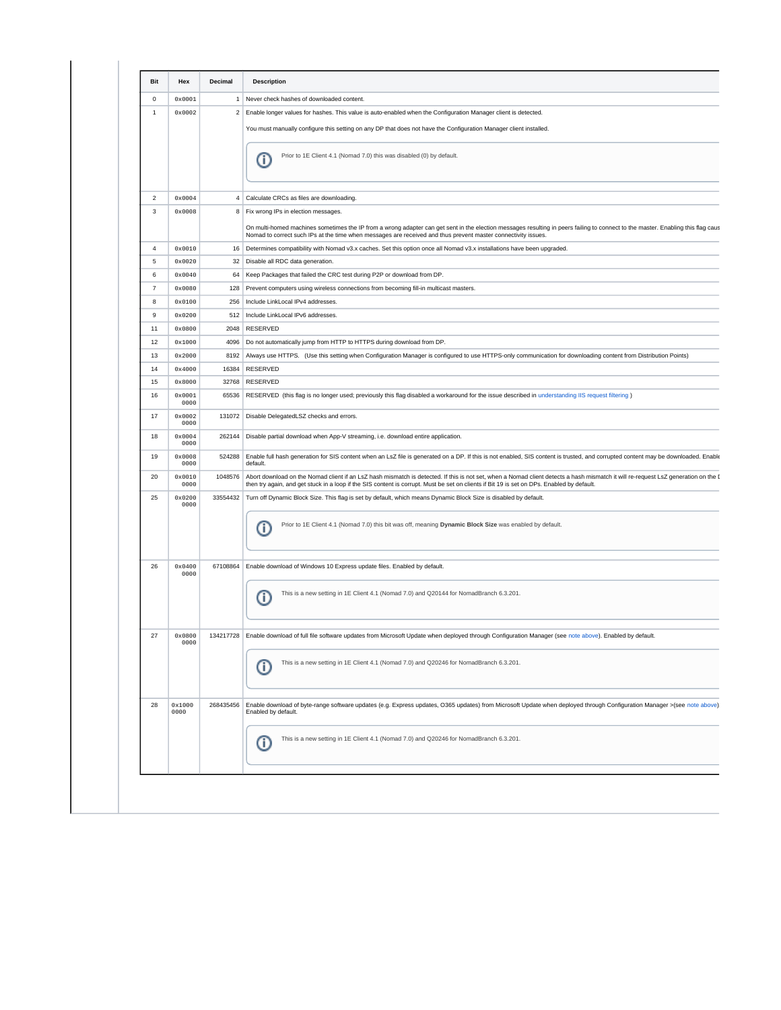|                | Hex                     | Decimal                 | <b>Description</b>                                                                                                                                                                                                                                                                                                               |
|----------------|-------------------------|-------------------------|----------------------------------------------------------------------------------------------------------------------------------------------------------------------------------------------------------------------------------------------------------------------------------------------------------------------------------|
| 0              | 0x0001                  | $\mathbf{1}$            | Never check hashes of downloaded content.                                                                                                                                                                                                                                                                                        |
| $\mathbf{1}$   | 0x0002                  | $\overline{\mathbf{c}}$ | Enable longer values for hashes. This value is auto-enabled when the Configuration Manager client is detected.                                                                                                                                                                                                                   |
|                |                         |                         | You must manually configure this setting on any DP that does not have the Configuration Manager client installed.                                                                                                                                                                                                                |
|                |                         |                         | Prior to 1E Client 4.1 (Nomad 7.0) this was disabled (0) by default.<br>Œ                                                                                                                                                                                                                                                        |
| $\overline{2}$ | 0x0004                  | 4                       | Calculate CRCs as files are downloading.                                                                                                                                                                                                                                                                                         |
| 3              | 0x0008                  | 8                       | Fix wrong IPs in election messages.                                                                                                                                                                                                                                                                                              |
|                |                         |                         | On multi-homed machines sometimes the IP from a wrong adapter can get sent in the election messages resulting in peers failing to connect to the master. Enabling this flag caus<br>Nomad to correct such IPs at the time when messages are received and thus prevent master connectivity issues.                                |
| 4              | 0x0010                  | 16                      | Determines compatibility with Nomad v3.x caches. Set this option once all Nomad v3.x installations have been upgraded.                                                                                                                                                                                                           |
| 5              | $0 \times 0020$         | 32                      | Disable all RDC data generation.                                                                                                                                                                                                                                                                                                 |
| 6              | 0x0040                  | 64                      | Keep Packages that failed the CRC test during P2P or download from DP.                                                                                                                                                                                                                                                           |
| $\overline{7}$ | 0x0080                  | 128                     | Prevent computers using wireless connections from becoming fill-in multicast masters.                                                                                                                                                                                                                                            |
| 8              | $0 \times 0100$         | 256                     | Include LinkLocal IPv4 addresses.                                                                                                                                                                                                                                                                                                |
| 9              | $0 \times 0200$         | 512                     | Include LinkLocal IPv6 addresses.                                                                                                                                                                                                                                                                                                |
| 11             | 0x0800                  | 2048                    | RESERVED                                                                                                                                                                                                                                                                                                                         |
|                |                         |                         |                                                                                                                                                                                                                                                                                                                                  |
| 12             | 0x1000                  | 4096                    | Do not automatically jump from HTTP to HTTPS during download from DP.                                                                                                                                                                                                                                                            |
| 13             | 0x2000                  | 8192                    | Always use HTTPS. (Use this setting when Configuration Manager is configured to use HTTPS-only communication for downloading content from Distribution Points)                                                                                                                                                                   |
| 14             | 0x4000                  | 16384                   | RESERVED                                                                                                                                                                                                                                                                                                                         |
| 15             | 0x8000                  | 32768                   | RESERVED                                                                                                                                                                                                                                                                                                                         |
| 16             | $0 \times 0001$<br>0000 | 65536                   | RESERVED (this flag is no longer used; previously this flag disabled a workaround for the issue described in understanding IIS request filtering)                                                                                                                                                                                |
| 17             | 0x0002<br>0000          | 131072                  | Disable DelegatedLSZ checks and errors.                                                                                                                                                                                                                                                                                          |
| 18             | 0x0004<br>0000          | 262144                  | Disable partial download when App-V streaming, i.e. download entire application.                                                                                                                                                                                                                                                 |
| 19             | $0 \times 0008$<br>0000 | 524288                  | Enable full hash generation for SIS content when an LsZ file is generated on a DP. If this is not enabled, SIS content is trusted, and corrupted content may be downloaded. Enable<br>default.                                                                                                                                   |
| 20             | 0x0010<br>0000          | 1048576                 | Abort download on the Nomad client if an LsZ hash mismatch is detected. If this is not set, when a Nomad client detects a hash mismatch it will re-request LsZ generation on the I<br>then try again, and get stuck in a loop if the SIS content is corrupt. Must be set on clients if Bit 19 is set on DPs. Enabled by default. |
| 25             | $0 \times 0200$<br>0000 | 33554432                | Turn off Dynamic Block Size. This flag is set by default, which means Dynamic Block Size is disabled by default.                                                                                                                                                                                                                 |
|                |                         |                         | Prior to 1E Client 4.1 (Nomad 7.0) this bit was off, meaning Dynamic Block Size was enabled by default.<br>Œ                                                                                                                                                                                                                     |
| 26             | 0x0400<br>0000          | 67108864                | Enable download of Windows 10 Express update files. Enabled by default.                                                                                                                                                                                                                                                          |
|                |                         |                         | This is a new setting in 1E Client 4.1 (Nomad 7.0) and Q20144 for NomadBranch 6.3.201.<br>Œ                                                                                                                                                                                                                                      |
| 27             | 0x0800<br>0000          |                         | 134217728 Enable download of full file software updates from Microsoft Update when deployed through Configuration Manager (see note above). Enabled by default                                                                                                                                                                   |
|                |                         |                         | This is a new setting in 1E Client 4.1 (Nomad 7.0) and Q20246 for NomadBranch 6.3.201.<br>Œ                                                                                                                                                                                                                                      |
| 28             | 0x1000<br>0000          | 268435456               | Enable download of byte-range software updates (e.g. Express updates, O365 updates) from Microsoft Update when deployed through Configuration Manager >(see note above)<br>Enabled by default.                                                                                                                                   |
|                |                         |                         | This is a new setting in 1E Client 4.1 (Nomad 7.0) and Q20246 for NomadBranch 6.3.201.<br>Œ                                                                                                                                                                                                                                      |

Δ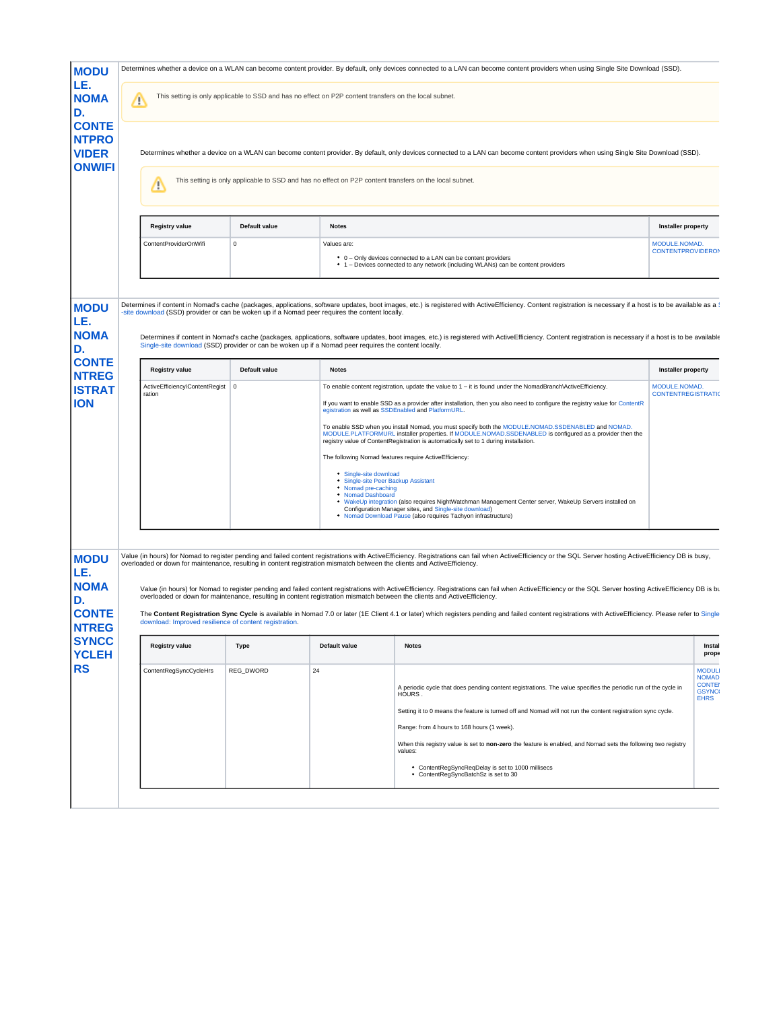| <b>MODU</b>                                                             |   |                                                                                                                                                                                                        |               |                                                                                                                      | Determines whether a device on a WLAN can become content provider. By default, only devices connected to a LAN can become content providers when using Single Site Download (SSD).                                                                                                                                                                                                                                                                                                                                                                                                                                                                                                                                                                                                                                                                                                                                      |                                                                              |  |  |  |
|-------------------------------------------------------------------------|---|--------------------------------------------------------------------------------------------------------------------------------------------------------------------------------------------------------|---------------|----------------------------------------------------------------------------------------------------------------------|-------------------------------------------------------------------------------------------------------------------------------------------------------------------------------------------------------------------------------------------------------------------------------------------------------------------------------------------------------------------------------------------------------------------------------------------------------------------------------------------------------------------------------------------------------------------------------------------------------------------------------------------------------------------------------------------------------------------------------------------------------------------------------------------------------------------------------------------------------------------------------------------------------------------------|------------------------------------------------------------------------------|--|--|--|
| LE.<br><b>NOMA</b><br>D.                                                | Λ |                                                                                                                                                                                                        |               | This setting is only applicable to SSD and has no effect on P2P content transfers on the local subnet.               |                                                                                                                                                                                                                                                                                                                                                                                                                                                                                                                                                                                                                                                                                                                                                                                                                                                                                                                         |                                                                              |  |  |  |
| <b>CONTE</b><br><b>NTPRO</b><br><b>VIDER</b><br><b>ONWIFI</b>           |   | Determines whether a device on a WLAN can become content provider. By default, only devices connected to a LAN can become content providers when using Single Site Download (SSD).                     |               |                                                                                                                      |                                                                                                                                                                                                                                                                                                                                                                                                                                                                                                                                                                                                                                                                                                                                                                                                                                                                                                                         |                                                                              |  |  |  |
|                                                                         |   | Т                                                                                                                                                                                                      |               | This setting is only applicable to SSD and has no effect on P2P content transfers on the local subnet.               |                                                                                                                                                                                                                                                                                                                                                                                                                                                                                                                                                                                                                                                                                                                                                                                                                                                                                                                         |                                                                              |  |  |  |
|                                                                         |   | <b>Registry value</b>                                                                                                                                                                                  | Default value | <b>Notes</b>                                                                                                         |                                                                                                                                                                                                                                                                                                                                                                                                                                                                                                                                                                                                                                                                                                                                                                                                                                                                                                                         | <b>Installer property</b>                                                    |  |  |  |
|                                                                         |   | ContentProviderOnWifi                                                                                                                                                                                  | $\Omega$      | Values are:                                                                                                          | • 0 - Only devices connected to a LAN can be content providers<br>• 1 – Devices connected to any network (including WLANs) can be content providers                                                                                                                                                                                                                                                                                                                                                                                                                                                                                                                                                                                                                                                                                                                                                                     | MODULE.NOMAD.<br><b>CONTENTPROVIDERON</b>                                    |  |  |  |
| <b>MODU</b><br>LE.<br><b>NOMA</b><br>D.                                 |   | -site download (SSD) provider or can be woken up if a Nomad peer requires the content locally.<br>Single-site download (SSD) provider or can be woken up if a Nomad peer requires the content locally. |               |                                                                                                                      | Determines if content in Nomad's cache (packages, applications, software updates, boot images, etc.) is registered with ActiveEfficiency. Content registration is necessary if a host is to be available as a 1<br>Determines if content in Nomad's cache (packages, applications, software updates, boot images, etc.) is registered with ActiveEfficiency. Content registration is necessary if a host is to be available                                                                                                                                                                                                                                                                                                                                                                                                                                                                                             |                                                                              |  |  |  |
| <b>CONTE</b><br><b>NTREG</b>                                            |   | <b>Registry value</b>                                                                                                                                                                                  | Default value | <b>Notes</b>                                                                                                         |                                                                                                                                                                                                                                                                                                                                                                                                                                                                                                                                                                                                                                                                                                                                                                                                                                                                                                                         | <b>Installer property</b>                                                    |  |  |  |
| <b>ISTRAT</b><br><b>ION</b>                                             |   | ActiveEfficiency\ContentRegist<br>ration                                                                                                                                                               | $\pmb{0}$     | • Single-site download<br><sup>•</sup> Single-site Peer Backup Assistant<br>• Nomad pre-caching<br>• Nomad Dashboard | To enable content registration, update the value to $1 - it$ is found under the NomadBranch\ActiveEfficiency.<br>If you want to enable SSD as a provider after installation, then you also need to configure the registry value for ContentR<br>egistration as well as SSDEnabled and PlatformURL.<br>To enable SSD when you install Nomad, you must specify both the MODULE.NOMAD.SSDENABLED and NOMAD.<br>MODULE.PLATFORMURL installer properties. If MODULE.NOMAD.SSDENABLED is configured as a provider then the<br>registry value of ContentRegistration is automatically set to 1 during installation.<br>The following Nomad features require ActiveEfficiency:<br>. WakeUp integration (also requires NightWatchman Management Center server, WakeUp Servers installed on<br>Configuration Manager sites, and Single-site download)<br><sup>.</sup> Nomad Download Pause (also requires Tachyon infrastructure) | MODULE.NOMAD.<br><b>CONTENTREGISTRATION</b>                                  |  |  |  |
| <b>MODU</b><br>LE.<br><b>NOMA</b><br>D.<br><b>CONTE</b><br><b>NTREG</b> |   | overloaded or down for maintenance, resulting in content registration mismatch between the clients and ActiveEfficiency.<br>download: Improved resilience of content registration.                     |               |                                                                                                                      | Value (in hours) for Nomad to register pending and failed content registrations with ActiveEfficiency. Registrations can fail when ActiveEfficiency or the SQL Server hosting ActiveEfficiency DB is busy,<br>Value (in hours) for Nomad to register pending and failed content registrations with ActiveEfficiency. Registrations can fail when ActiveEfficiency or the SQL Server hosting ActiveEfficiency DB is bu<br>overloaded or down for maintenance, resulting in content registration mismatch between the clients and ActiveEfficiency.<br>The Content Registration Sync Cycle is available in Nomad 7.0 or later (1E Client 4.1 or later) which registers pending and failed content registrations with ActiveEfficiency. Please refer to Single                                                                                                                                                             |                                                                              |  |  |  |
| <b>SYNCC</b><br>YCLEH                                                   |   | <b>Registry value</b>                                                                                                                                                                                  | Type          | Default value                                                                                                        | <b>Notes</b>                                                                                                                                                                                                                                                                                                                                                                                                                                                                                                                                                                                                                                                                                                                                                                                                                                                                                                            | Instal<br>prope                                                              |  |  |  |
| <b>RS</b>                                                               |   | ContentRegSyncCycleHrs                                                                                                                                                                                 | REG_DWORD     | 24                                                                                                                   | A periodic cycle that does pending content registrations. The value specifies the periodic run of the cycle in<br>HOURS.<br>Setting it to 0 means the feature is turned off and Nomad will not run the content registration sync cycle.<br>Range: from 4 hours to 168 hours (1 week).<br>When this registry value is set to non-zero the feature is enabled, and Nomad sets the following two registry<br>values:<br>• ContentRegSyncReqDelay is set to 1000 millisecs<br>• ContentRegSyncBatchSz is set to 30                                                                                                                                                                                                                                                                                                                                                                                                          | <b>MODUL</b><br><b>NOMAD</b><br><b>CONTEI</b><br><b>GSYNC</b><br><b>EHRS</b> |  |  |  |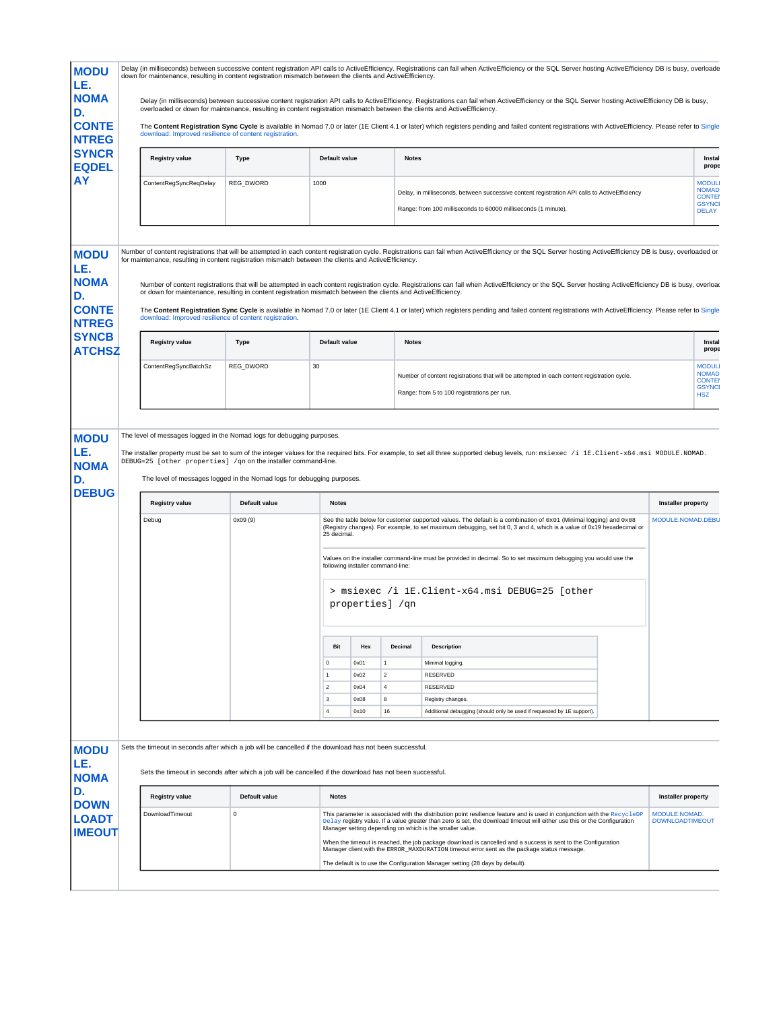| <b>MODU</b><br>LE.                                      | Delay (in milliseconds) between successive content registration API calls to ActiveEfficiency. Registrations can fail when ActiveEfficiency or the SQL Server hosting ActiveEfficiency DB is busy, overloade<br>down for maintenance, resulting in content registration mismatch between the clients and ActiveEfficiency. |               |                                  |              |                                   |                                                                                                                                                                                                                                                                                                                    |                                         |                                                                |
|---------------------------------------------------------|----------------------------------------------------------------------------------------------------------------------------------------------------------------------------------------------------------------------------------------------------------------------------------------------------------------------------|---------------|----------------------------------|--------------|-----------------------------------|--------------------------------------------------------------------------------------------------------------------------------------------------------------------------------------------------------------------------------------------------------------------------------------------------------------------|-----------------------------------------|----------------------------------------------------------------|
| <b>NOMA</b><br>D.                                       | overloaded or down for maintenance, resulting in content registration mismatch between the clients and ActiveEfficiency.                                                                                                                                                                                                   |               |                                  |              |                                   | Delay (in milliseconds) between successive content registration API calls to ActiveEfficiency. Registrations can fail when ActiveEfficiency or the SQL Server hosting ActiveEfficiency DB is busy,                                                                                                                 |                                         |                                                                |
| <b>CONTE</b><br><b>NTREG</b>                            | download: Improved resilience of content registration.                                                                                                                                                                                                                                                                     |               |                                  |              |                                   | The Content Registration Sync Cycle is available in Nomad 7.0 or later (1E Client 4.1 or later) which registers pending and failed content registrations with ActiveEfficiency. Please refer to Single                                                                                                             |                                         |                                                                |
| <b>SYNCR</b><br><b>EQDEL</b>                            | <b>Registry value</b>                                                                                                                                                                                                                                                                                                      | <b>Type</b>   | Default value                    |              | <b>Notes</b>                      |                                                                                                                                                                                                                                                                                                                    |                                         | Instal<br>prope                                                |
| AY                                                      | ContentRegSyncReqDelay                                                                                                                                                                                                                                                                                                     | REG_DWORD     | 1000                             |              |                                   | Delay, in milliseconds, between successive content registration API calls to ActiveEfficiency<br>Range: from 100 milliseconds to 60000 milliseconds (1 minute).                                                                                                                                                    |                                         | <b>MODUL</b><br><b>NOMAD</b><br><b>CONTEI</b><br><b>GSYNCI</b> |
|                                                         |                                                                                                                                                                                                                                                                                                                            |               |                                  |              |                                   |                                                                                                                                                                                                                                                                                                                    |                                         | <b>DELAY</b>                                                   |
| <b>MODU</b><br>LE.                                      | for maintenance, resulting in content registration mismatch between the clients and ActiveEfficiency.                                                                                                                                                                                                                      |               |                                  |              |                                   | Number of content registrations that will be attempted in each content registration cycle. Registrations can fail when ActiveEfficiency or the SQL Server hosting ActiveEfficiency DB is busy, overloaded or                                                                                                       |                                         |                                                                |
| <b>NOMA</b><br>D.                                       | or down for maintenance, resulting in content registration mismatch between the clients and ActiveEfficiency.                                                                                                                                                                                                              |               |                                  |              |                                   | Number of content registrations that will be attempted in each content registration cycle. Registrations can fail when ActiveEfficiency or the SQL Server hosting ActiveEfficiency DB is busy, overloar                                                                                                            |                                         |                                                                |
| <b>CONTE</b><br><b>NTREG</b>                            | download: Improved resilience of content registration.                                                                                                                                                                                                                                                                     |               |                                  |              |                                   | The Content Registration Sync Cycle is available in Nomad 7.0 or later (1E Client 4.1 or later) which registers pending and failed content registrations with ActiveEfficiency. Please refer to Single                                                                                                             |                                         |                                                                |
| <b>SYNCB</b><br><b>ATCHSZ</b>                           | <b>Registry value</b>                                                                                                                                                                                                                                                                                                      | <b>Type</b>   | Default value                    |              | <b>Notes</b>                      |                                                                                                                                                                                                                                                                                                                    |                                         | Instal<br>prope                                                |
|                                                         | ContentRegSyncBatchSz                                                                                                                                                                                                                                                                                                      | REG_DWORD     | 30                               |              |                                   | Number of content registrations that will be attempted in each content registration cycle.<br>Range: from 5 to 100 registrations per run.                                                                                                                                                                          |                                         | <b>MODUL</b><br><b>NOMAD</b><br><b>CONTEI</b><br><b>GSYNCI</b> |
|                                                         |                                                                                                                                                                                                                                                                                                                            |               |                                  |              |                                   |                                                                                                                                                                                                                                                                                                                    |                                         | <b>HSZ</b>                                                     |
|                                                         | The level of messages logged in the Nomad logs for debugging purposes.<br>DEBUG=25 [other properties] /qn on the installer command-line.<br>The level of messages logged in the Nomad logs for debugging purposes.                                                                                                         |               |                                  |              |                                   | The installer property must be set to sum of the integer values for the required bits. For example, to set all three supported debug levels, run: msiexec /i 1E. Client-x64. msi MODULE. NOMAD.                                                                                                                    |                                         |                                                                |
|                                                         | <b>Registry value</b>                                                                                                                                                                                                                                                                                                      | Default value | <b>Notes</b>                     |              |                                   |                                                                                                                                                                                                                                                                                                                    | <b>Installer property</b>               |                                                                |
| <b>MODU</b><br>LE.<br><b>NOMA</b><br>D.<br><b>DEBUG</b> | Debug                                                                                                                                                                                                                                                                                                                      | 0x09(9)       | 25 decimal.                      |              |                                   | See the table below for customer supported values. The default is a combination of $0 \times 01$ (Minimal logging) and $0 \times 08$<br>(Registry changes). For example, to set maximum debugging, set bit 0, 3 and 4, which is a value of 0x19 hexadecimal or                                                     | MODULE.NOMAD.DEBL                       |                                                                |
|                                                         |                                                                                                                                                                                                                                                                                                                            |               |                                  |              | following installer command-line: | Values on the installer command-line must be provided in decimal. So to set maximum debugging you would use the                                                                                                                                                                                                    |                                         |                                                                |
|                                                         |                                                                                                                                                                                                                                                                                                                            |               |                                  |              | properties] /qn                   | > msiexec /i 1E.Client-x64.msi DEBUG=25 [other                                                                                                                                                                                                                                                                     |                                         |                                                                |
|                                                         |                                                                                                                                                                                                                                                                                                                            |               | Bit                              | Hex          | Decimal                           | <b>Description</b>                                                                                                                                                                                                                                                                                                 |                                         |                                                                |
|                                                         |                                                                                                                                                                                                                                                                                                                            |               | 0                                | 0x01         | $\mathbf{1}$                      | Minimal logging.                                                                                                                                                                                                                                                                                                   |                                         |                                                                |
|                                                         |                                                                                                                                                                                                                                                                                                                            |               | $\overline{1}$<br>$\overline{2}$ | 0x02<br>0x04 | $\overline{2}$<br>$\overline{4}$  | RESERVED<br><b>RESERVED</b>                                                                                                                                                                                                                                                                                        |                                         |                                                                |
|                                                         |                                                                                                                                                                                                                                                                                                                            |               | $\mathsf 3$                      | 0x08         | 8                                 | Registry changes.                                                                                                                                                                                                                                                                                                  |                                         |                                                                |
|                                                         |                                                                                                                                                                                                                                                                                                                            |               | $\overline{4}$                   | 0x10         | 16                                | Additional debugging (should only be used if requested by 1E support).                                                                                                                                                                                                                                             |                                         |                                                                |
| <b>MODU</b>                                             | Sets the timeout in seconds after which a job will be cancelled if the download has not been successful.                                                                                                                                                                                                                   |               |                                  |              |                                   |                                                                                                                                                                                                                                                                                                                    |                                         |                                                                |
| LE.<br><b>NOMA</b>                                      | Sets the timeout in seconds after which a job will be cancelled if the download has not been successful.                                                                                                                                                                                                                   |               |                                  |              |                                   |                                                                                                                                                                                                                                                                                                                    |                                         |                                                                |
| D.                                                      | <b>Registry value</b>                                                                                                                                                                                                                                                                                                      | Default value | <b>Notes</b>                     |              |                                   |                                                                                                                                                                                                                                                                                                                    | <b>Installer property</b>               |                                                                |
| <b>DOWN</b><br><b>LOADT</b><br><b>IMEOUT</b>            | DownloadTimeout                                                                                                                                                                                                                                                                                                            | $\mathsf 0$   |                                  |              |                                   | This parameter is associated with the distribution point resilience feature and is used in conjunction with the RecycleDP<br>Delay registry value. If a value greater than zero is set, the download timeout will either use this or the Configuration<br>Manager setting depending on which is the smaller value. | MODULE.NOMAD.<br><b>DOWNLOADTIMEOUT</b> |                                                                |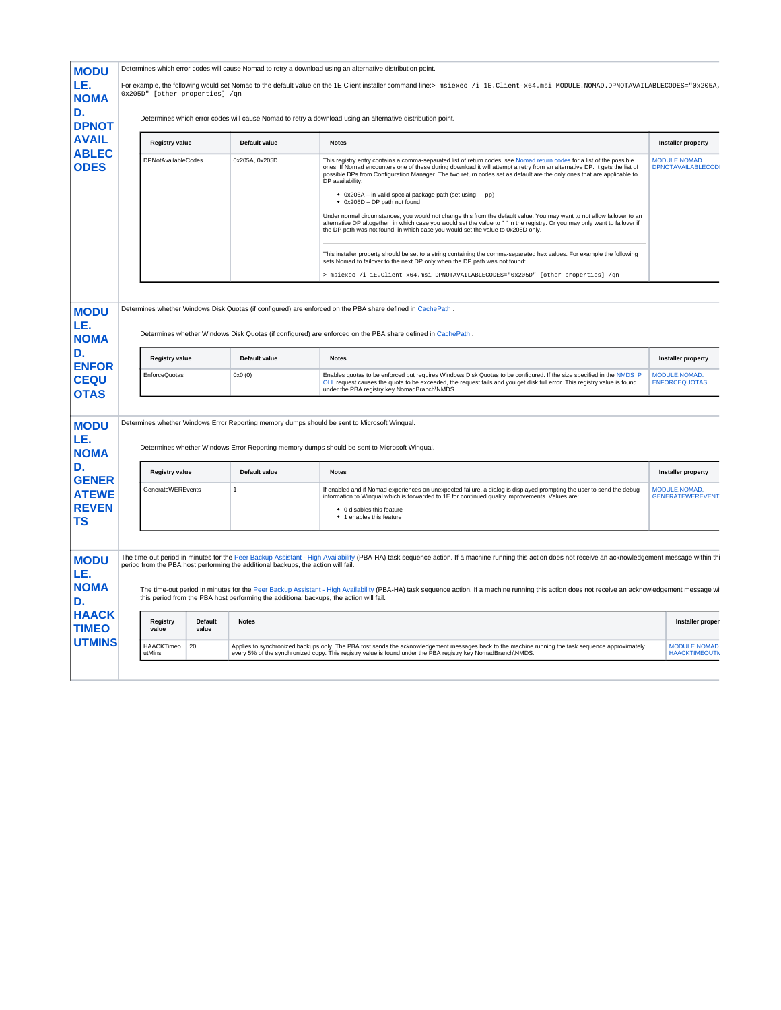| <b>NOMA</b><br>D.<br><b>DPNOT</b><br><b>AVAIL</b><br><b>ABLEC</b>                 | For example, the following would set Nomad to the default value on the 1E Client installer command-line:> msiexec /i 1E.Client-x64.msi MODULE.NOMAD.DPNOTAVAILABLECODES="0x205A,<br>0x205D" [other properties] /qn |                  |                                                                                   |                                                                                                                                                                                                                                                                                                                                                                                                                                                                                                                                                                                                                                                                                                                                                                                                                                              |                                            |  |  |
|-----------------------------------------------------------------------------------|--------------------------------------------------------------------------------------------------------------------------------------------------------------------------------------------------------------------|------------------|-----------------------------------------------------------------------------------|----------------------------------------------------------------------------------------------------------------------------------------------------------------------------------------------------------------------------------------------------------------------------------------------------------------------------------------------------------------------------------------------------------------------------------------------------------------------------------------------------------------------------------------------------------------------------------------------------------------------------------------------------------------------------------------------------------------------------------------------------------------------------------------------------------------------------------------------|--------------------------------------------|--|--|
|                                                                                   |                                                                                                                                                                                                                    |                  |                                                                                   | Determines which error codes will cause Nomad to retry a download using an alternative distribution point.                                                                                                                                                                                                                                                                                                                                                                                                                                                                                                                                                                                                                                                                                                                                   |                                            |  |  |
|                                                                                   | <b>Registry value</b>                                                                                                                                                                                              |                  | Default value                                                                     | <b>Notes</b>                                                                                                                                                                                                                                                                                                                                                                                                                                                                                                                                                                                                                                                                                                                                                                                                                                 | <b>Installer property</b>                  |  |  |
| <b>ODES</b>                                                                       | <b>DPNotAvailableCodes</b>                                                                                                                                                                                         |                  | 0x205A, 0x205D                                                                    | This registry entry contains a comma-separated list of return codes, see Nomad return codes for a list of the possible<br>ones. If Nomad encounters one of these during download it will attempt a retry from an alternative DP. It gets the list of<br>possible DPs from Configuration Manager. The two return codes set as default are the only ones that are applicable to<br>DP availability:<br>• 0x205A - in valid special package path (set using --pp)<br>• 0x205D - DP path not found<br>Under normal circumstances, you would not change this from the default value. You may want to not allow failover to an<br>alternative DP altogether, in which case you would set the value to " " in the registry. Or you may only want to failover if<br>the DP path was not found, in which case you would set the value to 0x205D only. | MODULE.NOMAD.<br><b>DPNOTAVAILABLECOD</b>  |  |  |
|                                                                                   |                                                                                                                                                                                                                    |                  |                                                                                   | This installer property should be set to a string containing the comma-separated hex values. For example the following<br>sets Nomad to failover to the next DP only when the DP path was not found:                                                                                                                                                                                                                                                                                                                                                                                                                                                                                                                                                                                                                                         |                                            |  |  |
|                                                                                   |                                                                                                                                                                                                                    |                  |                                                                                   | > msiexec /i 1E.Client-x64.msi DPNOTAVAILABLECODES="0x205D" [other properties] /qn                                                                                                                                                                                                                                                                                                                                                                                                                                                                                                                                                                                                                                                                                                                                                           |                                            |  |  |
|                                                                                   | <b>Registry value</b>                                                                                                                                                                                              |                  | Default value                                                                     |                                                                                                                                                                                                                                                                                                                                                                                                                                                                                                                                                                                                                                                                                                                                                                                                                                              |                                            |  |  |
| LE.<br><b>NOMA</b>                                                                |                                                                                                                                                                                                                    |                  |                                                                                   | Determines whether Windows Disk Quotas (if configured) are enforced on the PBA share defined in CachePath.                                                                                                                                                                                                                                                                                                                                                                                                                                                                                                                                                                                                                                                                                                                                   |                                            |  |  |
| <b>ENFOR</b>                                                                      |                                                                                                                                                                                                                    |                  |                                                                                   |                                                                                                                                                                                                                                                                                                                                                                                                                                                                                                                                                                                                                                                                                                                                                                                                                                              |                                            |  |  |
|                                                                                   | EnforceQuotas                                                                                                                                                                                                      |                  | 0x0(0)                                                                            | <b>Notes</b><br>Enables quotas to be enforced but requires Windows Disk Quotas to be configured. If the size specified in the NMDS_P                                                                                                                                                                                                                                                                                                                                                                                                                                                                                                                                                                                                                                                                                                         | <b>Installer property</b><br>MODULE NOMAD. |  |  |
|                                                                                   |                                                                                                                                                                                                                    |                  |                                                                                   | OLL request causes the quota to be exceeded, the request fails and you get disk full error. This registry value is found<br>under the PBA registry key NomadBranch\NMDS.                                                                                                                                                                                                                                                                                                                                                                                                                                                                                                                                                                                                                                                                     | <b>ENFORCEQUOTAS</b>                       |  |  |
|                                                                                   |                                                                                                                                                                                                                    |                  |                                                                                   |                                                                                                                                                                                                                                                                                                                                                                                                                                                                                                                                                                                                                                                                                                                                                                                                                                              |                                            |  |  |
| <b>CEQU</b><br><b>OTAS</b><br><b>MODU</b><br>LE.<br><b>NOMA</b>                   |                                                                                                                                                                                                                    |                  |                                                                                   | Determines whether Windows Error Reporting memory dumps should be sent to Microsoft Wingual.<br>Determines whether Windows Error Reporting memory dumps should be sent to Microsoft Winqual.                                                                                                                                                                                                                                                                                                                                                                                                                                                                                                                                                                                                                                                 |                                            |  |  |
|                                                                                   | <b>Registry value</b>                                                                                                                                                                                              |                  | Default value                                                                     | <b>Notes</b>                                                                                                                                                                                                                                                                                                                                                                                                                                                                                                                                                                                                                                                                                                                                                                                                                                 | <b>Installer property</b>                  |  |  |
|                                                                                   | GenerateWEREvents                                                                                                                                                                                                  |                  | $\mathbf{1}$                                                                      | If enabled and if Nomad experiences an unexpected failure, a dialog is displayed prompting the user to send the debug<br>information to Winqual which is forwarded to 1E for continued quality improvements. Values are:                                                                                                                                                                                                                                                                                                                                                                                                                                                                                                                                                                                                                     | MODULE.NOMAD.<br><b>GENERATEWEREVENT</b>   |  |  |
|                                                                                   |                                                                                                                                                                                                                    |                  |                                                                                   | • 0 disables this feature<br>• 1 enables this feature                                                                                                                                                                                                                                                                                                                                                                                                                                                                                                                                                                                                                                                                                                                                                                                        |                                            |  |  |
|                                                                                   |                                                                                                                                                                                                                    |                  |                                                                                   |                                                                                                                                                                                                                                                                                                                                                                                                                                                                                                                                                                                                                                                                                                                                                                                                                                              |                                            |  |  |
| <b>GENER</b><br><b>ATEWE</b><br><b>REVEN</b><br><b>MODU</b><br>LE.<br><b>NOMA</b> |                                                                                                                                                                                                                    |                  | period from the PBA host performing the additional backups, the action will fail. | The time-out period in minutes for the Peer Backup Assistant - High Availability (PBA-HA) task sequence action. If a machine running this action does not receive an acknowledgement message within thi<br>The time-out period in minutes for the Peer Backup Assistant - High Availability (PBA-HA) task sequence action. If a machine running this action does not receive an acknowledgement message wi<br>this period from the PBA host performing the additional backups, the action will fail.                                                                                                                                                                                                                                                                                                                                         |                                            |  |  |
| <b>HAACK</b><br><b>TIMEO</b>                                                      | Reaistry<br>value                                                                                                                                                                                                  | Default<br>value | <b>Notes</b>                                                                      |                                                                                                                                                                                                                                                                                                                                                                                                                                                                                                                                                                                                                                                                                                                                                                                                                                              | Installer proper                           |  |  |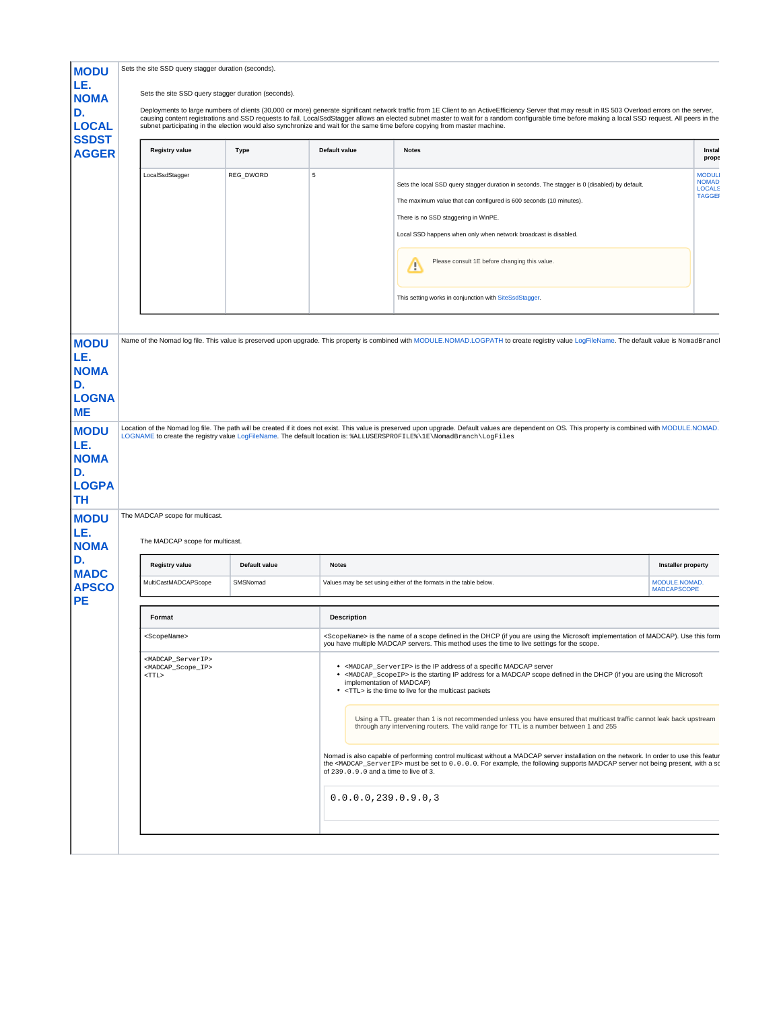<span id="page-8-1"></span><span id="page-8-0"></span>

| <b>MODU</b>                                                                            | Sets the site SSD query stagger duration (seconds).                                                      |               |                    |                                                                                                                                                                                                                                                                                                                                                                                                                                                                                                                                                                                                                                             |                                                                |
|----------------------------------------------------------------------------------------|----------------------------------------------------------------------------------------------------------|---------------|--------------------|---------------------------------------------------------------------------------------------------------------------------------------------------------------------------------------------------------------------------------------------------------------------------------------------------------------------------------------------------------------------------------------------------------------------------------------------------------------------------------------------------------------------------------------------------------------------------------------------------------------------------------------------|----------------------------------------------------------------|
| LE.<br><b>NOMA</b>                                                                     | Sets the site SSD query stagger duration (seconds).                                                      |               |                    |                                                                                                                                                                                                                                                                                                                                                                                                                                                                                                                                                                                                                                             |                                                                |
| D.<br><b>LOCAL</b><br><b>SSDST</b>                                                     |                                                                                                          |               |                    | Deployments to large numbers of clients (30,000 or more) generate significant network traffic from 1E Client to an ActiveEfficiency Server that may result in IIS 503 Overload errors on the server,<br>causing content registrations and SSD requests to fail. LocalSsdStagger allows an elected subnet master to wait for a random configurable time before making a local SSD request. All peers in the<br>subnet participating in the election would also synchronize and wait for the same time before copying from master machine.                                                                                                    |                                                                |
| <b>AGGER</b>                                                                           | <b>Registry value</b>                                                                                    | Type          | Default value      | <b>Notes</b>                                                                                                                                                                                                                                                                                                                                                                                                                                                                                                                                                                                                                                | Instal<br>prope                                                |
|                                                                                        | LocalSsdStagger                                                                                          | REG_DWORD     | 5                  | Sets the local SSD query stagger duration in seconds. The stagger is 0 (disabled) by default.<br>The maximum value that can configured is 600 seconds (10 minutes).<br>There is no SSD staggering in WinPE.<br>Local SSD happens when only when network broadcast is disabled.<br>Please consult 1E before changing this value.<br>∕<br>This setting works in conjunction with SiteSsdStagger.                                                                                                                                                                                                                                              | <b>MODUL</b><br><b>NOMAD</b><br><b>LOCALS</b><br><b>TAGGEI</b> |
| <b>MODU</b>                                                                            |                                                                                                          |               |                    | Name of the Nomad log file. This value is preserved upon upgrade. This property is combined with MODULE.NOMAD.LOGPATH to create registry value LogFileName. The default value is NomadBrancl                                                                                                                                                                                                                                                                                                                                                                                                                                                |                                                                |
| LE.<br><b>NOMA</b><br>D.<br><b>LOGNA</b>                                               |                                                                                                          |               |                    |                                                                                                                                                                                                                                                                                                                                                                                                                                                                                                                                                                                                                                             |                                                                |
| <b>ME</b><br><b>MODU</b>                                                               |                                                                                                          |               |                    | Location of the Nomad log file. The path will be created if it does not exist. This value is preserved upon upgrade. Default values are dependent on OS. This property is combined with MODULE.NOMAD.<br>LOGNAME to create the registry value LogFileName. The default location is: %ALLUSERSPROFILE%\1E\NomadBranch\LogFiles                                                                                                                                                                                                                                                                                                               |                                                                |
| D.                                                                                     | The MADCAP scope for multicast.<br>The MADCAP scope for multicast.                                       |               |                    |                                                                                                                                                                                                                                                                                                                                                                                                                                                                                                                                                                                                                                             |                                                                |
|                                                                                        | <b>Registry value</b>                                                                                    | Default value | <b>Notes</b>       |                                                                                                                                                                                                                                                                                                                                                                                                                                                                                                                                                                                                                                             | Installer property                                             |
| <b>TH</b><br>D.<br><b>APSCO</b>                                                        | MultiCastMADCAPScope                                                                                     | SMSNomad      |                    | Values may be set using either of the formats in the table below.                                                                                                                                                                                                                                                                                                                                                                                                                                                                                                                                                                           | MODULE.NOMAD.<br><b>MADCAPSCOPE</b>                            |
| <b>PE</b>                                                                              | Format                                                                                                   |               | <b>Description</b> |                                                                                                                                                                                                                                                                                                                                                                                                                                                                                                                                                                                                                                             |                                                                |
|                                                                                        | <scopename></scopename>                                                                                  |               |                    | <scopename> is the name of a scope defined in the DHCP (if you are using the Microsoft implementation of MADCAP). Use this form</scopename>                                                                                                                                                                                                                                                                                                                                                                                                                                                                                                 |                                                                |
|                                                                                        | <madcap_serverip><br/><madcap_scope_ip><br/><math>&lt;</math>TTL&gt;</madcap_scope_ip></madcap_serverip> |               |                    | you have multiple MADCAP servers. This method uses the time to live settings for the scope.<br>• <madcap_serverip> is the IP address of a specific MADCAP server<br/>• <madcap scopeip=""> is the starting IP address for a MADCAP scope defined in the DHCP (if you are using the Microsoft<br/>implementation of MADCAP)<br/>• <ttl> is the time to live for the multicast packets<br/>Using a TTL greater than 1 is not recommended unless you have ensured that multicast traffic cannot leak back upstream<br/>through any intervening routers. The valid range for TTL is a number between 1 and 255</ttl></madcap></madcap_serverip> |                                                                |
|                                                                                        |                                                                                                          |               |                    | Nomad is also capable of performing control multicast without a MADCAP server installation on the network. In order to use this featur<br>the <madcap_serverip> must be set to 0.0.0.0. For example, the following supports MADCAP server not being present, with a so<br/>of 239.0.9.0 and a time to live of 3.</madcap_serverip>                                                                                                                                                                                                                                                                                                          |                                                                |
| LE.<br><b>NOMA</b><br><b>LOGPA</b><br><b>MODU</b><br>LE.<br><b>NOMA</b><br><b>MADC</b> |                                                                                                          |               |                    | 0.0.0.0.239.0.9.0.3                                                                                                                                                                                                                                                                                                                                                                                                                                                                                                                                                                                                                         |                                                                |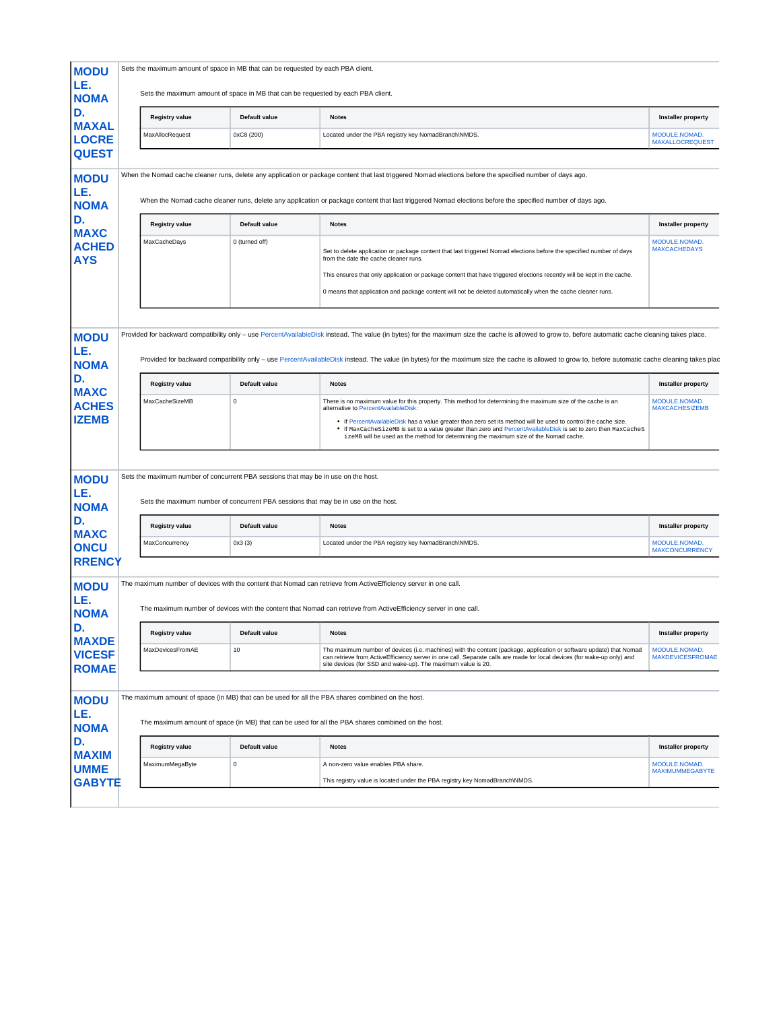| <b>MODU</b><br>LE.<br><b>NOMA</b>             |                                         | Sets the maximum amount of space in MB that can be requested by each PBA client.<br>Sets the maximum amount of space in MB that can be requested by each PBA client.     |                                                                                                                                                                                                                                                                                                                                                                   |                                            |
|-----------------------------------------------|-----------------------------------------|--------------------------------------------------------------------------------------------------------------------------------------------------------------------------|-------------------------------------------------------------------------------------------------------------------------------------------------------------------------------------------------------------------------------------------------------------------------------------------------------------------------------------------------------------------|--------------------------------------------|
| D.<br><b>MAXAL</b>                            | <b>Registry value</b>                   | Default value                                                                                                                                                            | <b>Notes</b>                                                                                                                                                                                                                                                                                                                                                      | <b>Installer property</b>                  |
| <b>LOCRE</b>                                  | MaxAllocRequest                         | 0xC8 (200)                                                                                                                                                               | Located under the PBA registry key NomadBranch\NMDS.                                                                                                                                                                                                                                                                                                              | MODULE.NOMAD<br><b>MAXALLOCREQUEST</b>     |
| <b>QUEST</b>                                  |                                         |                                                                                                                                                                          |                                                                                                                                                                                                                                                                                                                                                                   |                                            |
| <b>MODU</b><br>LE.<br><b>NOMA</b>             |                                         |                                                                                                                                                                          | When the Nomad cache cleaner runs, delete any application or package content that last triggered Nomad elections before the specified number of days ago.<br>When the Nomad cache cleaner runs, delete any application or package content that last triggered Nomad elections before the specified number of days ago.                                            |                                            |
| D.<br><b>MAXC</b>                             | <b>Registry value</b>                   | <b>Default value</b>                                                                                                                                                     | <b>Notes</b>                                                                                                                                                                                                                                                                                                                                                      | <b>Installer property</b>                  |
| <b>ACHED</b><br><b>AYS</b>                    | MaxCacheDays                            | 0 (turned off)                                                                                                                                                           | Set to delete application or package content that last triggered Nomad elections before the specified number of days<br>from the date the cache cleaner runs.                                                                                                                                                                                                     | MODULE.NOMAD.<br><b>MAXCACHEDAYS</b>       |
|                                               |                                         |                                                                                                                                                                          | This ensures that only application or package content that have triggered elections recently will be kept in the cache.<br>0 means that application and package content will not be deleted automatically when the cache cleaner runs.                                                                                                                            |                                            |
|                                               |                                         |                                                                                                                                                                          |                                                                                                                                                                                                                                                                                                                                                                   |                                            |
| <b>MODU</b>                                   |                                         |                                                                                                                                                                          | Provided for backward compatibility only - use PercentAvailableDisk instead. The value (in bytes) for the maximum size the cache is allowed to grow to, before automatic cache cleaning takes place.                                                                                                                                                              |                                            |
| LE.                                           |                                         |                                                                                                                                                                          | Provided for backward compatibility only - use PercentAvailableDisk instead. The value (in bytes) for the maximum size the cache is allowed to grow to, before automatic cache cleaning takes plac                                                                                                                                                                |                                            |
| <b>NOMA</b><br>D.                             |                                         | Default value                                                                                                                                                            |                                                                                                                                                                                                                                                                                                                                                                   |                                            |
| <b>MAXC</b>                                   | <b>Registry value</b><br>MaxCacheSizeMB | $\mathsf 0$                                                                                                                                                              | <b>Notes</b><br>There is no maximum value for this property. This method for determining the maximum size of the cache is an                                                                                                                                                                                                                                      | <b>Installer property</b><br>MODULE.NOMAD. |
| <b>ACHES</b><br><b>IZEMB</b>                  |                                         |                                                                                                                                                                          | alternative to PercentAvailableDisk:<br>. If PercentAvailableDisk has a value greater than zero set its method will be used to control the cache size.<br>• If MaxCacheSizeMB is set to a value greater than zero and PercentAvailableDisk is set to zero then MaxCacheS<br>izeMB will be used as the method for determining the maximum size of the Nomad cache. | <b>MAXCACHESIZEMB</b>                      |
|                                               |                                         |                                                                                                                                                                          |                                                                                                                                                                                                                                                                                                                                                                   |                                            |
| <b>MODU</b><br>LE.<br><b>NOMA</b>             |                                         | Sets the maximum number of concurrent PBA sessions that may be in use on the host.<br>Sets the maximum number of concurrent PBA sessions that may be in use on the host. |                                                                                                                                                                                                                                                                                                                                                                   |                                            |
| D.                                            | <b>Registry value</b>                   | Default value                                                                                                                                                            | <b>Notes</b>                                                                                                                                                                                                                                                                                                                                                      | <b>Installer property</b>                  |
| <b>MAXC</b><br><b>ONCU</b>                    | MaxConcurrency                          | 0x3(3)                                                                                                                                                                   | Located under the PBA registry key NomadBranch\NMDS                                                                                                                                                                                                                                                                                                               | MODULE.NOMAD.<br><b>MAXCONCURRENCY</b>     |
| <b>RRENCY</b>                                 |                                         |                                                                                                                                                                          |                                                                                                                                                                                                                                                                                                                                                                   |                                            |
| <b>MODU</b><br>LE.                            |                                         |                                                                                                                                                                          | The maximum number of devices with the content that Nomad can retrieve from ActiveEfficiency server in one call.<br>The maximum number of devices with the content that Nomad can retrieve from ActiveEfficiency server in one call.                                                                                                                              |                                            |
| <b>NOMA</b><br>D.                             | Registry value                          | Default value                                                                                                                                                            | Notes                                                                                                                                                                                                                                                                                                                                                             | <b>Installer property</b>                  |
| <b>MAXDE</b><br><b>VICESF</b><br><b>ROMAE</b> | MaxDevicesFromAE                        | 10                                                                                                                                                                       | The maximum number of devices (i.e. machines) with the content (package, application or software update) that Nomad<br>can retrieve from ActiveEfficiency server in one call. Separate calls are made for local devices (for wake-up only) and<br>site devices (for SSD and wake-up). The maximum value is 20.                                                    | MODULE.NOMAD<br><b>MAXDEVICESFROMAE</b>    |
|                                               |                                         |                                                                                                                                                                          |                                                                                                                                                                                                                                                                                                                                                                   |                                            |
| <b>MODU</b><br>LE.                            |                                         |                                                                                                                                                                          | The maximum amount of space (in MB) that can be used for all the PBA shares combined on the host.<br>The maximum amount of space (in MB) that can be used for all the PBA shares combined on the host.                                                                                                                                                            |                                            |
| <b>NOMA</b><br>D.                             | <b>Registry value</b>                   | Default value                                                                                                                                                            | <b>Notes</b>                                                                                                                                                                                                                                                                                                                                                      | <b>Installer property</b>                  |
| <b>MAXIM</b><br><b>UMME</b>                   | MaximumMegaByte                         | $\mathsf 0$                                                                                                                                                              | A non-zero value enables PBA share.                                                                                                                                                                                                                                                                                                                               | MODULE.NOMAD.<br><b>MAXIMUMMEGABYTE</b>    |
| <b>GABYTE</b>                                 |                                         |                                                                                                                                                                          | This registry value is located under the PBA registry key NomadBranch\NMDS.                                                                                                                                                                                                                                                                                       |                                            |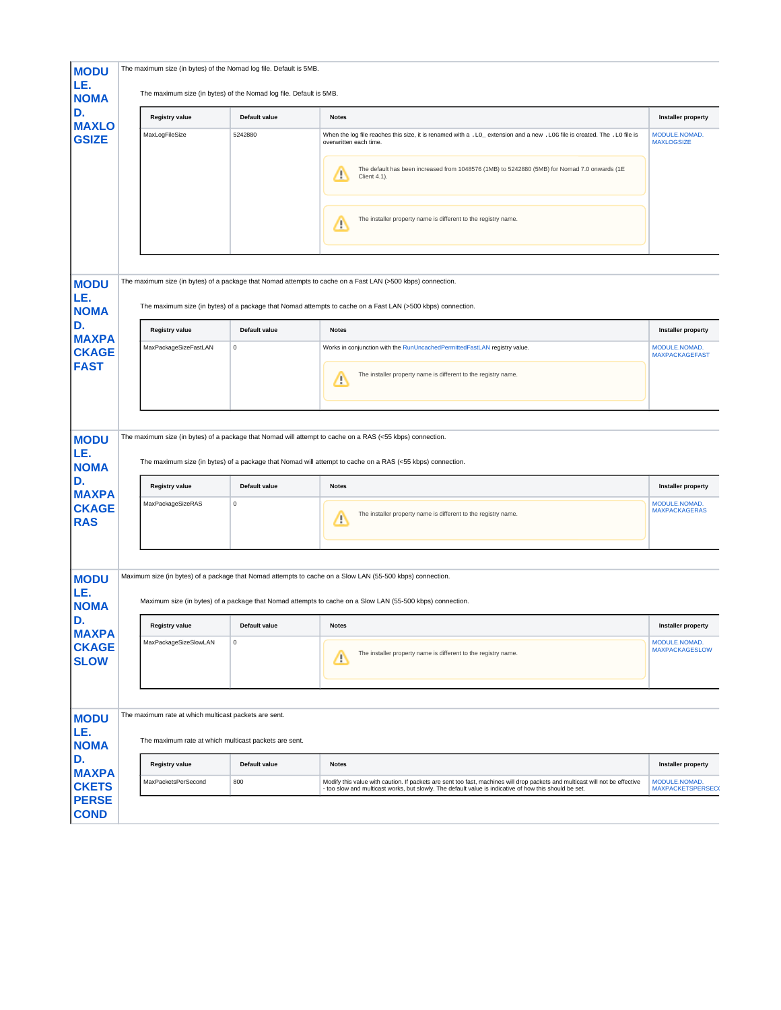| <b>MODU</b><br>LE.<br><b>NOMA</b>           | The maximum size (in bytes) of the Nomad log file. Default is 5MB.<br>The maximum size (in bytes) of the Nomad log file. Default is 5MB. |               |                                                                                                                                                                                                                                        |                                          |
|---------------------------------------------|------------------------------------------------------------------------------------------------------------------------------------------|---------------|----------------------------------------------------------------------------------------------------------------------------------------------------------------------------------------------------------------------------------------|------------------------------------------|
| D.<br><b>MAXLO</b>                          | <b>Registry value</b>                                                                                                                    | Default value | <b>Notes</b>                                                                                                                                                                                                                           | <b>Installer property</b>                |
| <b>GSIZE</b>                                | MaxLogFileSize                                                                                                                           | 5242880       | When the log file reaches this size, it is renamed with a .LO_extension and a new .LOG file is created. The .LO file is<br>overwritten each time.                                                                                      | MODULE.NOMAD.<br><b>MAXLOGSIZE</b>       |
|                                             |                                                                                                                                          |               | The default has been increased from 1048576 (1MB) to 5242880 (5MB) for Nomad 7.0 onwards (1E<br>Λ<br>Client 4.1).                                                                                                                      |                                          |
|                                             |                                                                                                                                          |               | The installer property name is different to the registry name.<br>Δ                                                                                                                                                                    |                                          |
|                                             |                                                                                                                                          |               |                                                                                                                                                                                                                                        |                                          |
| <b>MODU</b><br>LE.                          |                                                                                                                                          |               | The maximum size (in bytes) of a package that Nomad attempts to cache on a Fast LAN (>500 kbps) connection.                                                                                                                            |                                          |
| <b>NOMA</b>                                 |                                                                                                                                          |               | The maximum size (in bytes) of a package that Nomad attempts to cache on a Fast LAN (>500 kbps) connection.                                                                                                                            |                                          |
| D.<br><b>MAXPA</b>                          | <b>Registry value</b>                                                                                                                    | Default value | <b>Notes</b>                                                                                                                                                                                                                           | <b>Installer property</b>                |
| <b>CKAGE</b>                                | MaxPackageSizeFastLAN                                                                                                                    | $\mathsf 0$   | Works in conjunction with the RunUncachedPermittedFastLAN registry value.                                                                                                                                                              | MODULE.NOMAD.<br><b>MAXPACKAGEFAST</b>   |
| <b>FAST</b>                                 |                                                                                                                                          |               | The installer property name is different to the registry name.<br>Æ                                                                                                                                                                    |                                          |
| <b>MODU</b><br>LE.<br><b>NOMA</b><br>D.     | <b>Registry value</b>                                                                                                                    | Default value | The maximum size (in bytes) of a package that Nomad will attempt to cache on a RAS (<55 kbps) connection.<br>The maximum size (in bytes) of a package that Nomad will attempt to cache on a RAS (<55 kbps) connection.<br><b>Notes</b> | <b>Installer property</b>                |
| <b>MAXPA</b><br><b>CKAGE</b><br><b>RAS</b>  | MaxPackageSizeRAS                                                                                                                        | 0             | The installer property name is different to the registry name.<br><u>/r</u>                                                                                                                                                            | MODULE.NOMAD.<br><b>MAXPACKAGERAS</b>    |
| <b>MODU</b><br>LE.<br><b>NOMA</b>           |                                                                                                                                          |               | Maximum size (in bytes) of a package that Nomad attempts to cache on a Slow LAN (55-500 kbps) connection.<br>Maximum size (in bytes) of a package that Nomad attempts to cache on a Slow LAN (55-500 kbps) connection.                 |                                          |
| D.                                          | <b>Registry value</b>                                                                                                                    | Default value | <b>Notes</b>                                                                                                                                                                                                                           | <b>Installer property</b>                |
| <b>MAXPA</b><br><b>CKAGE</b><br><b>SLOW</b> | MaxPackageSizeSlowLAN                                                                                                                    | 0             | The installer property name is different to the registry name.<br>Δ                                                                                                                                                                    | MODULE.NOMAD.<br><b>MAXPACKAGESLOW</b>   |
| <b>MODU</b><br>LE.                          | The maximum rate at which multicast packets are sent.                                                                                    |               |                                                                                                                                                                                                                                        |                                          |
| <b>NOMA</b><br>D.                           | The maximum rate at which multicast packets are sent.                                                                                    |               |                                                                                                                                                                                                                                        |                                          |
| <b>MAXPA</b>                                | <b>Registry value</b>                                                                                                                    | Default value | <b>Notes</b>                                                                                                                                                                                                                           | <b>Installer property</b>                |
| <b>CKETS</b><br><b>PERSE</b><br><b>COND</b> | MaxPacketsPerSecond                                                                                                                      | 800           | Modify this value with caution. If packets are sent too fast, machines will drop packets and multicast will not be effective<br>- too slow and multicast works, but slowly. The default value is indicative of how this should be set. | MODULE.NOMAD.<br><b>MAXPACKETSPERSEC</b> |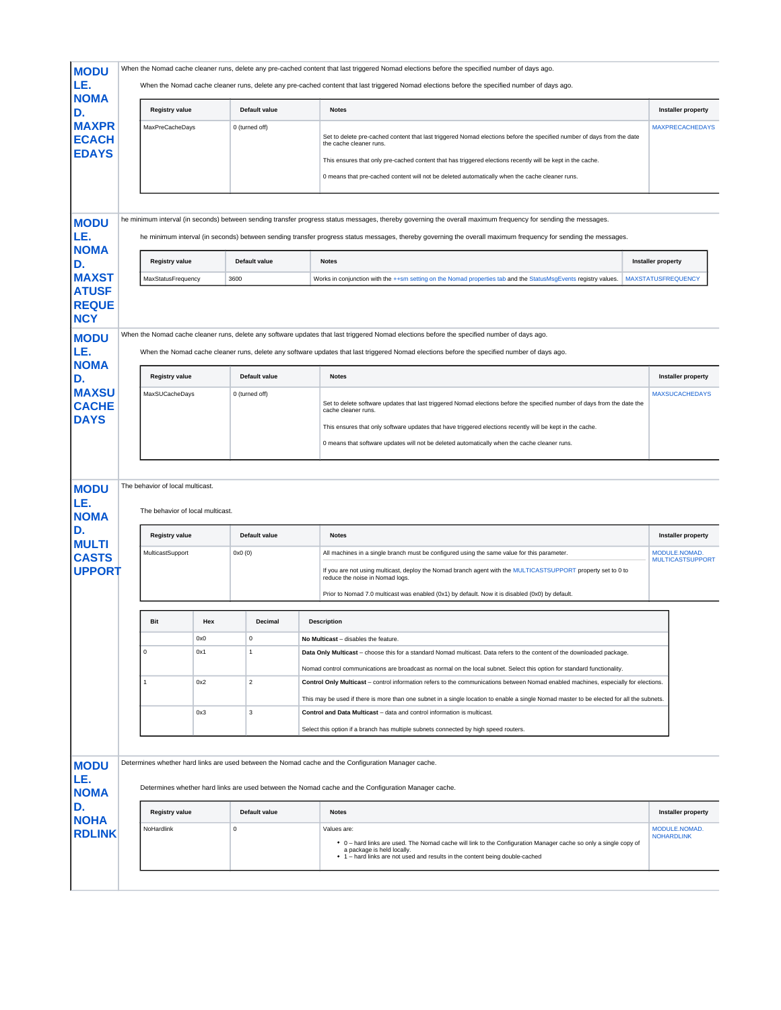| <b>MODU</b>                                  |                                                                      |     |             |                | When the Nomad cache cleaner runs, delete any pre-cached content that last triggered Nomad elections before the specified number of days ago.                                                                                                                                                                                                                     |                                          |
|----------------------------------------------|----------------------------------------------------------------------|-----|-------------|----------------|-------------------------------------------------------------------------------------------------------------------------------------------------------------------------------------------------------------------------------------------------------------------------------------------------------------------------------------------------------------------|------------------------------------------|
| LE.<br><b>NOMA</b>                           |                                                                      |     |             |                | When the Nomad cache cleaner runs, delete any pre-cached content that last triggered Nomad elections before the specified number of days ago.                                                                                                                                                                                                                     |                                          |
| D.                                           | <b>Registry value</b>                                                |     |             | Default value  | <b>Notes</b>                                                                                                                                                                                                                                                                                                                                                      | <b>Installer property</b>                |
| <b>MAXPR</b><br><b>ECACH</b><br><b>EDAYS</b> | MaxPreCacheDays                                                      |     |             | 0 (turned off) | Set to delete pre-cached content that last triggered Nomad elections before the specified number of days from the date<br>the cache cleaner runs.<br>This ensures that only pre-cached content that has triggered elections recently will be kept in the cache.<br>0 means that pre-cached content will not be deleted automatically when the cache cleaner runs. | <b>MAXPRECACHEDAYS</b>                   |
|                                              |                                                                      |     |             |                |                                                                                                                                                                                                                                                                                                                                                                   |                                          |
| <b>MODU</b><br>LE.                           |                                                                      |     |             |                | he minimum interval (in seconds) between sending transfer progress status messages, thereby governing the overall maximum frequency for sending the messages.<br>he minimum interval (in seconds) between sending transfer progress status messages, thereby governing the overall maximum frequency for sending the messages.                                    |                                          |
| <b>NOMA</b><br>D.                            | <b>Registry value</b>                                                |     |             | Default value  | <b>Notes</b>                                                                                                                                                                                                                                                                                                                                                      | <b>Installer property</b>                |
| <b>MAXST</b>                                 | MaxStatusFrequency                                                   |     | 3600        |                | Works in conjunction with the ++sm setting on the Nomad properties tab and the StatusMsgEvents registry values.                                                                                                                                                                                                                                                   | <b>MAXSTATUSFREQUENCY</b>                |
| <b>ATUSF</b><br><b>REQUE</b><br><b>NCY</b>   |                                                                      |     |             |                |                                                                                                                                                                                                                                                                                                                                                                   |                                          |
| <b>MODU</b><br>LE.<br><b>NOMA</b>            |                                                                      |     |             |                | When the Nomad cache cleaner runs, delete any software updates that last triggered Nomad elections before the specified number of days ago.<br>When the Nomad cache cleaner runs, delete any software updates that last triggered Nomad elections before the specified number of days ago.                                                                        |                                          |
| D.                                           | <b>Registry value</b>                                                |     |             | Default value  | <b>Notes</b>                                                                                                                                                                                                                                                                                                                                                      | <b>Installer property</b>                |
| <b>MAXSU</b><br><b>CACHE</b><br><b>DAYS</b>  | MaxSUCacheDays                                                       |     |             | 0 (turned off) | Set to delete software updates that last triggered Nomad elections before the specified number of days from the date the<br>cache cleaner runs.                                                                                                                                                                                                                   | <b>MAXSUCACHEDAYS</b>                    |
|                                              |                                                                      |     |             |                | This ensures that only software updates that have triggered elections recently will be kept in the cache.                                                                                                                                                                                                                                                         |                                          |
|                                              |                                                                      |     |             |                | 0 means that software updates will not be deleted automatically when the cache cleaner runs.                                                                                                                                                                                                                                                                      |                                          |
|                                              |                                                                      |     |             |                |                                                                                                                                                                                                                                                                                                                                                                   |                                          |
| <b>MODU</b><br>LE.<br><b>NOMA</b>            | The behavior of local multicast.<br>The behavior of local multicast. |     |             |                |                                                                                                                                                                                                                                                                                                                                                                   |                                          |
| D.<br><b>MULTI</b>                           | <b>Registry value</b>                                                |     |             | Default value  | <b>Notes</b>                                                                                                                                                                                                                                                                                                                                                      | <b>Installer property</b>                |
| <b>CASTS</b>                                 | MulticastSupport                                                     |     | 0x0(0)      |                | All machines in a single branch must be configured using the same value for this parameter.                                                                                                                                                                                                                                                                       | MODULE.NOMAD.<br><b>MULTICASTSUPPORT</b> |
| <b>UPPORT</b>                                |                                                                      |     |             |                | If you are not using multicast, deploy the Nomad branch agent with the MULTICASTSUPPORT property set to 0 to<br>reduce the noise in Nomad logs.                                                                                                                                                                                                                   |                                          |
|                                              |                                                                      |     |             |                | Prior to Nomad 7.0 multicast was enabled (0x1) by default. Now it is disabled (0x0) by default.                                                                                                                                                                                                                                                                   |                                          |
|                                              | Bit                                                                  | Hex |             | Decimal        | <b>Description</b>                                                                                                                                                                                                                                                                                                                                                |                                          |
|                                              |                                                                      | 0x0 |             | 0              | No Multicast - disables the feature.                                                                                                                                                                                                                                                                                                                              |                                          |
|                                              | 0                                                                    | 0x1 |             | 1              | Data Only Multicast - choose this for a standard Nomad multicast. Data refers to the content of the downloaded package.                                                                                                                                                                                                                                           |                                          |
|                                              |                                                                      |     |             |                | Nomad control communications are broadcast as normal on the local subnet. Select this option for standard functionality.                                                                                                                                                                                                                                          |                                          |
|                                              | -1                                                                   | 0x2 |             | $\overline{2}$ | Control Only Multicast - control information refers to the communications between Nomad enabled machines, especially for elections.                                                                                                                                                                                                                               |                                          |
|                                              |                                                                      | 0x3 |             | 3              | This may be used if there is more than one subnet in a single location to enable a single Nomad master to be elected for all the subnets.<br>Control and Data Multicast - data and control information is multicast.                                                                                                                                              |                                          |
|                                              |                                                                      |     |             |                | Select this option if a branch has multiple subnets connected by high speed routers.                                                                                                                                                                                                                                                                              |                                          |
|                                              |                                                                      |     |             |                |                                                                                                                                                                                                                                                                                                                                                                   |                                          |
| <b>MODU</b>                                  |                                                                      |     |             |                | Determines whether hard links are used between the Nomad cache and the Configuration Manager cache.                                                                                                                                                                                                                                                               |                                          |
| LE.<br><b>NOMA</b>                           |                                                                      |     |             |                | Determines whether hard links are used between the Nomad cache and the Configuration Manager cache.                                                                                                                                                                                                                                                               |                                          |
| D.<br><b>NOHA</b>                            | <b>Registry value</b>                                                |     |             | Default value  | <b>Notes</b>                                                                                                                                                                                                                                                                                                                                                      | <b>Installer property</b>                |
| <b>RDLINK</b>                                | NoHardlink                                                           |     | $\mathbf 0$ |                | Values are:<br>• 0 - hard links are used. The Nomad cache will link to the Configuration Manager cache so only a single copy of<br>a package is held locally.<br>• 1 - hard links are not used and results in the content being double-cached                                                                                                                     | MODULE.NOMAD.<br><b>NOHARDLINK</b>       |
|                                              |                                                                      |     |             |                |                                                                                                                                                                                                                                                                                                                                                                   |                                          |
|                                              |                                                                      |     |             |                |                                                                                                                                                                                                                                                                                                                                                                   |                                          |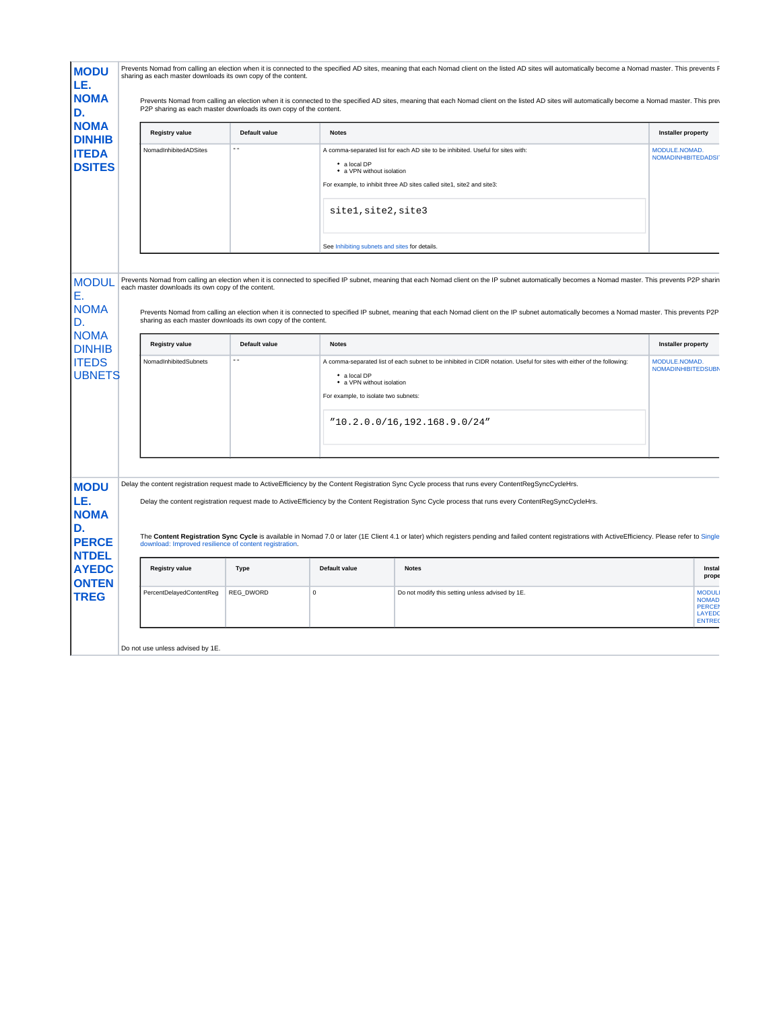| D.<br><b>NOMA</b>                                                                                 | P2P sharing as each master downloads its own copy of the content.                                                   |               |                                                                                   | Prevents Nomad from calling an election when it is connected to the specified AD sites, meaning that each Nomad client on the listed AD sites will automatically become a Nomad master. This pre-                                                                                                                                                                                                   |                                             |
|---------------------------------------------------------------------------------------------------|---------------------------------------------------------------------------------------------------------------------|---------------|-----------------------------------------------------------------------------------|-----------------------------------------------------------------------------------------------------------------------------------------------------------------------------------------------------------------------------------------------------------------------------------------------------------------------------------------------------------------------------------------------------|---------------------------------------------|
| <b>DINHIB</b>                                                                                     | Registry value                                                                                                      | Default value | <b>Notes</b>                                                                      |                                                                                                                                                                                                                                                                                                                                                                                                     | <b>Installer property</b>                   |
| <b>ITEDA</b><br><b>DSITES</b>                                                                     | NomadInhibitedADSites                                                                                               | $\sim$ $\sim$ | • a local DP<br>• a VPN without isolation<br>sitel, site2, site3                  | A comma-separated list for each AD site to be inhibited. Useful for sites with:<br>For example, to inhibit three AD sites called site1, site2 and site3:                                                                                                                                                                                                                                            | MODULE.NOMAD.<br><b>NOMADINHIBITEDADSI</b>  |
|                                                                                                   |                                                                                                                     |               |                                                                                   | See Inhibiting subnets and sites for details.                                                                                                                                                                                                                                                                                                                                                       |                                             |
| <b>MODUL</b><br><b>NOMA</b>                                                                       | each master downloads its own copy of the content.<br>sharing as each master downloads its own copy of the content. |               |                                                                                   | Prevents Nomad from calling an election when it is connected to specified IP subnet, meaning that each Nomad client on the IP subnet automatically becomes a Nomad master. This prevents P2P sharin<br>Prevents Nomad from calling an election when it is connected to specified IP subnet, meaning that each Nomad client on the IP subnet automatically becomes a Nomad master. This prevents P2P |                                             |
| D.<br><b>NOMA</b><br><b>DINHIB</b>                                                                | <b>Registry value</b>                                                                                               | Default value | <b>Notes</b>                                                                      |                                                                                                                                                                                                                                                                                                                                                                                                     | Installer property                          |
| <b>ITEDS</b><br><b>UBNETS</b>                                                                     | NomadInhibitedSubnets                                                                                               |               | • a local DP<br>• a VPN without isolation<br>For example, to isolate two subnets: | A comma-separated list of each subnet to be inhibited in CIDR notation. Useful for sites with either of the following:                                                                                                                                                                                                                                                                              | MODULE, NOMAD.<br><b>NOMADINHIBITEDSUBM</b> |
|                                                                                                   |                                                                                                                     |               |                                                                                   |                                                                                                                                                                                                                                                                                                                                                                                                     |                                             |
|                                                                                                   |                                                                                                                     |               |                                                                                   | "10.2.0.0/16,192.168.9.0/24"                                                                                                                                                                                                                                                                                                                                                                        |                                             |
|                                                                                                   |                                                                                                                     |               |                                                                                   | Delay the content registration request made to ActiveEfficiency by the Content Registration Sync Cycle process that runs every ContentRegSyncCycleHrs.                                                                                                                                                                                                                                              |                                             |
|                                                                                                   |                                                                                                                     |               |                                                                                   | Delay the content registration request made to ActiveEfficiency by the Content Registration Sync Cycle process that runs every ContentRegSyncCycleHrs.                                                                                                                                                                                                                                              |                                             |
|                                                                                                   | download: Improved resilience of content registration.                                                              |               |                                                                                   | The Content Registration Sync Cycle is available in Nomad 7.0 or later (1E Client 4.1 or later) which registers pending and failed content registrations with Active Efficiency. Please refer to Single                                                                                                                                                                                             |                                             |
| <b>MODU</b><br>LE.<br><b>NOMA</b><br><b>PERCE</b><br><b>NTDEL</b><br><b>AYEDC</b><br><b>ONTEN</b> | Registry value                                                                                                      | Type          | Default value                                                                     | <b>Notes</b>                                                                                                                                                                                                                                                                                                                                                                                        | Instal<br>prope                             |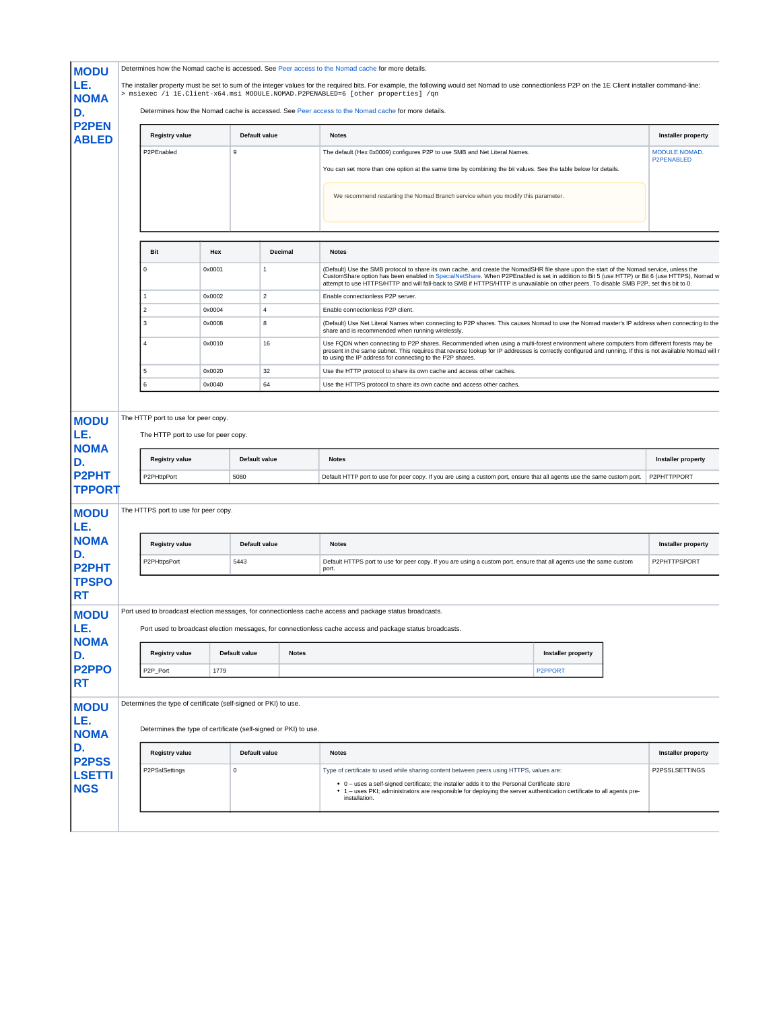|                                                                                                                                                                                                                                                                                                                |                                                                                                                                    |        |                                                |              | The installer property must be set to sum of the integer values for the required bits. For example, the following would set Nomad to use connectionless P2P on the 1E Client installer command-line:<br>> msiexec /i 1E.Client-x64.msi MODULE.NOMAD.P2PENABLED=6 [other properties] /qn                                                                                                                                              |                                                                                       |  |  |
|----------------------------------------------------------------------------------------------------------------------------------------------------------------------------------------------------------------------------------------------------------------------------------------------------------------|------------------------------------------------------------------------------------------------------------------------------------|--------|------------------------------------------------|--------------|--------------------------------------------------------------------------------------------------------------------------------------------------------------------------------------------------------------------------------------------------------------------------------------------------------------------------------------------------------------------------------------------------------------------------------------|---------------------------------------------------------------------------------------|--|--|
| LE.<br><b>NOMA</b><br>D.                                                                                                                                                                                                                                                                                       | Determines how the Nomad cache is accessed. See Peer access to the Nomad cache for more details.                                   |        |                                                |              |                                                                                                                                                                                                                                                                                                                                                                                                                                      |                                                                                       |  |  |
| <b>P2PEN</b><br><b>ABLED</b>                                                                                                                                                                                                                                                                                   | <b>Registry value</b>                                                                                                              |        | Default value                                  |              | <b>Notes</b>                                                                                                                                                                                                                                                                                                                                                                                                                         | <b>Installer property</b>                                                             |  |  |
|                                                                                                                                                                                                                                                                                                                | P2PEnabled                                                                                                                         |        | 9                                              |              | The default (Hex 0x0009) configures P2P to use SMB and Net Literal Names.                                                                                                                                                                                                                                                                                                                                                            | MODULE.NOMAD.                                                                         |  |  |
|                                                                                                                                                                                                                                                                                                                |                                                                                                                                    |        |                                                |              | You can set more than one option at the same time by combining the bit values. See the table below for details.                                                                                                                                                                                                                                                                                                                      | P2PENABLED                                                                            |  |  |
|                                                                                                                                                                                                                                                                                                                |                                                                                                                                    |        |                                                |              | We recommend restarting the Nomad Branch service when you modify this parameter.                                                                                                                                                                                                                                                                                                                                                     |                                                                                       |  |  |
|                                                                                                                                                                                                                                                                                                                | <b>Bit</b>                                                                                                                         | Hex    |                                                | Decimal      | <b>Notes</b>                                                                                                                                                                                                                                                                                                                                                                                                                         |                                                                                       |  |  |
|                                                                                                                                                                                                                                                                                                                | 0                                                                                                                                  | 0x0001 | $\overline{1}$                                 |              | (Default) Use the SMB protocol to share its own cache, and create the NomadSHR file share upon the start of the Nomad service, unless the<br>CustomShare option has been enabled in SpecialNetShare. When P2PEnabled is set in addition to Bit 5 (use HTTP) or Bit 6 (use HTTPS), Nomad w<br>attempt to use HTTPS/HTTP and will fall-back to SMB if HTTPS/HTTP is unavailable on other peers. To disable SMB P2P, set this bit to 0. |                                                                                       |  |  |
|                                                                                                                                                                                                                                                                                                                | 1                                                                                                                                  | 0x0002 | $\overline{2}$                                 |              | Enable connectionless P2P server.                                                                                                                                                                                                                                                                                                                                                                                                    |                                                                                       |  |  |
|                                                                                                                                                                                                                                                                                                                | $\sqrt{2}$                                                                                                                         | 0x0004 | 4                                              |              | Enable connectionless P2P client.                                                                                                                                                                                                                                                                                                                                                                                                    |                                                                                       |  |  |
|                                                                                                                                                                                                                                                                                                                | $\mathbf 3$                                                                                                                        | 0x0008 | 8                                              |              | (Default) Use Net Literal Names when connecting to P2P shares. This causes Nomad to use the Nomad master's IP address when connecting to the<br>share and is recommended when running wirelessly.                                                                                                                                                                                                                                    |                                                                                       |  |  |
|                                                                                                                                                                                                                                                                                                                | $\overline{4}$                                                                                                                     | 0x0010 | 16                                             |              | Use FQDN when connecting to P2P shares. Recommended when using a multi-forest environment where computers from different forests may be<br>present in the same subnet. This requires that reverse lookup for IP addresses is correctly configured and running. If this is not available Nomad will r<br>to using the IP address for connecting to the P2P shares.                                                                    |                                                                                       |  |  |
|                                                                                                                                                                                                                                                                                                                | 5                                                                                                                                  | 0x0020 | 32                                             |              | Use the HTTP protocol to share its own cache and access other caches.                                                                                                                                                                                                                                                                                                                                                                |                                                                                       |  |  |
|                                                                                                                                                                                                                                                                                                                | 6                                                                                                                                  | 0x0040 | 64                                             |              | Use the HTTPS protocol to share its own cache and access other caches.                                                                                                                                                                                                                                                                                                                                                               |                                                                                       |  |  |
|                                                                                                                                                                                                                                                                                                                | The HTTP port to use for peer copy.<br>The HTTP port to use for peer copy.                                                         |        |                                                |              |                                                                                                                                                                                                                                                                                                                                                                                                                                      |                                                                                       |  |  |
|                                                                                                                                                                                                                                                                                                                | <b>Registry value</b><br>P2PHttpPort<br>The HTTPS port to use for peer copy.<br><b>Registry value</b><br>P2PHttpsPort              |        | Default value<br>5080<br>Default value<br>5443 |              | <b>Notes</b><br>Default HTTP port to use for peer copy. If you are using a custom port, ensure that all agents use the same custom port.<br><b>Notes</b><br>Default HTTPS port to use for peer copy. If you are using a custom port, ensure that all agents use the same custom                                                                                                                                                      | <b>Installer property</b><br>P2PHTTPPORT<br><b>Installer property</b><br>P2PHTTPSPORT |  |  |
|                                                                                                                                                                                                                                                                                                                |                                                                                                                                    |        |                                                |              | port.<br>Port used to broadcast election messages, for connectionless cache access and package status broadcasts.                                                                                                                                                                                                                                                                                                                    |                                                                                       |  |  |
|                                                                                                                                                                                                                                                                                                                |                                                                                                                                    |        |                                                |              | Port used to broadcast election messages, for connectionless cache access and package status broadcasts.                                                                                                                                                                                                                                                                                                                             |                                                                                       |  |  |
|                                                                                                                                                                                                                                                                                                                | <b>Registry value</b>                                                                                                              |        | Default value                                  | <b>Notes</b> | Installer property                                                                                                                                                                                                                                                                                                                                                                                                                   |                                                                                       |  |  |
|                                                                                                                                                                                                                                                                                                                | P2P_Port                                                                                                                           | 1779   |                                                |              | P2PPORT                                                                                                                                                                                                                                                                                                                                                                                                                              |                                                                                       |  |  |
|                                                                                                                                                                                                                                                                                                                | Determines the type of certificate (self-signed or PKI) to use.<br>Determines the type of certificate (self-signed or PKI) to use. |        |                                                |              |                                                                                                                                                                                                                                                                                                                                                                                                                                      |                                                                                       |  |  |
| <b>MODU</b><br>LE.<br><b>NOMA</b><br>D.<br><b>P2PHT</b><br><b>TPPORT</b><br><b>MODU</b><br>LE.<br><b>NOMA</b><br>D.<br><b>P2PHT</b><br><b>TPSPO</b><br><b>RT</b><br><b>MODU</b><br>LE.<br><b>NOMA</b><br>D.<br>P <sub>2</sub> PP <sub>O</sub><br><b>RT</b><br><b>MODU</b><br>LE.<br><b>NOMA</b><br>D.<br>P2PSS | <b>Registry value</b>                                                                                                              |        | Default value                                  |              | <b>Notes</b>                                                                                                                                                                                                                                                                                                                                                                                                                         | <b>Installer property</b>                                                             |  |  |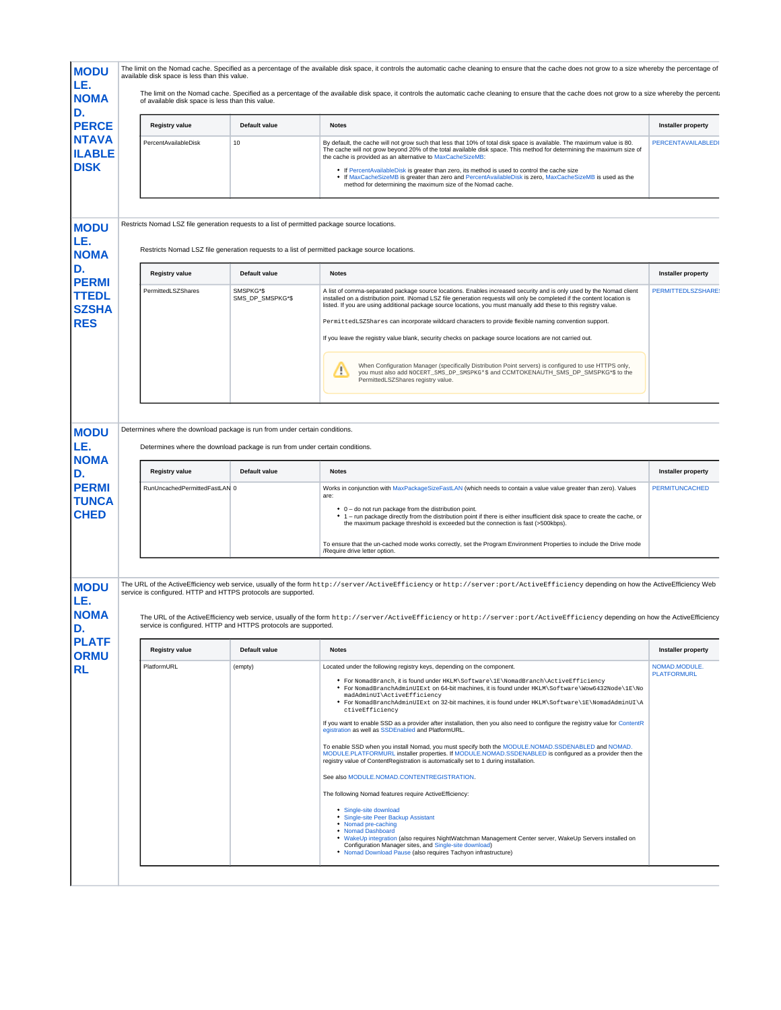| <b>MODU</b>                                                                            | available disk space is less than this value.                                                                                                              |                                                | The limit on the Nomad cache. Specified as a percentage of the available disk space, it controls the automatic cache cleaning to ensure that the cache does not grow to a size whereby the percentage of                                                                                                                                                                                                                                                                                                                                                                                                                                                                                                                                                                                                                                                                                                                                                                                                                                                                                                                                                |                                                       |
|----------------------------------------------------------------------------------------|------------------------------------------------------------------------------------------------------------------------------------------------------------|------------------------------------------------|---------------------------------------------------------------------------------------------------------------------------------------------------------------------------------------------------------------------------------------------------------------------------------------------------------------------------------------------------------------------------------------------------------------------------------------------------------------------------------------------------------------------------------------------------------------------------------------------------------------------------------------------------------------------------------------------------------------------------------------------------------------------------------------------------------------------------------------------------------------------------------------------------------------------------------------------------------------------------------------------------------------------------------------------------------------------------------------------------------------------------------------------------------|-------------------------------------------------------|
| LE.<br><b>NOMA</b>                                                                     | of available disk space is less than this value.                                                                                                           |                                                | The limit on the Nomad cache. Specified as a percentage of the available disk space, it controls the automatic cache cleaning to ensure that the cache does not grow to a size whereby the percent                                                                                                                                                                                                                                                                                                                                                                                                                                                                                                                                                                                                                                                                                                                                                                                                                                                                                                                                                      |                                                       |
| D.<br><b>PERCE</b>                                                                     | <b>Registry value</b>                                                                                                                                      | Default value                                  | <b>Notes</b>                                                                                                                                                                                                                                                                                                                                                                                                                                                                                                                                                                                                                                                                                                                                                                                                                                                                                                                                                                                                                                                                                                                                            | <b>Installer property</b>                             |
| <b>NTAVA</b><br><b>ILABLE</b><br><b>DISK</b>                                           | PercentAvailableDisk                                                                                                                                       | 10                                             | By default, the cache will not grow such that less that 10% of total disk space is available. The maximum value is 80.<br>The cache will not grow beyond 20% of the total available disk space. This method for determining the maximum size of<br>the cache is provided as an alternative to MaxCacheSizeMB:<br>• If PercentAvailableDisk is greater than zero, its method is used to control the cache size<br>• If MaxCacheSizeMB is greater than zero and PercentAvailableDisk is zero, MaxCacheSizeMB is used as the<br>method for determining the maximum size of the Nomad cache.                                                                                                                                                                                                                                                                                                                                                                                                                                                                                                                                                                | <b>PERCENTAVAILABLEDI</b>                             |
| LE.<br><b>NOMA</b><br>D.<br><b>PERMI</b><br><b>TTEDL</b><br><b>SZSHA</b><br><b>RES</b> | <b>Registry value</b><br>PermittedLSZShares                                                                                                                | Default value<br>SMSPKG*\$<br>SMS_DP_SMSPKG*\$ | Restricts Nomad LSZ file generation requests to a list of permitted package source locations.<br><b>Notes</b><br>A list of comma-separated package source locations. Enables increased security and is only used by the Nomad client<br>installed on a distribution point. INomad LSZ file generation requests will only be completed if the content location is<br>listed. If you are using additional package source locations, you must manually add these to this registry value.<br>PermittedLSZShares can incorporate wildcard characters to provide flexible naming convention support.<br>If you leave the registry value blank, security checks on package source locations are not carried out.<br>When Configuration Manager (specifically Distribution Point servers) is configured to use HTTPS only,                                                                                                                                                                                                                                                                                                                                      | <b>Installer property</b><br><b>PERMITTEDLSZSHARE</b> |
| <b>MODU</b><br>LE.                                                                     | Determines where the download package is run from under certain conditions.<br>Determines where the download package is run from under certain conditions. |                                                | m<br>you must also add NOCERT_SMS_DP_SMSPKG*\$ and CCMTOKENAUTH_SMS_DP_SMSPKG*\$ to the<br>PermittedLSZShares registry value.                                                                                                                                                                                                                                                                                                                                                                                                                                                                                                                                                                                                                                                                                                                                                                                                                                                                                                                                                                                                                           |                                                       |
| <b>NOMA</b><br>D.                                                                      | <b>Registry value</b>                                                                                                                                      | Default value                                  | <b>Notes</b>                                                                                                                                                                                                                                                                                                                                                                                                                                                                                                                                                                                                                                                                                                                                                                                                                                                                                                                                                                                                                                                                                                                                            | <b>Installer property</b>                             |
| <b>PERMI</b><br><b>TUNCA</b><br><b>CHED</b>                                            | RunUncachedPermittedFastLAN 0                                                                                                                              |                                                | Works in conjunction with MaxPackageSizeFastLAN (which needs to contain a value value greater than zero). Values<br>are:<br>• 0 - do not run package from the distribution point.<br>• 1 - run package directly from the distribution point if there is either insufficient disk space to create the cache, or<br>the maximum package threshold is exceeded but the connection is fast (>500kbps).<br>To ensure that the un-cached mode works correctly, set the Program Environment Properties to include the Drive mode<br>/Require drive letter option.                                                                                                                                                                                                                                                                                                                                                                                                                                                                                                                                                                                              | <b>PERMITUNCACHED</b>                                 |
| <b>MODU</b><br>LE.<br><b>NOMA</b><br>D.<br><b>PLATF</b>                                | service is configured. HTTP and HTTPS protocols are supported.<br>service is configured. HTTP and HTTPS protocols are supported.<br><b>Registry value</b>  | Default value                                  | The URL of the ActiveEfficiency web service, usually of the form http://server/ActiveEfficiency or http://server:port/ActiveEfficiency 20thttp://server:port/ActiveEfficiency depending on how the ActiveEfficiency Web<br>The URL of the ActiveEfficiency web service, usually of the form http://server/ActiveEfficiency or http://server:port/ActiveEfficiency depending on how the ActiveEfficiency<br><b>Notes</b>                                                                                                                                                                                                                                                                                                                                                                                                                                                                                                                                                                                                                                                                                                                                 | <b>Installer property</b>                             |
| <b>ORMU</b>                                                                            |                                                                                                                                                            |                                                |                                                                                                                                                                                                                                                                                                                                                                                                                                                                                                                                                                                                                                                                                                                                                                                                                                                                                                                                                                                                                                                                                                                                                         |                                                       |
| <b>RL</b>                                                                              | PlatformURL                                                                                                                                                | (empty)                                        | Located under the following registry keys, depending on the component.<br>. For NomadBranch, it is found under HKLM\Software\1E\NomadBranch\ActiveEfficiency<br>• For NomadBranchAdminUIExt on 64-bit machines, it is found under HKLM\Software\Now6432Node\1E\No<br>madAdminUI\ActiveEfficiency<br>• For NomadBranchAdminUIExt on 32-bit machines, it is found under HKLM\Software\1E\NomadAdminUI\A<br>ctiveEfficiencv<br>If you want to enable SSD as a provider after installation, then you also need to configure the registry value for ContentR<br>egistration as well as SSDEnabled and PlatformURL.<br>To enable SSD when you install Nomad, you must specify both the MODULE.NOMAD.SSDENABLED and NOMAD.<br>MODULE.PLATFORMURL installer properties. If MODULE.NOMAD.SSDENABLED is configured as a provider then the<br>registry value of ContentRegistration is automatically set to 1 during installation.<br>See also MODULE.NOMAD.CONTENTREGISTRATION.<br>The following Nomad features require ActiveEfficiency:<br>• Single-site download<br><sup>•</sup> Single-site Peer Backup Assistant<br>• Nomad pre-caching<br>• Nomad Dashboard | NOMAD.MODULE.<br><b>PLATFORMURL</b>                   |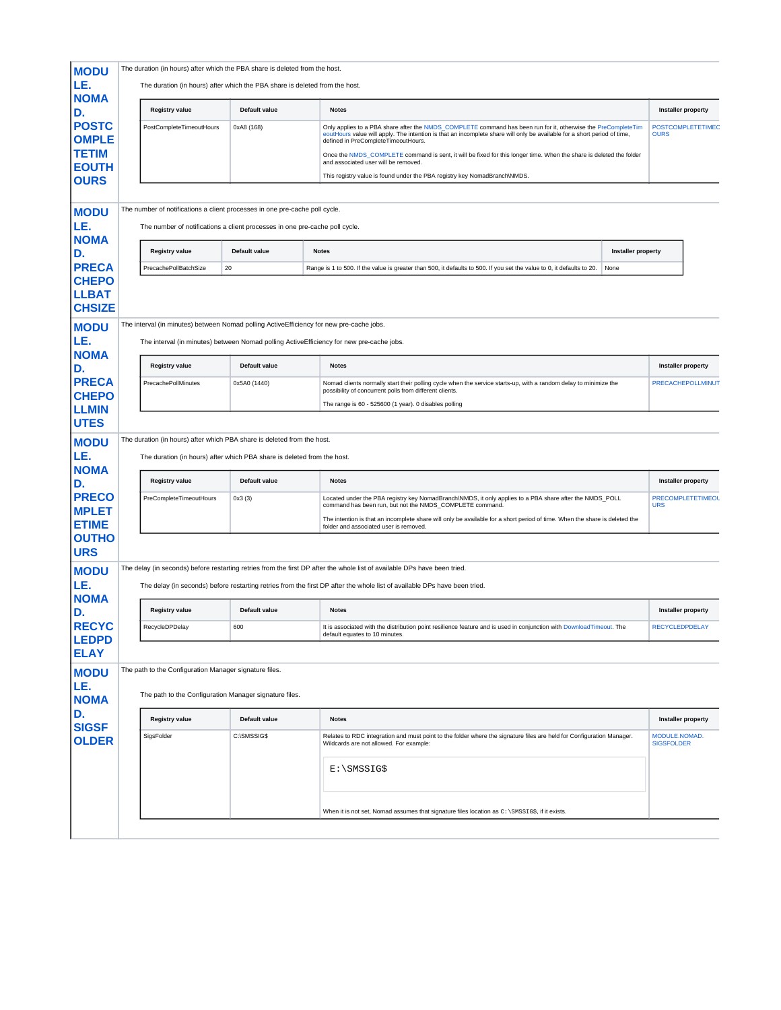| <b>MODU</b>                                                                 | The duration (in hours) after which the PBA share is deleted from the host. |               |                                                                                                                                                                                                                                                                                                                                                                                                                                                                                                                              |                                         |
|-----------------------------------------------------------------------------|-----------------------------------------------------------------------------|---------------|------------------------------------------------------------------------------------------------------------------------------------------------------------------------------------------------------------------------------------------------------------------------------------------------------------------------------------------------------------------------------------------------------------------------------------------------------------------------------------------------------------------------------|-----------------------------------------|
| LE.<br><b>NOMA</b>                                                          | The duration (in hours) after which the PBA share is deleted from the host. |               |                                                                                                                                                                                                                                                                                                                                                                                                                                                                                                                              |                                         |
| D.                                                                          | <b>Registry value</b>                                                       | Default value | <b>Notes</b>                                                                                                                                                                                                                                                                                                                                                                                                                                                                                                                 | <b>Installer property</b>               |
| <b>POSTC</b><br><b>OMPLE</b><br><b>TETIM</b><br><b>EOUTH</b><br><b>OURS</b> | PostCompleteTimeoutHours                                                    | 0xA8 (168)    | Only applies to a PBA share after the NMDS_COMPLETE command has been run for it, otherwise the PreCompleteTim<br>eoutHours value will apply. The intention is that an incomplete share will only be available for a short period of time,<br>defined in PreCompleteTimeoutHours.<br>Once the NMDS_COMPLETE command is sent, it will be fixed for this longer time. When the share is deleted the folder<br>and associated user will be removed.<br>This registry value is found under the PBA registry key NomadBranch\NMDS. | <b>POSTCOMPLETETIMEC</b><br><b>OURS</b> |
| <b>MODU</b>                                                                 | The number of notifications a client processes in one pre-cache poll cycle. |               |                                                                                                                                                                                                                                                                                                                                                                                                                                                                                                                              |                                         |
| LE.<br><b>NOMA</b>                                                          | The number of notifications a client processes in one pre-cache poll cycle. |               |                                                                                                                                                                                                                                                                                                                                                                                                                                                                                                                              |                                         |
| D.                                                                          | <b>Registry value</b>                                                       | Default value | Installer property<br><b>Notes</b>                                                                                                                                                                                                                                                                                                                                                                                                                                                                                           |                                         |
| <b>PRECA</b><br><b>CHEPO</b>                                                | PrecachePollBatchSize                                                       | 20            | Range is 1 to 500. If the value is greater than 500, it defaults to 500. If you set the value to 0, it defaults to 20.<br>None                                                                                                                                                                                                                                                                                                                                                                                               |                                         |
| <b>LLBAT</b><br><b>CHSIZE</b>                                               |                                                                             |               |                                                                                                                                                                                                                                                                                                                                                                                                                                                                                                                              |                                         |
| <b>MODU</b>                                                                 |                                                                             |               | The interval (in minutes) between Nomad polling ActiveEfficiency for new pre-cache jobs.                                                                                                                                                                                                                                                                                                                                                                                                                                     |                                         |
| LE.<br><b>NOMA</b>                                                          |                                                                             |               | The interval (in minutes) between Nomad polling ActiveEfficiency for new pre-cache jobs.                                                                                                                                                                                                                                                                                                                                                                                                                                     |                                         |
| D.                                                                          | <b>Registry value</b>                                                       | Default value | <b>Notes</b>                                                                                                                                                                                                                                                                                                                                                                                                                                                                                                                 | Installer property                      |
| <b>PRECA</b><br><b>CHEPO</b>                                                | PrecachePollMinutes                                                         | 0x5A0 (1440)  | Nomad clients normally start their polling cycle when the service starts-up, with a random delay to minimize the<br>possibility of concurrent polls from different clients.<br>The range is 60 - 525600 (1 year). 0 disables polling                                                                                                                                                                                                                                                                                         | PRECACHEPOLLMINUT                       |
| <b>LLMIN</b><br><b>UTES</b>                                                 |                                                                             |               |                                                                                                                                                                                                                                                                                                                                                                                                                                                                                                                              |                                         |
| <b>MODU</b>                                                                 | The duration (in hours) after which PBA share is deleted from the host.     |               |                                                                                                                                                                                                                                                                                                                                                                                                                                                                                                                              |                                         |
| LE.<br><b>NOMA</b>                                                          | The duration (in hours) after which PBA share is deleted from the host.     |               |                                                                                                                                                                                                                                                                                                                                                                                                                                                                                                                              |                                         |
| D.                                                                          | <b>Registry value</b>                                                       | Default value | <b>Notes</b>                                                                                                                                                                                                                                                                                                                                                                                                                                                                                                                 | <b>Installer property</b>               |
| <b>PRECO</b><br><b>MPLET</b>                                                | PreCompleteTimeoutHours                                                     | 0x3(3)        | Located under the PBA registry key NomadBranch\NMDS, it only applies to a PBA share after the NMDS_POLL<br>command has been run, but not the NMDS_COMPLETE command.<br>The intention is that an incomplete share will only be available for a short period of time. When the share is deleted the                                                                                                                                                                                                                            | <b>PRECOMPLETETIMEOL</b><br><b>URS</b>  |
| <b>ETIME</b><br><b>OUTHO</b>                                                |                                                                             |               | folder and associated user is removed.                                                                                                                                                                                                                                                                                                                                                                                                                                                                                       |                                         |
| <b>URS</b><br><b>MODU</b>                                                   |                                                                             |               | The delay (in seconds) before restarting retries from the first DP after the whole list of available DPs have been tried.                                                                                                                                                                                                                                                                                                                                                                                                    |                                         |
| LE.                                                                         |                                                                             |               | The delay (in seconds) before restarting retries from the first DP after the whole list of available DPs have been tried.                                                                                                                                                                                                                                                                                                                                                                                                    |                                         |
| <b>NOMA</b><br>D.                                                           | <b>Registry value</b>                                                       | Default value | <b>Notes</b>                                                                                                                                                                                                                                                                                                                                                                                                                                                                                                                 | Installer property                      |
| <b>RECYC</b><br><b>LEDPD</b>                                                | RecycleDPDelay                                                              | 600           | It is associated with the distribution point resilience feature and is used in conjunction with DownloadTimeout. The<br>default equates to 10 minutes.                                                                                                                                                                                                                                                                                                                                                                       | <b>RECYCLEDPDELAY</b>                   |
| <b>ELAY</b>                                                                 |                                                                             |               |                                                                                                                                                                                                                                                                                                                                                                                                                                                                                                                              |                                         |
| <b>MODU</b><br>LE.                                                          | The path to the Configuration Manager signature files.                      |               |                                                                                                                                                                                                                                                                                                                                                                                                                                                                                                                              |                                         |
| <b>NOMA</b>                                                                 | The path to the Configuration Manager signature files.                      |               |                                                                                                                                                                                                                                                                                                                                                                                                                                                                                                                              |                                         |
| D.<br><b>SIGSF</b>                                                          | <b>Registry value</b>                                                       | Default value | <b>Notes</b>                                                                                                                                                                                                                                                                                                                                                                                                                                                                                                                 | <b>Installer property</b>               |
| <b>OLDER</b>                                                                | SigsFolder                                                                  | C:\SMSSIG\$   | Relates to RDC integration and must point to the folder where the signature files are held for Configuration Manager.<br>Wildcards are not allowed. For example:                                                                                                                                                                                                                                                                                                                                                             | MODULE.NOMAD.<br><b>SIGSFOLDER</b>      |
|                                                                             |                                                                             |               | $E:\S$ MSSIG\$                                                                                                                                                                                                                                                                                                                                                                                                                                                                                                               |                                         |
|                                                                             |                                                                             |               | When it is not set, Nomad assumes that signature files location as $c:\s s$ if it exists.                                                                                                                                                                                                                                                                                                                                                                                                                                    |                                         |
|                                                                             |                                                                             |               |                                                                                                                                                                                                                                                                                                                                                                                                                                                                                                                              |                                         |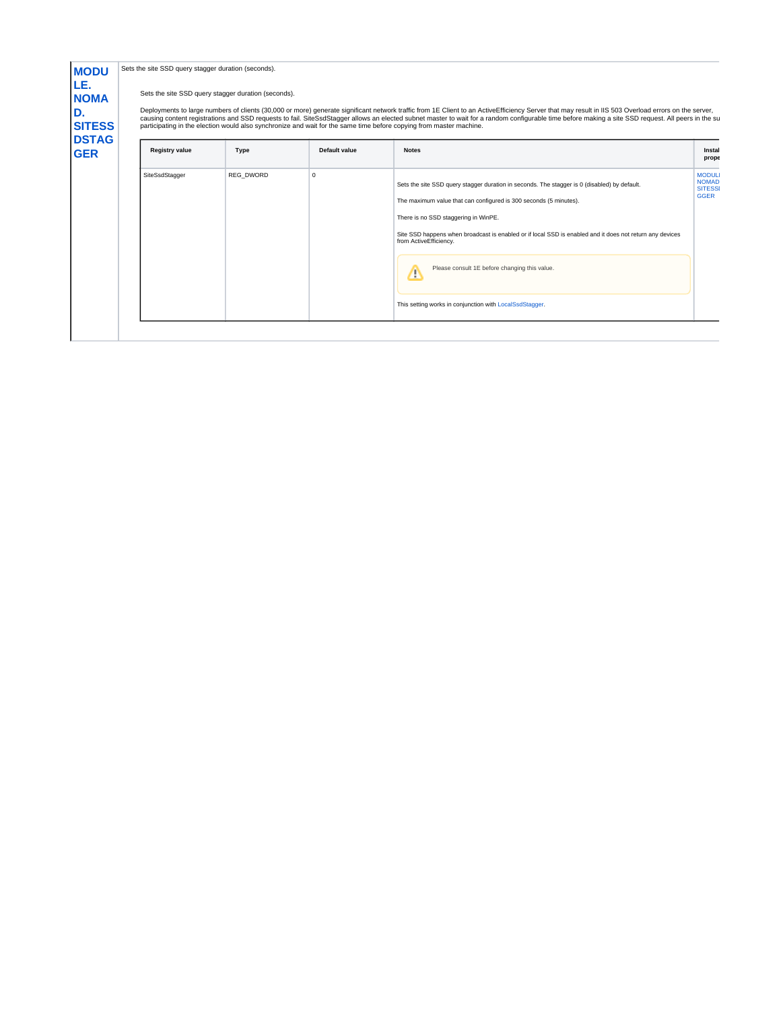| <b>MODU</b>                | Sets the site SSD query stagger duration (seconds). |                                                     |               |                                                                                                                                                                                                                                                                                                                                                                                                                                                                                                                                    |                                                               |
|----------------------------|-----------------------------------------------------|-----------------------------------------------------|---------------|------------------------------------------------------------------------------------------------------------------------------------------------------------------------------------------------------------------------------------------------------------------------------------------------------------------------------------------------------------------------------------------------------------------------------------------------------------------------------------------------------------------------------------|---------------------------------------------------------------|
| LE.<br><b>NOMA</b>         |                                                     | Sets the site SSD query stagger duration (seconds). |               |                                                                                                                                                                                                                                                                                                                                                                                                                                                                                                                                    |                                                               |
| D.<br><b>SITESS</b>        |                                                     |                                                     |               | Deployments to large numbers of clients (30,000 or more) generate significant network traffic from 1E Client to an ActiveEfficiency Server that may result in IIS 503 Overload errors on the server,<br>causing content registrations and SSD requests to fail. SiteSsdStagger allows an elected subnet master to wait for a random configurable time before making a site SSD request. All peers in the su<br>participating in the election would also synchronize and wait for the same time before copying from master machine. |                                                               |
| <b>DSTAG</b><br><b>GER</b> | <b>Registry value</b>                               | Type                                                | Default value | <b>Notes</b>                                                                                                                                                                                                                                                                                                                                                                                                                                                                                                                       | Instal<br>prope                                               |
|                            | SiteSsdStagger                                      | REG DWORD                                           | $\Omega$      | Sets the site SSD query stagger duration in seconds. The stagger is 0 (disabled) by default.<br>The maximum value that can configured is 300 seconds (5 minutes).<br>There is no SSD staggering in WinPE.<br>Site SSD happens when broadcast is enabled or if local SSD is enabled and it does not return any devices<br>from ActiveEfficiency.<br>Please consult 1E before changing this value.<br>Δ<br>This setting works in conjunction with LocalSsdStagger.                                                                   | <b>MODUL</b><br><b>NOMAD</b><br><b>SITESSI</b><br><b>GGER</b> |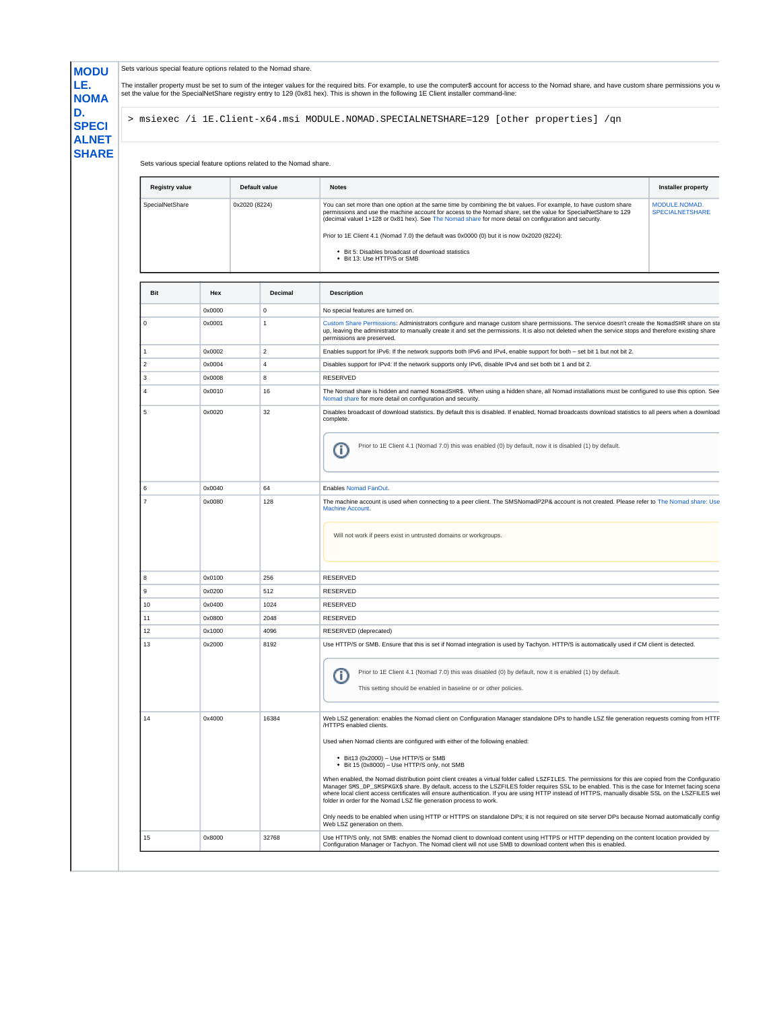|                       |                  |                                                                  | > msiexec /i 1E.Client-x64.msi MODULE.NOMAD.SPECIALNETSHARE=129 [other properties] /qn                                                                                                                                                                                                                                                                                                                                                                                                                                                                                                                                                                                                                                                                                                                                                                                                                                                                                                                                                     |                                         |  |
|-----------------------|------------------|------------------------------------------------------------------|--------------------------------------------------------------------------------------------------------------------------------------------------------------------------------------------------------------------------------------------------------------------------------------------------------------------------------------------------------------------------------------------------------------------------------------------------------------------------------------------------------------------------------------------------------------------------------------------------------------------------------------------------------------------------------------------------------------------------------------------------------------------------------------------------------------------------------------------------------------------------------------------------------------------------------------------------------------------------------------------------------------------------------------------|-----------------------------------------|--|
|                       |                  | Sets various special feature options related to the Nomad share. |                                                                                                                                                                                                                                                                                                                                                                                                                                                                                                                                                                                                                                                                                                                                                                                                                                                                                                                                                                                                                                            |                                         |  |
| <b>Registry value</b> |                  | Default value                                                    | <b>Notes</b>                                                                                                                                                                                                                                                                                                                                                                                                                                                                                                                                                                                                                                                                                                                                                                                                                                                                                                                                                                                                                               | <b>Installer property</b>               |  |
| SpecialNetShare       |                  | 0x2020 (8224)                                                    | You can set more than one option at the same time by combining the bit values. For example, to have custom share<br>permissions and use the machine account for access to the Nomad share, set the value for SpecialNetShare to 129<br>(decimal valuel 1+128 or 0x81 hex). See The Nomad share for more detail on configuration and security.<br>Prior to 1E Client 4.1 (Nomad 7.0) the default was 0x0000 (0) but it is now 0x2020 (8224):<br>• Bit 5: Disables broadcast of download statistics<br>• Bit 13: Use HTTP/S or SMB                                                                                                                                                                                                                                                                                                                                                                                                                                                                                                           | MODULE.NOMAD.<br><b>SPECIALNETSHARE</b> |  |
| Bit                   | Hex              | Decimal                                                          | <b>Description</b>                                                                                                                                                                                                                                                                                                                                                                                                                                                                                                                                                                                                                                                                                                                                                                                                                                                                                                                                                                                                                         |                                         |  |
|                       | 0x0000           | $\mathbf 0$                                                      | No special features are turned on.                                                                                                                                                                                                                                                                                                                                                                                                                                                                                                                                                                                                                                                                                                                                                                                                                                                                                                                                                                                                         |                                         |  |
| 0                     | 0x0001           | $\overline{1}$                                                   | Custom Share Permissions: Administrators configure and manage custom share permissions. The service doesn't create the NomadSHR share on sta<br>up, leaving the administrator to manually create it and set the permissions. It is also not deleted when the service stops and therefore existing share<br>permissions are preserved.                                                                                                                                                                                                                                                                                                                                                                                                                                                                                                                                                                                                                                                                                                      |                                         |  |
| 1                     | 0x0002           | $\overline{2}$                                                   | Enables support for IPv6: If the network supports both IPv6 and IPv4, enable support for both - set bit 1 but not bit 2.                                                                                                                                                                                                                                                                                                                                                                                                                                                                                                                                                                                                                                                                                                                                                                                                                                                                                                                   |                                         |  |
| 2                     | 0x0004           | $\overline{4}$                                                   | Disables support for IPv4: If the network supports only IPv6, disable IPv4 and set both bit 1 and bit 2.                                                                                                                                                                                                                                                                                                                                                                                                                                                                                                                                                                                                                                                                                                                                                                                                                                                                                                                                   |                                         |  |
| 3                     | 0x0008           | 8                                                                | <b>RESERVED</b>                                                                                                                                                                                                                                                                                                                                                                                                                                                                                                                                                                                                                                                                                                                                                                                                                                                                                                                                                                                                                            |                                         |  |
| 4                     | 0x0010           | 16                                                               | The Nomad share is hidden and named NomadSHR\$. When using a hidden share, all Nomad installations must be configured to use this option. See<br>Nomad share for more detail on configuration and security.                                                                                                                                                                                                                                                                                                                                                                                                                                                                                                                                                                                                                                                                                                                                                                                                                                |                                         |  |
| 5                     | 0x0020           | 32                                                               | Disables broadcast of download statistics. By default this is disabled. If enabled, Nomad broadcasts download statistics to all peers when a download<br>complete.<br>Prior to 1E Client 4.1 (Nomad 7.0) this was enabled (0) by default, now it is disabled (1) by default.<br>G                                                                                                                                                                                                                                                                                                                                                                                                                                                                                                                                                                                                                                                                                                                                                          |                                         |  |
| 6                     | 0x0040           | 64                                                               | Enables Nomad FanOut.                                                                                                                                                                                                                                                                                                                                                                                                                                                                                                                                                                                                                                                                                                                                                                                                                                                                                                                                                                                                                      |                                         |  |
| 7                     | 0x0080           | 128                                                              | The machine account is used when connecting to a peer client. The SMSNomadP2P& account is not created. Please refer to The Nomad share: Use<br>Machine Account.<br>Will not work if peers exist in untrusted domains or workgroups.                                                                                                                                                                                                                                                                                                                                                                                                                                                                                                                                                                                                                                                                                                                                                                                                        |                                         |  |
|                       |                  |                                                                  |                                                                                                                                                                                                                                                                                                                                                                                                                                                                                                                                                                                                                                                                                                                                                                                                                                                                                                                                                                                                                                            |                                         |  |
| 8                     | 0x0100           | 256                                                              | RESERVED                                                                                                                                                                                                                                                                                                                                                                                                                                                                                                                                                                                                                                                                                                                                                                                                                                                                                                                                                                                                                                   |                                         |  |
| 9                     | 0x0200           | 512                                                              | RESERVED                                                                                                                                                                                                                                                                                                                                                                                                                                                                                                                                                                                                                                                                                                                                                                                                                                                                                                                                                                                                                                   |                                         |  |
| 10<br>11              | 0x0400<br>0x0800 | 1024<br>2048                                                     | RESERVED<br>RESERVED                                                                                                                                                                                                                                                                                                                                                                                                                                                                                                                                                                                                                                                                                                                                                                                                                                                                                                                                                                                                                       |                                         |  |
| 12                    | 0x1000           | 4096                                                             | RESERVED (deprecated)                                                                                                                                                                                                                                                                                                                                                                                                                                                                                                                                                                                                                                                                                                                                                                                                                                                                                                                                                                                                                      |                                         |  |
| 13                    | 0x2000           | 8192                                                             | Use HTTP/S or SMB. Ensure that this is set if Nomad integration is used by Tachyon. HTTP/S is automatically used if CM client is detected.<br>Prior to 1E Client 4.1 (Nomad 7.0) this was disabled (0) by default, now it is enabled (1) by default.<br>O<br>This setting should be enabled in baseline or or other policies.                                                                                                                                                                                                                                                                                                                                                                                                                                                                                                                                                                                                                                                                                                              |                                         |  |
| 14                    | 0x4000           | 16384                                                            | Web LSZ generation: enables the Nomad client on Configuration Manager standalone DPs to handle LSZ file generation requests coming from HTTF<br>/HTTPS enabled clients.<br>Used when Nomad clients are configured with either of the following enabled:<br>• Bit13 (0x2000) - Use HTTP/S or SMB<br>• Bit 15 (0x8000) - Use HTTP/S only, not SMB<br>When enabled, the Nomad distribution point client creates a virtual folder called LSZFILES. The permissions for this are copied from the Configuratio<br>Manager SMS_DP_SMSPKGX\$ share. By default, access to the LSZFILES folder requires SSL to be enabled. This is the case for Internet facing scena<br>where local client access certificates will ensure authentication. If you are using HTTP instead of HTTPS, manually disable SSL on the LSZFILES wel<br>folder in order for the Nomad LSZ file generation process to work.<br>Only needs to be enabled when using HTTP or HTTPS on standalone DPs; it is not required on site server DPs because Nomad automatically config |                                         |  |
| 15                    | 0x8000           | 32768                                                            | Web LSZ generation on them.<br>Use HTTP/S only, not SMB: enables the Nomad client to download content using HTTPS or HTTP depending on the content location provided by                                                                                                                                                                                                                                                                                                                                                                                                                                                                                                                                                                                                                                                                                                                                                                                                                                                                    |                                         |  |
|                       |                  |                                                                  |                                                                                                                                                                                                                                                                                                                                                                                                                                                                                                                                                                                                                                                                                                                                                                                                                                                                                                                                                                                                                                            |                                         |  |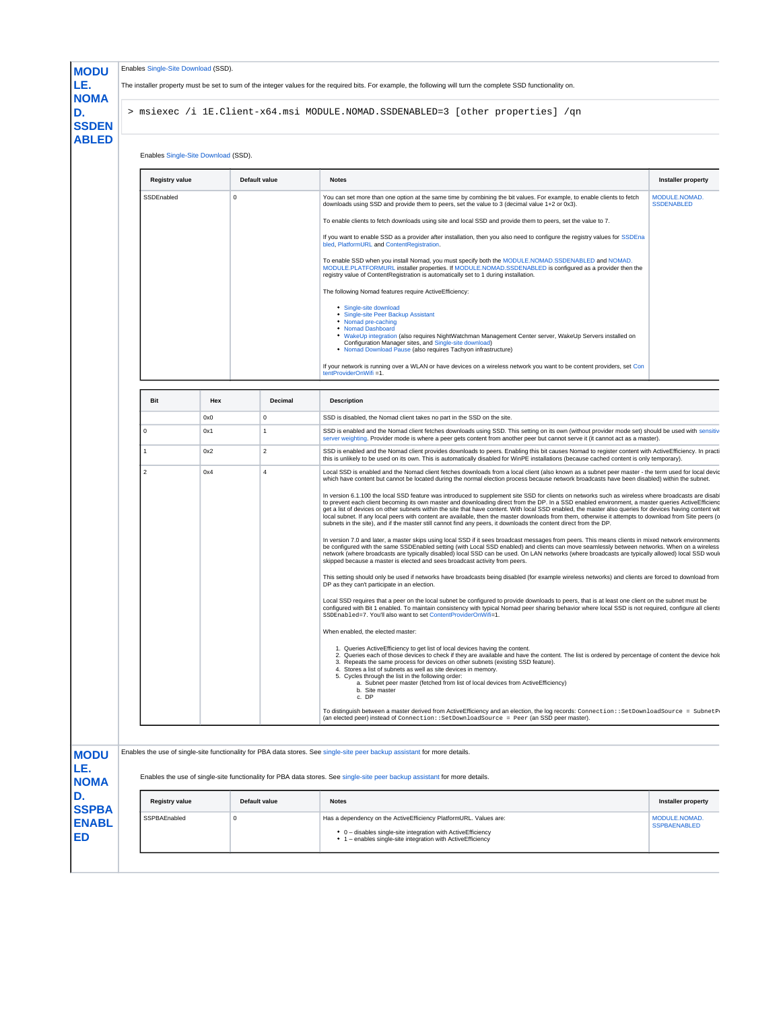|                                                                                                                                                                                                                                                        |     |               |                                                                                                                                                                                                                                                                                      | The installer property must be set to sum of the integer values for the required bits. For example, the following will turn the complete SSD functionality on.                                                                                                                                                                                                                                                                                                                                                                                                                                                                                                                                                                                                                                                                                                                                                                                                                                                                                                                                                                                                                                                                                                                                                                                                                                                                                                                                                                                                                                                                                                                                                                                                                                                                                                                                                                                                                                                                                                                                                                                                                                                                                                                                                                                                                                                                                                                                                                                                                                                                                                                                                                                                                                                                                                                      |                                    |  |  |
|--------------------------------------------------------------------------------------------------------------------------------------------------------------------------------------------------------------------------------------------------------|-----|---------------|--------------------------------------------------------------------------------------------------------------------------------------------------------------------------------------------------------------------------------------------------------------------------------------|-------------------------------------------------------------------------------------------------------------------------------------------------------------------------------------------------------------------------------------------------------------------------------------------------------------------------------------------------------------------------------------------------------------------------------------------------------------------------------------------------------------------------------------------------------------------------------------------------------------------------------------------------------------------------------------------------------------------------------------------------------------------------------------------------------------------------------------------------------------------------------------------------------------------------------------------------------------------------------------------------------------------------------------------------------------------------------------------------------------------------------------------------------------------------------------------------------------------------------------------------------------------------------------------------------------------------------------------------------------------------------------------------------------------------------------------------------------------------------------------------------------------------------------------------------------------------------------------------------------------------------------------------------------------------------------------------------------------------------------------------------------------------------------------------------------------------------------------------------------------------------------------------------------------------------------------------------------------------------------------------------------------------------------------------------------------------------------------------------------------------------------------------------------------------------------------------------------------------------------------------------------------------------------------------------------------------------------------------------------------------------------------------------------------------------------------------------------------------------------------------------------------------------------------------------------------------------------------------------------------------------------------------------------------------------------------------------------------------------------------------------------------------------------------------------------------------------------------------------------------------------------|------------------------------------|--|--|
| > msiexec /i 1E.Client-x64.msi MODULE.NOMAD.SSDENABLED=3 [other properties] /qn                                                                                                                                                                        |     |               |                                                                                                                                                                                                                                                                                      |                                                                                                                                                                                                                                                                                                                                                                                                                                                                                                                                                                                                                                                                                                                                                                                                                                                                                                                                                                                                                                                                                                                                                                                                                                                                                                                                                                                                                                                                                                                                                                                                                                                                                                                                                                                                                                                                                                                                                                                                                                                                                                                                                                                                                                                                                                                                                                                                                                                                                                                                                                                                                                                                                                                                                                                                                                                                                     |                                    |  |  |
| Enables Single-Site Download (SSD).                                                                                                                                                                                                                    |     |               |                                                                                                                                                                                                                                                                                      |                                                                                                                                                                                                                                                                                                                                                                                                                                                                                                                                                                                                                                                                                                                                                                                                                                                                                                                                                                                                                                                                                                                                                                                                                                                                                                                                                                                                                                                                                                                                                                                                                                                                                                                                                                                                                                                                                                                                                                                                                                                                                                                                                                                                                                                                                                                                                                                                                                                                                                                                                                                                                                                                                                                                                                                                                                                                                     |                                    |  |  |
| <b>Registry value</b>                                                                                                                                                                                                                                  |     | Default value |                                                                                                                                                                                                                                                                                      | <b>Notes</b>                                                                                                                                                                                                                                                                                                                                                                                                                                                                                                                                                                                                                                                                                                                                                                                                                                                                                                                                                                                                                                                                                                                                                                                                                                                                                                                                                                                                                                                                                                                                                                                                                                                                                                                                                                                                                                                                                                                                                                                                                                                                                                                                                                                                                                                                                                                                                                                                                                                                                                                                                                                                                                                                                                                                                                                                                                                                        | <b>Installer property</b>          |  |  |
| SSDEnabled                                                                                                                                                                                                                                             |     | $\Omega$      |                                                                                                                                                                                                                                                                                      | You can set more than one option at the same time by combining the bit values. For example, to enable clients to fetch<br>downloads using SSD and provide them to peers, set the value to 3 (decimal value 1+2 or 0x3).<br>To enable clients to fetch downloads using site and local SSD and provide them to peers, set the value to 7.<br>If you want to enable SSD as a provider after installation, then you also need to configure the registry values for SSDEna<br>bled, PlatformURL and ContentRegistration.<br>To enable SSD when you install Nomad, you must specify both the MODULE.NOMAD.SSDENABLED and NOMAD.<br>MODULE.PLATFORMURL installer properties. If MODULE.NOMAD.SSDENABLED is configured as a provider then the<br>registry value of ContentRegistration is automatically set to 1 during installation.<br>The following Nomad features require ActiveEfficiency:<br><sup>•</sup> Single-site download                                                                                                                                                                                                                                                                                                                                                                                                                                                                                                                                                                                                                                                                                                                                                                                                                                                                                                                                                                                                                                                                                                                                                                                                                                                                                                                                                                                                                                                                                                                                                                                                                                                                                                                                                                                                                                                                                                                                                        | MODULE.NOMAD.<br><b>SSDENABLED</b> |  |  |
|                                                                                                                                                                                                                                                        |     |               |                                                                                                                                                                                                                                                                                      | • Single-site Peer Backup Assistant<br>• Nomad pre-caching<br>• Nomad Dashboard<br>. WakeUp integration (also requires NightWatchman Management Center server, WakeUp Servers installed on<br>Configuration Manager sites, and Single-site download)<br>. Nomad Download Pause (also requires Tachyon infrastructure)<br>If your network is running over a WLAN or have devices on a wireless network you want to be content providers, set Con<br>tentProviderOnWifi =1.                                                                                                                                                                                                                                                                                                                                                                                                                                                                                                                                                                                                                                                                                                                                                                                                                                                                                                                                                                                                                                                                                                                                                                                                                                                                                                                                                                                                                                                                                                                                                                                                                                                                                                                                                                                                                                                                                                                                                                                                                                                                                                                                                                                                                                                                                                                                                                                                           |                                    |  |  |
| Bit                                                                                                                                                                                                                                                    | Hex |               | Decimal                                                                                                                                                                                                                                                                              | <b>Description</b>                                                                                                                                                                                                                                                                                                                                                                                                                                                                                                                                                                                                                                                                                                                                                                                                                                                                                                                                                                                                                                                                                                                                                                                                                                                                                                                                                                                                                                                                                                                                                                                                                                                                                                                                                                                                                                                                                                                                                                                                                                                                                                                                                                                                                                                                                                                                                                                                                                                                                                                                                                                                                                                                                                                                                                                                                                                                  |                                    |  |  |
|                                                                                                                                                                                                                                                        | 0x0 |               |                                                                                                                                                                                                                                                                                      | SSD is disabled, the Nomad client takes no part in the SSD on the site.                                                                                                                                                                                                                                                                                                                                                                                                                                                                                                                                                                                                                                                                                                                                                                                                                                                                                                                                                                                                                                                                                                                                                                                                                                                                                                                                                                                                                                                                                                                                                                                                                                                                                                                                                                                                                                                                                                                                                                                                                                                                                                                                                                                                                                                                                                                                                                                                                                                                                                                                                                                                                                                                                                                                                                                                             |                                    |  |  |
| 0<br>0x1<br>$\Omega$<br>$\overline{1}$                                                                                                                                                                                                                 |     |               | SSD is enabled and the Nomad client fetches downloads using SSD. This setting on its own (without provider mode set) should be used with sensitiv<br>server weighting. Provider mode is where a peer gets content from another peer but cannot serve it (it cannot act as a master). |                                                                                                                                                                                                                                                                                                                                                                                                                                                                                                                                                                                                                                                                                                                                                                                                                                                                                                                                                                                                                                                                                                                                                                                                                                                                                                                                                                                                                                                                                                                                                                                                                                                                                                                                                                                                                                                                                                                                                                                                                                                                                                                                                                                                                                                                                                                                                                                                                                                                                                                                                                                                                                                                                                                                                                                                                                                                                     |                                    |  |  |
| 1                                                                                                                                                                                                                                                      | 0x2 |               | $\overline{2}$                                                                                                                                                                                                                                                                       | SSD is enabled and the Nomad client provides downloads to peers. Enabling this bit causes Nomad to register content with ActiveEfficiency. In practi<br>this is unlikely to be used on its own. This is automatically disabled for WinPE installations (because cached content is only temporary).                                                                                                                                                                                                                                                                                                                                                                                                                                                                                                                                                                                                                                                                                                                                                                                                                                                                                                                                                                                                                                                                                                                                                                                                                                                                                                                                                                                                                                                                                                                                                                                                                                                                                                                                                                                                                                                                                                                                                                                                                                                                                                                                                                                                                                                                                                                                                                                                                                                                                                                                                                                  |                                    |  |  |
|                                                                                                                                                                                                                                                        |     |               |                                                                                                                                                                                                                                                                                      | which have content but cannot be located during the normal election process because network broadcasts have been disabled) within the subnet.<br>In version 6.1.100 the local SSD feature was introduced to supplement site SSD for clients on networks such as wireless where broadcasts are disab<br>to prevent each client becoming its own master and downloading direct from the DP. In a SSD enabled environment, a master queries ActiveEfficienc<br>get a list of devices on other subnets within the site that have content. With local SSD enabled, the master also queries for devices having content wit<br>local subnet. If any local peers with content are available, then the master downloads from them, otherwise it attempts to download from Site peers (c<br>subnets in the site), and if the master still cannot find any peers, it downloads the content direct from the DP.<br>In version 7.0 and later, a master skips using local SSD if it sees broadcast messages from peers. This means clients in mixed network environments<br>be configured with the same SSDEnabled setting (with Local SSD enabled) and clients can move seamlessly between networks. When on a wireless<br>network (where broadcasts are typically disabled) local SSD can be used. On LAN networks (where broadcasts are typically allowed) local SSD woul-<br>skipped because a master is elected and sees broadcast activity from peers.<br>This setting should only be used if networks have broadcasts being disabled (for example wireless networks) and clients are forced to download from<br>DP as they can't participate in an election.<br>Local SSD requires that a peer on the local subnet be configured to provide downloads to peers, that is at least one client on the subnet must be<br>configured with Bit 1 enabled. To maintain consistency with typical Nomad peer sharing behavior where local SSD is not required, configure all clients<br>SSDEnabled=7. You'll also want to set ContentProviderOnWifi=1.<br>When enabled, the elected master:<br>1. Queries ActiveEfficiency to get list of local devices having the content.<br>2. Queries each of those devices to check if they are available and have the content. The list is ordered by percentage of content the device hold<br>3. Repeats the same process for devices on other subnets (existing SSD feature).<br>4. Stores a list of subnets as well as site devices in memory.<br>5. Cycles through the list in the following order:<br>a. Subnet peer master (fetched from list of local devices from ActiveEfficiency)<br>b. Site master<br>c. DP<br>To distinguish between a master derived from ActiveEfficiency and an election, the log records: Connection:: SetDownloadSource = SubnetP<br>(an elected peer) instead of Connection::SetDownloadSource = Peer (an SSD peer master). |                                    |  |  |
| Enables the use of single-site functionality for PBA data stores. See single-site peer backup assistant for more details.<br>Enables the use of single-site functionality for PBA data stores. See single-site peer backup assistant for more details. |     |               |                                                                                                                                                                                                                                                                                      |                                                                                                                                                                                                                                                                                                                                                                                                                                                                                                                                                                                                                                                                                                                                                                                                                                                                                                                                                                                                                                                                                                                                                                                                                                                                                                                                                                                                                                                                                                                                                                                                                                                                                                                                                                                                                                                                                                                                                                                                                                                                                                                                                                                                                                                                                                                                                                                                                                                                                                                                                                                                                                                                                                                                                                                                                                                                                     |                                    |  |  |
|                                                                                                                                                                                                                                                        |     |               |                                                                                                                                                                                                                                                                                      |                                                                                                                                                                                                                                                                                                                                                                                                                                                                                                                                                                                                                                                                                                                                                                                                                                                                                                                                                                                                                                                                                                                                                                                                                                                                                                                                                                                                                                                                                                                                                                                                                                                                                                                                                                                                                                                                                                                                                                                                                                                                                                                                                                                                                                                                                                                                                                                                                                                                                                                                                                                                                                                                                                                                                                                                                                                                                     |                                    |  |  |
| <b>Registry value</b>                                                                                                                                                                                                                                  |     | Default value |                                                                                                                                                                                                                                                                                      | <b>Notes</b>                                                                                                                                                                                                                                                                                                                                                                                                                                                                                                                                                                                                                                                                                                                                                                                                                                                                                                                                                                                                                                                                                                                                                                                                                                                                                                                                                                                                                                                                                                                                                                                                                                                                                                                                                                                                                                                                                                                                                                                                                                                                                                                                                                                                                                                                                                                                                                                                                                                                                                                                                                                                                                                                                                                                                                                                                                                                        | <b>Installer property</b>          |  |  |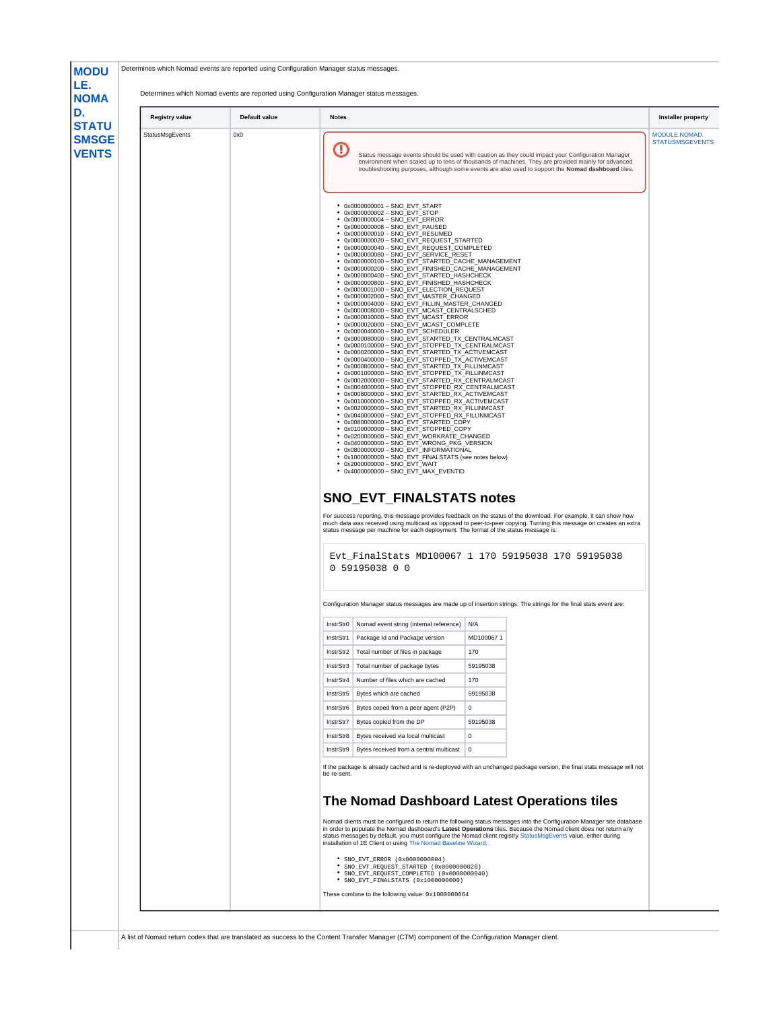<span id="page-19-1"></span><span id="page-19-0"></span>

|                 | Default value | <b>Notes</b>           |                                                                                                                                                                                                                                                                                                                                                                                                                                                                                                                                                                                                                                                                                                                                                                                                                                                                                                                                                                                                                                                                                                                                                                                                                                                                                                                                                                                                                                                                                                                                                                                                                                                                                                                                                                                                                                                                                                                                                                                                                                                                                                                                                                                                                                                                   |                  |  |
|-----------------|---------------|------------------------|-------------------------------------------------------------------------------------------------------------------------------------------------------------------------------------------------------------------------------------------------------------------------------------------------------------------------------------------------------------------------------------------------------------------------------------------------------------------------------------------------------------------------------------------------------------------------------------------------------------------------------------------------------------------------------------------------------------------------------------------------------------------------------------------------------------------------------------------------------------------------------------------------------------------------------------------------------------------------------------------------------------------------------------------------------------------------------------------------------------------------------------------------------------------------------------------------------------------------------------------------------------------------------------------------------------------------------------------------------------------------------------------------------------------------------------------------------------------------------------------------------------------------------------------------------------------------------------------------------------------------------------------------------------------------------------------------------------------------------------------------------------------------------------------------------------------------------------------------------------------------------------------------------------------------------------------------------------------------------------------------------------------------------------------------------------------------------------------------------------------------------------------------------------------------------------------------------------------------------------------------------------------|------------------|--|
| StatusMsgEvents | 0x0           | O                      | Status message events should be used with caution as they could impact your Configuration Manager<br>environment when scaled up to tens of thousands of machines. They are provided mainly for advanced<br>troubleshooting purposes, although some events are also used to support the Nomad dashboard tiles.                                                                                                                                                                                                                                                                                                                                                                                                                                                                                                                                                                                                                                                                                                                                                                                                                                                                                                                                                                                                                                                                                                                                                                                                                                                                                                                                                                                                                                                                                                                                                                                                                                                                                                                                                                                                                                                                                                                                                     |                  |  |
|                 |               | ٠<br>٠                 | • 0x0000000001 - SNO EVT START<br>• 0x0000000002 - SNO EVT STOP<br>• 0x0000000004 - SNO_EVT_ERROR<br>• 0x0000000008 - SNO EVT PAUSED<br>• 0x0000000010 - SNO_EVT_RESUMED<br>0x0000000020 - SNO_EVT_REQUEST_STARTED<br>● 0x0000000040 - SNO_EVT_REQUEST_COMPLETED<br>0x0000000080 - SNO_EVT_SERVICE_RESET<br>0x0000000100 - SNO_EVT_STARTED_CACHE_MANAGEMENT<br>· 0x0000000200 - SNO_EVT_FINISHED_CACHE_MANAGEMENT<br>● 0x0000000400 - SNO_EVT_STARTED_HASHCHECK<br>● 0x0000000800 - SNO_EVT_FINISHED_HASHCHECK<br>· 0x0000001000 - SNO_EVT_ELECTION_REQUEST<br>● 0x0000002000 - SNO_EVT_MASTER_CHANGED<br>● 0x0000004000 - SNO_EVT_FILLIN_MASTER_CHANGED<br>● 0x0000008000 - SNO_EVT_MCAST_CENTRALSCHED<br>0x0000010000 - SNO EVT MCAST ERROR<br>● 0x0000020000 - SNO_EVT_MCAST_COMPLETE<br>0x0000040000 - SNO_EVT_SCHEDULER<br>0x0000080000 - SNO EVT STARTED TX CENTRALMCAST<br>0x0000100000 - SNO_EVT_STOPPED_TX_CENTRALMCAST<br>● 0x0000200000 - SNO_EVT_STARTED_TX_ACTIVEMCAST<br>. 0x0000400000 - SNO_EVT_STOPPED_TX_ACTIVEMCAST<br>● 0x0000800000 - SNO_EVT_STARTED_TX_FILLINMCAST<br>● 0x0001000000 - SNO_EVT_STOPPED_TX_FILLINMCAST<br>0x0002000000 - SNO_EVT_STARTED_RX_CENTRALMCAST<br>· 0x0004000000 - SNO_EVT_STOPPED_RX_CENTRALMCAST<br>● 0x0008000000 - SNO_EVT_STARTED_RX_ACTIVEMCAST<br>0x0010000000 - SNO_EVT_STOPPED_RX_ACTIVEMCAST<br>. 0x0020000000 - SNO_EVT_STARTED_RX_FILLINMCAST<br>0x0040000000 - SNO_EVT_STOPPED_RX_FILLINMCAST<br>0x0080000000 - SNO_EVT_STARTED_COPY<br>· 0x0100000000 - SNO_EVT_STOPPED_COPY<br>· 0x0200000000 - SNO EVT WORKRATE CHANGED<br>● 0x0400000000 - SNO_EVT_WRONG_PKG_VERSION<br>· 0x0800000000 - SNO_EVT_INFORMATIONAL<br>• 0x1000000000 - SNO_EVT_FINALSTATS (see notes below)<br>• 0x2000000000 - SNO_EVT_WAIT<br>• 0x4000000000 - SNO_EVT_MAX_EVENTID<br><b>SNO_EVT_FINALSTATS notes</b><br>For success reporting, this message provides feedback on the status of the download. For example, it can show how<br>much data was received using multicast as opposed to peer-to-peer copying. Turning this message on creates an extra<br>status message per machine for each deployment. The format of the status message is:<br>Evt FinalStats MD100067 1 170 59195038 170 59195038<br>0 59195038 0 0 |                  |  |
|                 |               |                        |                                                                                                                                                                                                                                                                                                                                                                                                                                                                                                                                                                                                                                                                                                                                                                                                                                                                                                                                                                                                                                                                                                                                                                                                                                                                                                                                                                                                                                                                                                                                                                                                                                                                                                                                                                                                                                                                                                                                                                                                                                                                                                                                                                                                                                                                   |                  |  |
|                 |               |                        | Configuration Manager status messages are made up of insertion strings. The strings for the final stats event are:                                                                                                                                                                                                                                                                                                                                                                                                                                                                                                                                                                                                                                                                                                                                                                                                                                                                                                                                                                                                                                                                                                                                                                                                                                                                                                                                                                                                                                                                                                                                                                                                                                                                                                                                                                                                                                                                                                                                                                                                                                                                                                                                                |                  |  |
|                 |               |                        | InstrStr0   Nomad event string (internal reference)   N/A                                                                                                                                                                                                                                                                                                                                                                                                                                                                                                                                                                                                                                                                                                                                                                                                                                                                                                                                                                                                                                                                                                                                                                                                                                                                                                                                                                                                                                                                                                                                                                                                                                                                                                                                                                                                                                                                                                                                                                                                                                                                                                                                                                                                         |                  |  |
|                 |               | InstrStr1              | Package Id and Package version                                                                                                                                                                                                                                                                                                                                                                                                                                                                                                                                                                                                                                                                                                                                                                                                                                                                                                                                                                                                                                                                                                                                                                                                                                                                                                                                                                                                                                                                                                                                                                                                                                                                                                                                                                                                                                                                                                                                                                                                                                                                                                                                                                                                                                    | MD1000671<br>170 |  |
|                 |               | InstrStr2<br>InstrStr3 | Total number of files in package<br>Total number of package bytes                                                                                                                                                                                                                                                                                                                                                                                                                                                                                                                                                                                                                                                                                                                                                                                                                                                                                                                                                                                                                                                                                                                                                                                                                                                                                                                                                                                                                                                                                                                                                                                                                                                                                                                                                                                                                                                                                                                                                                                                                                                                                                                                                                                                 | 59195038         |  |
|                 |               | InstrStr4              | Number of files which are cached                                                                                                                                                                                                                                                                                                                                                                                                                                                                                                                                                                                                                                                                                                                                                                                                                                                                                                                                                                                                                                                                                                                                                                                                                                                                                                                                                                                                                                                                                                                                                                                                                                                                                                                                                                                                                                                                                                                                                                                                                                                                                                                                                                                                                                  | 170              |  |
|                 |               | InstrStr5              | Bytes which are cached                                                                                                                                                                                                                                                                                                                                                                                                                                                                                                                                                                                                                                                                                                                                                                                                                                                                                                                                                                                                                                                                                                                                                                                                                                                                                                                                                                                                                                                                                                                                                                                                                                                                                                                                                                                                                                                                                                                                                                                                                                                                                                                                                                                                                                            | 59195038         |  |
|                 |               | InstrStr6              | Bytes coped from a peer agent (P2P)                                                                                                                                                                                                                                                                                                                                                                                                                                                                                                                                                                                                                                                                                                                                                                                                                                                                                                                                                                                                                                                                                                                                                                                                                                                                                                                                                                                                                                                                                                                                                                                                                                                                                                                                                                                                                                                                                                                                                                                                                                                                                                                                                                                                                               | 0                |  |
|                 |               | InstrStr7              | Bytes copied from the DP                                                                                                                                                                                                                                                                                                                                                                                                                                                                                                                                                                                                                                                                                                                                                                                                                                                                                                                                                                                                                                                                                                                                                                                                                                                                                                                                                                                                                                                                                                                                                                                                                                                                                                                                                                                                                                                                                                                                                                                                                                                                                                                                                                                                                                          | 59195038         |  |
|                 |               | InstrStr8              | Bytes received via local multicast                                                                                                                                                                                                                                                                                                                                                                                                                                                                                                                                                                                                                                                                                                                                                                                                                                                                                                                                                                                                                                                                                                                                                                                                                                                                                                                                                                                                                                                                                                                                                                                                                                                                                                                                                                                                                                                                                                                                                                                                                                                                                                                                                                                                                                | $^{\circ}$       |  |
|                 |               | InstrStr9              | Bytes received from a central multicast                                                                                                                                                                                                                                                                                                                                                                                                                                                                                                                                                                                                                                                                                                                                                                                                                                                                                                                                                                                                                                                                                                                                                                                                                                                                                                                                                                                                                                                                                                                                                                                                                                                                                                                                                                                                                                                                                                                                                                                                                                                                                                                                                                                                                           | 0                |  |
|                 |               |                        | If the package is already cached and is re-deployed with an unchanged package version, the final stats message will not                                                                                                                                                                                                                                                                                                                                                                                                                                                                                                                                                                                                                                                                                                                                                                                                                                                                                                                                                                                                                                                                                                                                                                                                                                                                                                                                                                                                                                                                                                                                                                                                                                                                                                                                                                                                                                                                                                                                                                                                                                                                                                                                           |                  |  |
|                 |               | be re-sent.            |                                                                                                                                                                                                                                                                                                                                                                                                                                                                                                                                                                                                                                                                                                                                                                                                                                                                                                                                                                                                                                                                                                                                                                                                                                                                                                                                                                                                                                                                                                                                                                                                                                                                                                                                                                                                                                                                                                                                                                                                                                                                                                                                                                                                                                                                   |                  |  |
|                 |               |                        | The Nomad Dashboard Latest Operations tiles<br>Nomad clients must be configured to return the following status messages into the Configuration Manager site database<br>in order to populate the Nomad dashboard's Latest Operations tiles. Because the Nomad client does not return any<br>status messages by default, you must configure the Nomad client registry StatusMsgEvents value, either during<br>installation of 1E Client or using The Nomad Baseline Wizard.                                                                                                                                                                                                                                                                                                                                                                                                                                                                                                                                                                                                                                                                                                                                                                                                                                                                                                                                                                                                                                                                                                                                                                                                                                                                                                                                                                                                                                                                                                                                                                                                                                                                                                                                                                                        |                  |  |
|                 |               |                        | * SNO_EVT_ERROR (0x0000000004)<br>* SNO EVT REQUEST STARTED (0x0000000020)<br>SNO_EVT_REQUEST_COMPLETED (0x0000000040)                                                                                                                                                                                                                                                                                                                                                                                                                                                                                                                                                                                                                                                                                                                                                                                                                                                                                                                                                                                                                                                                                                                                                                                                                                                                                                                                                                                                                                                                                                                                                                                                                                                                                                                                                                                                                                                                                                                                                                                                                                                                                                                                            |                  |  |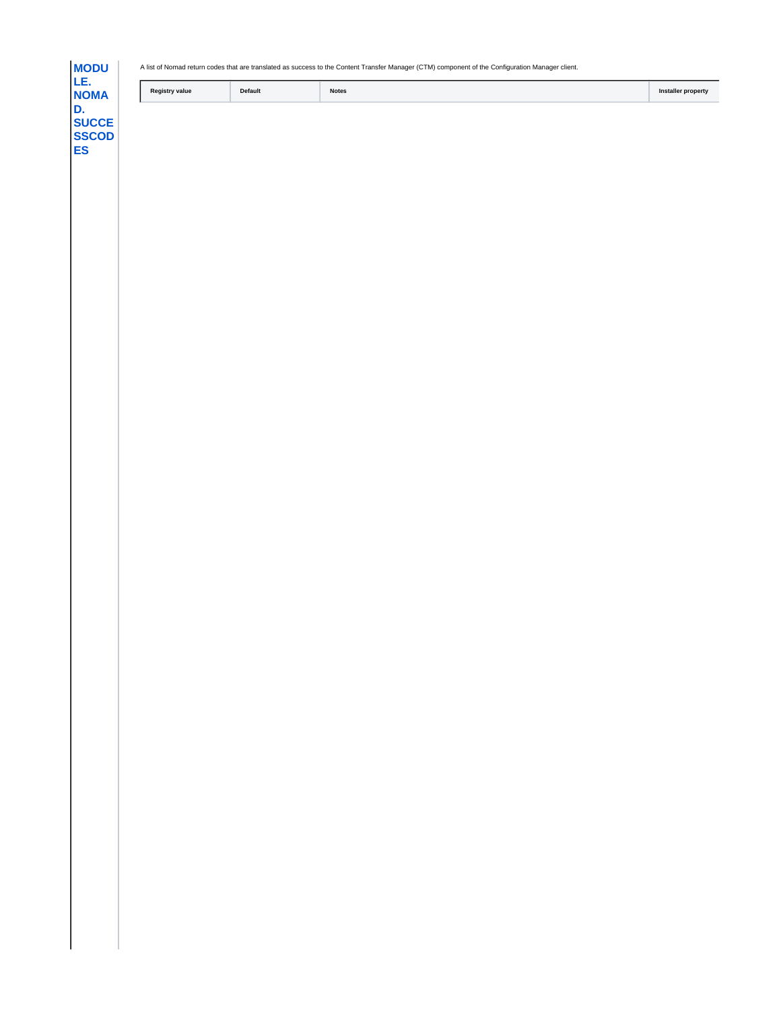**[MODU](https://help.1e.com/display/NMD70/SuccessCodes) [LE.](https://help.1e.com/display/NMD70/SuccessCodes) [NOMA](https://help.1e.com/display/NMD70/SuccessCodes) [D.](https://help.1e.com/display/NMD70/SuccessCodes) [SUCCE](https://help.1e.com/display/NMD70/SuccessCodes) [SSCOD](https://help.1e.com/display/NMD70/SuccessCodes) [ES](https://help.1e.com/display/NMD70/SuccessCodes)**

A list of Nomad return codes that are translated as success to the Content Transfer Manager (CTM) component of the Configuration Manager client.

| <b>Notes</b><br>Reais<br>Default<br>stry value | nstalle<br>* property |
|------------------------------------------------|-----------------------|
|------------------------------------------------|-----------------------|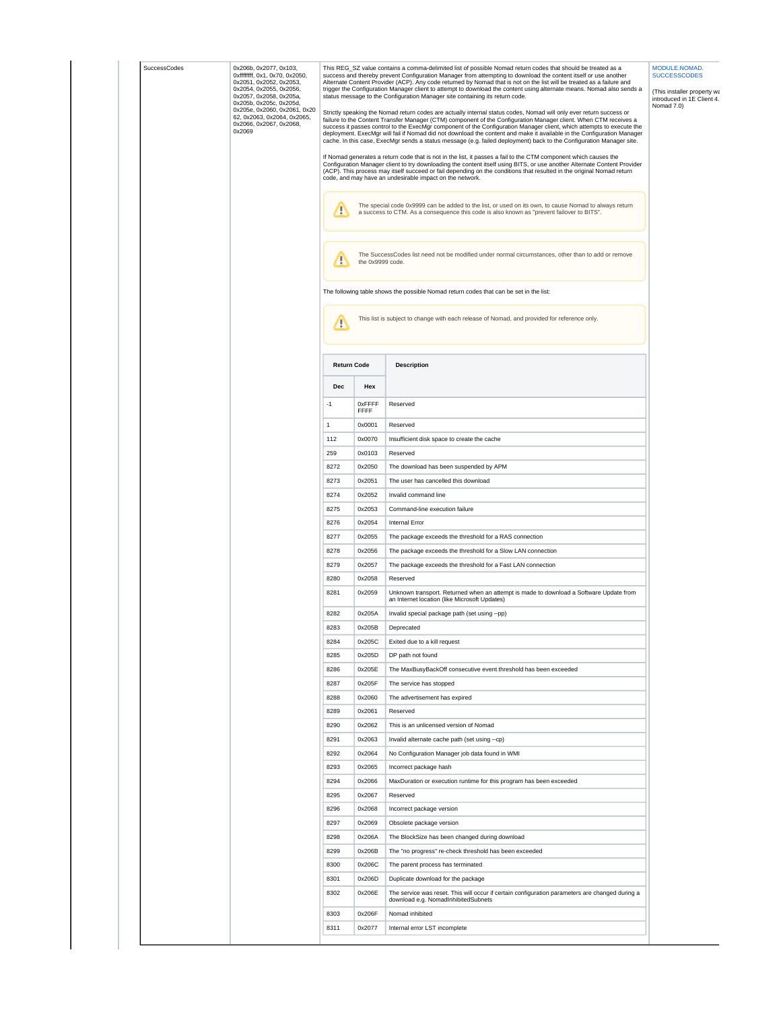| SuccessCodes | 0x206b, 0x2077, 0x103,<br>0xfffffff, 0x1, 0x70, 0x2050,<br>0x2051, 0x2052, 0x2053,<br>0x2054, 0x2055, 0x2056,<br>0x2057, 0x2058, 0x205a,<br>0x205b, 0x205c, 0x205d,<br>0x205e, 0x2060, 0x2061, 0x20<br>62, 0x2063, 0x2064, 0x2065,<br>0x2066, 0x2067, 0x2068,<br>0x2069 |                    |                  | This REG_SZ value contains a comma-delimited list of possible Nomad return codes that should be treated as a<br>success and thereby prevent Configuration Manager from attempting to download the content itself or use another<br>Alternate Content Provider (ACP). Any code returned by Nomad that is not on the list will be treated as a failure and<br>trigger the Configuration Manager client to attempt to download the content using alternate means. Nomad also sends a<br>status message to the Configuration Manager site containing its return code.<br>Strictly speaking the Nomad return codes are actually internal status codes, Nomad will only ever return success or<br>failure to the Content Transfer Manager (CTM) component of the Configuration Manager client. When CTM receives a<br>success it passes control to the ExecMgr component of the Configuration Manager client, which attempts to execute the<br>deployment. ExecMgr will fail if Nomad did not download the content and make it available in the Configuration Manager<br>cache. In this case, ExecMgr sends a status message (e.g. failed deployment) back to the Configuration Manager site.<br>If Nomad generates a return code that is not in the list, it passes a fail to the CTM component which causes the<br>Configuration Manager client to try downloading the content itself using BITS, or use another Alternate Content Provider<br>(ACP). This process may itself succeed or fail depending on the conditions that resulted in the original Nomad return<br>code, and may have an undesirable impact on the network. | MODULE.NOMAD.<br><b>SUCCESSCODES</b><br>(This installer property wa<br>introduced in 1E Client 4.<br>Nomad 7.0) |
|--------------|-------------------------------------------------------------------------------------------------------------------------------------------------------------------------------------------------------------------------------------------------------------------------|--------------------|------------------|------------------------------------------------------------------------------------------------------------------------------------------------------------------------------------------------------------------------------------------------------------------------------------------------------------------------------------------------------------------------------------------------------------------------------------------------------------------------------------------------------------------------------------------------------------------------------------------------------------------------------------------------------------------------------------------------------------------------------------------------------------------------------------------------------------------------------------------------------------------------------------------------------------------------------------------------------------------------------------------------------------------------------------------------------------------------------------------------------------------------------------------------------------------------------------------------------------------------------------------------------------------------------------------------------------------------------------------------------------------------------------------------------------------------------------------------------------------------------------------------------------------------------------------------------------------------------------------------------------------------------|-----------------------------------------------------------------------------------------------------------------|
|              |                                                                                                                                                                                                                                                                         | Ţ                  |                  | The special code 0x9999 can be added to the list, or used on its own, to cause Nomad to always return<br>a success to CTM. As a consequence this code is also known as "prevent failover to BITS".                                                                                                                                                                                                                                                                                                                                                                                                                                                                                                                                                                                                                                                                                                                                                                                                                                                                                                                                                                                                                                                                                                                                                                                                                                                                                                                                                                                                                           |                                                                                                                 |
|              |                                                                                                                                                                                                                                                                         | т                  | the 0x9999 code. | The SuccessCodes list need not be modified under normal circumstances, other than to add or remove                                                                                                                                                                                                                                                                                                                                                                                                                                                                                                                                                                                                                                                                                                                                                                                                                                                                                                                                                                                                                                                                                                                                                                                                                                                                                                                                                                                                                                                                                                                           |                                                                                                                 |
|              |                                                                                                                                                                                                                                                                         |                    |                  | The following table shows the possible Nomad return codes that can be set in the list:                                                                                                                                                                                                                                                                                                                                                                                                                                                                                                                                                                                                                                                                                                                                                                                                                                                                                                                                                                                                                                                                                                                                                                                                                                                                                                                                                                                                                                                                                                                                       |                                                                                                                 |
|              |                                                                                                                                                                                                                                                                         | Д                  |                  | This list is subject to change with each release of Nomad, and provided for reference only.                                                                                                                                                                                                                                                                                                                                                                                                                                                                                                                                                                                                                                                                                                                                                                                                                                                                                                                                                                                                                                                                                                                                                                                                                                                                                                                                                                                                                                                                                                                                  |                                                                                                                 |
|              |                                                                                                                                                                                                                                                                         | <b>Return Code</b> |                  | <b>Description</b>                                                                                                                                                                                                                                                                                                                                                                                                                                                                                                                                                                                                                                                                                                                                                                                                                                                                                                                                                                                                                                                                                                                                                                                                                                                                                                                                                                                                                                                                                                                                                                                                           |                                                                                                                 |
|              |                                                                                                                                                                                                                                                                         | Dec                | Hex              |                                                                                                                                                                                                                                                                                                                                                                                                                                                                                                                                                                                                                                                                                                                                                                                                                                                                                                                                                                                                                                                                                                                                                                                                                                                                                                                                                                                                                                                                                                                                                                                                                              |                                                                                                                 |
|              |                                                                                                                                                                                                                                                                         | $-1$               | 0xFFFF<br>FFFF   | Reserved                                                                                                                                                                                                                                                                                                                                                                                                                                                                                                                                                                                                                                                                                                                                                                                                                                                                                                                                                                                                                                                                                                                                                                                                                                                                                                                                                                                                                                                                                                                                                                                                                     |                                                                                                                 |
|              |                                                                                                                                                                                                                                                                         | $\mathbf{1}$       | 0x0001           | Reserved                                                                                                                                                                                                                                                                                                                                                                                                                                                                                                                                                                                                                                                                                                                                                                                                                                                                                                                                                                                                                                                                                                                                                                                                                                                                                                                                                                                                                                                                                                                                                                                                                     |                                                                                                                 |
|              |                                                                                                                                                                                                                                                                         | 112                | 0x0070           | Insufficient disk space to create the cache                                                                                                                                                                                                                                                                                                                                                                                                                                                                                                                                                                                                                                                                                                                                                                                                                                                                                                                                                                                                                                                                                                                                                                                                                                                                                                                                                                                                                                                                                                                                                                                  |                                                                                                                 |
|              |                                                                                                                                                                                                                                                                         | 259                | 0x0103           | Reserved                                                                                                                                                                                                                                                                                                                                                                                                                                                                                                                                                                                                                                                                                                                                                                                                                                                                                                                                                                                                                                                                                                                                                                                                                                                                                                                                                                                                                                                                                                                                                                                                                     |                                                                                                                 |
|              |                                                                                                                                                                                                                                                                         | 8272               | 0x2050           | The download has been suspended by APM                                                                                                                                                                                                                                                                                                                                                                                                                                                                                                                                                                                                                                                                                                                                                                                                                                                                                                                                                                                                                                                                                                                                                                                                                                                                                                                                                                                                                                                                                                                                                                                       |                                                                                                                 |
|              |                                                                                                                                                                                                                                                                         | 8273               | 0x2051           | The user has cancelled this download                                                                                                                                                                                                                                                                                                                                                                                                                                                                                                                                                                                                                                                                                                                                                                                                                                                                                                                                                                                                                                                                                                                                                                                                                                                                                                                                                                                                                                                                                                                                                                                         |                                                                                                                 |
|              |                                                                                                                                                                                                                                                                         | 8274               | 0x2052           | Invalid command line                                                                                                                                                                                                                                                                                                                                                                                                                                                                                                                                                                                                                                                                                                                                                                                                                                                                                                                                                                                                                                                                                                                                                                                                                                                                                                                                                                                                                                                                                                                                                                                                         |                                                                                                                 |
|              |                                                                                                                                                                                                                                                                         | 8275               | 0x2053           | Command-line execution failure                                                                                                                                                                                                                                                                                                                                                                                                                                                                                                                                                                                                                                                                                                                                                                                                                                                                                                                                                                                                                                                                                                                                                                                                                                                                                                                                                                                                                                                                                                                                                                                               |                                                                                                                 |
|              |                                                                                                                                                                                                                                                                         | 8276<br>8277       | 0x2054<br>0x2055 | Internal Error<br>The package exceeds the threshold for a RAS connection                                                                                                                                                                                                                                                                                                                                                                                                                                                                                                                                                                                                                                                                                                                                                                                                                                                                                                                                                                                                                                                                                                                                                                                                                                                                                                                                                                                                                                                                                                                                                     |                                                                                                                 |
|              |                                                                                                                                                                                                                                                                         | 8278               | 0x2056           | The package exceeds the threshold for a Slow LAN connection                                                                                                                                                                                                                                                                                                                                                                                                                                                                                                                                                                                                                                                                                                                                                                                                                                                                                                                                                                                                                                                                                                                                                                                                                                                                                                                                                                                                                                                                                                                                                                  |                                                                                                                 |
|              |                                                                                                                                                                                                                                                                         | 8279               | 0x2057           | The package exceeds the threshold for a Fast LAN connection                                                                                                                                                                                                                                                                                                                                                                                                                                                                                                                                                                                                                                                                                                                                                                                                                                                                                                                                                                                                                                                                                                                                                                                                                                                                                                                                                                                                                                                                                                                                                                  |                                                                                                                 |
|              |                                                                                                                                                                                                                                                                         | 8280               | 0x2058           | Reserved                                                                                                                                                                                                                                                                                                                                                                                                                                                                                                                                                                                                                                                                                                                                                                                                                                                                                                                                                                                                                                                                                                                                                                                                                                                                                                                                                                                                                                                                                                                                                                                                                     |                                                                                                                 |
|              |                                                                                                                                                                                                                                                                         | 8281               | 0x2059           | Unknown transport. Returned when an attempt is made to download a Software Update from<br>an Internet location (like Microsoft Updates)                                                                                                                                                                                                                                                                                                                                                                                                                                                                                                                                                                                                                                                                                                                                                                                                                                                                                                                                                                                                                                                                                                                                                                                                                                                                                                                                                                                                                                                                                      |                                                                                                                 |
|              |                                                                                                                                                                                                                                                                         | 8282               | 0x205A           | Invalid special package path (set using --pp)                                                                                                                                                                                                                                                                                                                                                                                                                                                                                                                                                                                                                                                                                                                                                                                                                                                                                                                                                                                                                                                                                                                                                                                                                                                                                                                                                                                                                                                                                                                                                                                |                                                                                                                 |
|              |                                                                                                                                                                                                                                                                         | 8283               | 0x205B           | Deprecated                                                                                                                                                                                                                                                                                                                                                                                                                                                                                                                                                                                                                                                                                                                                                                                                                                                                                                                                                                                                                                                                                                                                                                                                                                                                                                                                                                                                                                                                                                                                                                                                                   |                                                                                                                 |
|              |                                                                                                                                                                                                                                                                         | 8284               | 0x205C           | Exited due to a kill request                                                                                                                                                                                                                                                                                                                                                                                                                                                                                                                                                                                                                                                                                                                                                                                                                                                                                                                                                                                                                                                                                                                                                                                                                                                                                                                                                                                                                                                                                                                                                                                                 |                                                                                                                 |
|              |                                                                                                                                                                                                                                                                         | 8285               | 0x205D           | DP path not found                                                                                                                                                                                                                                                                                                                                                                                                                                                                                                                                                                                                                                                                                                                                                                                                                                                                                                                                                                                                                                                                                                                                                                                                                                                                                                                                                                                                                                                                                                                                                                                                            |                                                                                                                 |
|              |                                                                                                                                                                                                                                                                         | 8286               | 0x205E           | The MaxBusyBackOff consecutive event threshold has been exceeded                                                                                                                                                                                                                                                                                                                                                                                                                                                                                                                                                                                                                                                                                                                                                                                                                                                                                                                                                                                                                                                                                                                                                                                                                                                                                                                                                                                                                                                                                                                                                             |                                                                                                                 |
|              |                                                                                                                                                                                                                                                                         | 8287<br>8288       | 0x205F<br>0x2060 | The service has stopped<br>The advertisement has expired                                                                                                                                                                                                                                                                                                                                                                                                                                                                                                                                                                                                                                                                                                                                                                                                                                                                                                                                                                                                                                                                                                                                                                                                                                                                                                                                                                                                                                                                                                                                                                     |                                                                                                                 |
|              |                                                                                                                                                                                                                                                                         | 8289               | 0x2061           | Reserved                                                                                                                                                                                                                                                                                                                                                                                                                                                                                                                                                                                                                                                                                                                                                                                                                                                                                                                                                                                                                                                                                                                                                                                                                                                                                                                                                                                                                                                                                                                                                                                                                     |                                                                                                                 |
|              |                                                                                                                                                                                                                                                                         | 8290               | 0x2062           | This is an unlicensed version of Nomad                                                                                                                                                                                                                                                                                                                                                                                                                                                                                                                                                                                                                                                                                                                                                                                                                                                                                                                                                                                                                                                                                                                                                                                                                                                                                                                                                                                                                                                                                                                                                                                       |                                                                                                                 |
|              |                                                                                                                                                                                                                                                                         | 8291               | 0x2063           | Invalid alternate cache path (set using --cp)                                                                                                                                                                                                                                                                                                                                                                                                                                                                                                                                                                                                                                                                                                                                                                                                                                                                                                                                                                                                                                                                                                                                                                                                                                                                                                                                                                                                                                                                                                                                                                                |                                                                                                                 |
|              |                                                                                                                                                                                                                                                                         | 8292               | 0x2064           | No Configuration Manager job data found in WMI                                                                                                                                                                                                                                                                                                                                                                                                                                                                                                                                                                                                                                                                                                                                                                                                                                                                                                                                                                                                                                                                                                                                                                                                                                                                                                                                                                                                                                                                                                                                                                               |                                                                                                                 |
|              |                                                                                                                                                                                                                                                                         | 8293               | 0x2065           | Incorrect package hash                                                                                                                                                                                                                                                                                                                                                                                                                                                                                                                                                                                                                                                                                                                                                                                                                                                                                                                                                                                                                                                                                                                                                                                                                                                                                                                                                                                                                                                                                                                                                                                                       |                                                                                                                 |
|              |                                                                                                                                                                                                                                                                         | 8294               | 0x2066           | MaxDuration or execution runtime for this program has been exceeded                                                                                                                                                                                                                                                                                                                                                                                                                                                                                                                                                                                                                                                                                                                                                                                                                                                                                                                                                                                                                                                                                                                                                                                                                                                                                                                                                                                                                                                                                                                                                          |                                                                                                                 |
|              |                                                                                                                                                                                                                                                                         | 8295               | 0x2067           | Reserved                                                                                                                                                                                                                                                                                                                                                                                                                                                                                                                                                                                                                                                                                                                                                                                                                                                                                                                                                                                                                                                                                                                                                                                                                                                                                                                                                                                                                                                                                                                                                                                                                     |                                                                                                                 |
|              |                                                                                                                                                                                                                                                                         | 8296               | 0x2068           | Incorrect package version                                                                                                                                                                                                                                                                                                                                                                                                                                                                                                                                                                                                                                                                                                                                                                                                                                                                                                                                                                                                                                                                                                                                                                                                                                                                                                                                                                                                                                                                                                                                                                                                    |                                                                                                                 |
|              |                                                                                                                                                                                                                                                                         | 8297               | 0x2069           | Obsolete package version                                                                                                                                                                                                                                                                                                                                                                                                                                                                                                                                                                                                                                                                                                                                                                                                                                                                                                                                                                                                                                                                                                                                                                                                                                                                                                                                                                                                                                                                                                                                                                                                     |                                                                                                                 |
|              |                                                                                                                                                                                                                                                                         | 8298               | 0x206A           | The BlockSize has been changed during download                                                                                                                                                                                                                                                                                                                                                                                                                                                                                                                                                                                                                                                                                                                                                                                                                                                                                                                                                                                                                                                                                                                                                                                                                                                                                                                                                                                                                                                                                                                                                                               |                                                                                                                 |
|              |                                                                                                                                                                                                                                                                         | 8299               | 0x206B           | The "no progress" re-check threshold has been exceeded                                                                                                                                                                                                                                                                                                                                                                                                                                                                                                                                                                                                                                                                                                                                                                                                                                                                                                                                                                                                                                                                                                                                                                                                                                                                                                                                                                                                                                                                                                                                                                       |                                                                                                                 |
|              |                                                                                                                                                                                                                                                                         | 8300               | 0x206C           | The parent process has terminated                                                                                                                                                                                                                                                                                                                                                                                                                                                                                                                                                                                                                                                                                                                                                                                                                                                                                                                                                                                                                                                                                                                                                                                                                                                                                                                                                                                                                                                                                                                                                                                            |                                                                                                                 |
|              |                                                                                                                                                                                                                                                                         | 8301<br>8302       | 0x206D<br>0x206E | Duplicate download for the package                                                                                                                                                                                                                                                                                                                                                                                                                                                                                                                                                                                                                                                                                                                                                                                                                                                                                                                                                                                                                                                                                                                                                                                                                                                                                                                                                                                                                                                                                                                                                                                           |                                                                                                                 |
|              |                                                                                                                                                                                                                                                                         |                    |                  | The service was reset. This will occur if certain configuration parameters are changed during a<br>download e.g. NomadInhibitedSubnets                                                                                                                                                                                                                                                                                                                                                                                                                                                                                                                                                                                                                                                                                                                                                                                                                                                                                                                                                                                                                                                                                                                                                                                                                                                                                                                                                                                                                                                                                       |                                                                                                                 |
|              |                                                                                                                                                                                                                                                                         | 8303               | 0x206F           | Nomad inhibited                                                                                                                                                                                                                                                                                                                                                                                                                                                                                                                                                                                                                                                                                                                                                                                                                                                                                                                                                                                                                                                                                                                                                                                                                                                                                                                                                                                                                                                                                                                                                                                                              |                                                                                                                 |
|              |                                                                                                                                                                                                                                                                         | 8311               | 0x2077           | Internal error LST incomplete                                                                                                                                                                                                                                                                                                                                                                                                                                                                                                                                                                                                                                                                                                                                                                                                                                                                                                                                                                                                                                                                                                                                                                                                                                                                                                                                                                                                                                                                                                                                                                                                |                                                                                                                 |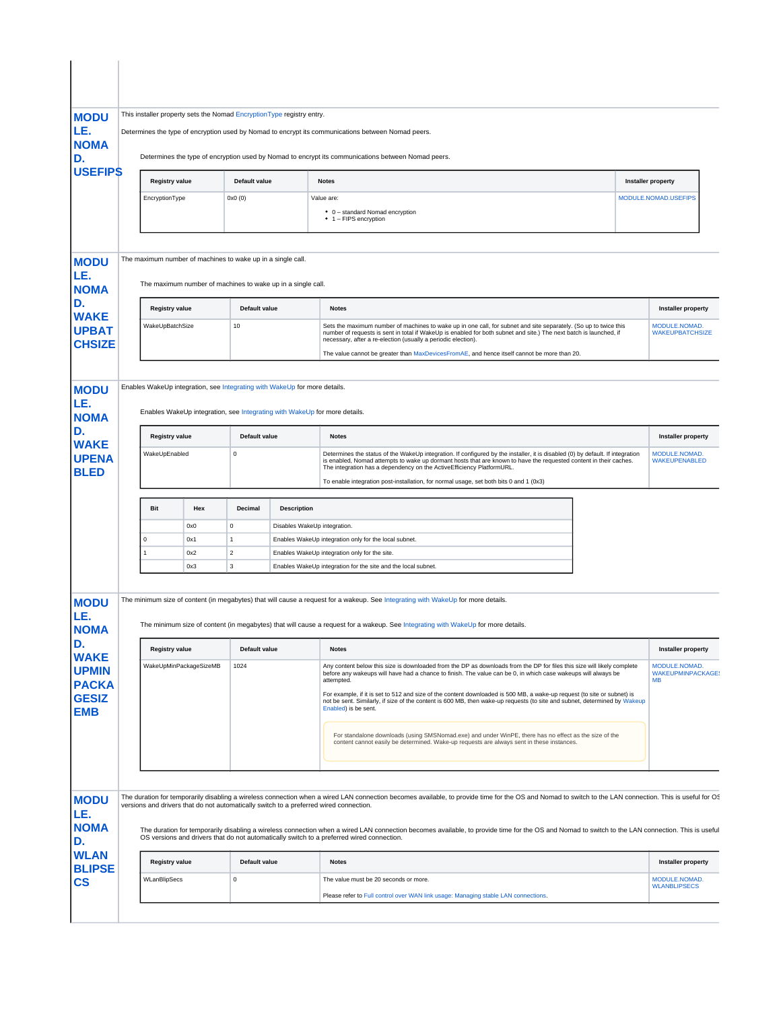| <b>MODU</b><br>LE.                                                                                                                                                                              | This installer property sets the Nomad Encryption Type registry entry.<br>Determines the type of encryption used by Nomad to encrypt its communications between Nomad peers. |                                       |             |                                                             |                                                                                                                                                                                                                                                                                                                              |                                                                                                                                                                                                                                                                                                         |                                                        |  |  |  |  |
|-------------------------------------------------------------------------------------------------------------------------------------------------------------------------------------------------|------------------------------------------------------------------------------------------------------------------------------------------------------------------------------|---------------------------------------|-------------|-------------------------------------------------------------|------------------------------------------------------------------------------------------------------------------------------------------------------------------------------------------------------------------------------------------------------------------------------------------------------------------------------|---------------------------------------------------------------------------------------------------------------------------------------------------------------------------------------------------------------------------------------------------------------------------------------------------------|--------------------------------------------------------|--|--|--|--|
| <b>NOMA</b>                                                                                                                                                                                     |                                                                                                                                                                              |                                       |             |                                                             |                                                                                                                                                                                                                                                                                                                              |                                                                                                                                                                                                                                                                                                         |                                                        |  |  |  |  |
| D.                                                                                                                                                                                              | Determines the type of encryption used by Nomad to encrypt its communications between Nomad peers.                                                                           |                                       |             |                                                             |                                                                                                                                                                                                                                                                                                                              |                                                                                                                                                                                                                                                                                                         |                                                        |  |  |  |  |
| <b>USEFIPS</b>                                                                                                                                                                                  |                                                                                                                                                                              | <b>Registry value</b>                 |             | Default value                                               |                                                                                                                                                                                                                                                                                                                              | <b>Notes</b>                                                                                                                                                                                                                                                                                            | Installer property                                     |  |  |  |  |
|                                                                                                                                                                                                 |                                                                                                                                                                              | EncryptionType                        |             | 0x0(0)                                                      |                                                                                                                                                                                                                                                                                                                              | Value are:                                                                                                                                                                                                                                                                                              | MODULE.NOMAD.USEFIPS                                   |  |  |  |  |
|                                                                                                                                                                                                 |                                                                                                                                                                              |                                       |             |                                                             |                                                                                                                                                                                                                                                                                                                              | • 0 - standard Nomad encryption<br>• 1 - FIPS encryption                                                                                                                                                                                                                                                |                                                        |  |  |  |  |
| <b>MODU</b>                                                                                                                                                                                     |                                                                                                                                                                              |                                       |             | The maximum number of machines to wake up in a single call. |                                                                                                                                                                                                                                                                                                                              |                                                                                                                                                                                                                                                                                                         |                                                        |  |  |  |  |
| LE.<br><b>NOMA</b>                                                                                                                                                                              |                                                                                                                                                                              |                                       |             |                                                             | The maximum number of machines to wake up in a single call.                                                                                                                                                                                                                                                                  |                                                                                                                                                                                                                                                                                                         |                                                        |  |  |  |  |
| D.                                                                                                                                                                                              |                                                                                                                                                                              | <b>Registry value</b>                 |             |                                                             | <b>Default value</b><br><b>Notes</b>                                                                                                                                                                                                                                                                                         |                                                                                                                                                                                                                                                                                                         | Installer property                                     |  |  |  |  |
| <b>WAKE</b><br><b>UPBAT</b>                                                                                                                                                                     |                                                                                                                                                                              | WakeUpBatchSize                       |             | 10                                                          |                                                                                                                                                                                                                                                                                                                              | Sets the maximum number of machines to wake up in one call, for subnet and site separately. (So up to twice this<br>number of requests is sent in total if WakeUp is enabled for both subnet and site.) The next batch is launched, if<br>necessary, after a re-election (usually a periodic election). | MODULE.NOMAD.<br><b>WAKEUPBATCHSIZE</b>                |  |  |  |  |
| <b>CHSIZE</b>                                                                                                                                                                                   |                                                                                                                                                                              |                                       |             |                                                             |                                                                                                                                                                                                                                                                                                                              | The value cannot be greater than MaxDevicesFromAE, and hence itself cannot be more than 20.                                                                                                                                                                                                             |                                                        |  |  |  |  |
| <b>MODU</b>                                                                                                                                                                                     |                                                                                                                                                                              |                                       |             |                                                             | Enables WakeUp integration, see Integrating with WakeUp for more details.                                                                                                                                                                                                                                                    |                                                                                                                                                                                                                                                                                                         |                                                        |  |  |  |  |
| LE.<br><b>NOMA</b>                                                                                                                                                                              |                                                                                                                                                                              |                                       |             |                                                             |                                                                                                                                                                                                                                                                                                                              | Enables WakeUp integration, see Integrating with WakeUp for more details.                                                                                                                                                                                                                               |                                                        |  |  |  |  |
| D.<br><b>WAKE</b>                                                                                                                                                                               | <b>Registry value</b>                                                                                                                                                        |                                       |             | Default value                                               |                                                                                                                                                                                                                                                                                                                              | <b>Notes</b>                                                                                                                                                                                                                                                                                            | <b>Installer property</b>                              |  |  |  |  |
| <b>UPENA</b><br><b>BLED</b>                                                                                                                                                                     | WakeUpEnabled                                                                                                                                                                |                                       | $\mathsf 0$ |                                                             | Determines the status of the WakeUp integration. If configured by the installer, it is disabled (0) by default. If integration<br>is enabled, Nomad attempts to wake up dormant hosts that are known to have the requested content in their caches.<br>The integration has a dependency on the ActiveEfficiency PlatformURL. | MODULE.NOMAD.<br><b>WAKEUPENABLED</b>                                                                                                                                                                                                                                                                   |                                                        |  |  |  |  |
|                                                                                                                                                                                                 |                                                                                                                                                                              |                                       |             |                                                             |                                                                                                                                                                                                                                                                                                                              | To enable integration post-installation, for normal usage, set both bits 0 and 1 (0x3)                                                                                                                                                                                                                  |                                                        |  |  |  |  |
|                                                                                                                                                                                                 |                                                                                                                                                                              | <b>Bit</b>                            | Hex         | Decimal                                                     | <b>Description</b>                                                                                                                                                                                                                                                                                                           |                                                                                                                                                                                                                                                                                                         |                                                        |  |  |  |  |
|                                                                                                                                                                                                 |                                                                                                                                                                              | $\Omega$                              | 0x0<br>0x1  | 0<br>1                                                      | Disables WakeUp integration.                                                                                                                                                                                                                                                                                                 | Enables WakeUp integration only for the local subnet.                                                                                                                                                                                                                                                   |                                                        |  |  |  |  |
|                                                                                                                                                                                                 |                                                                                                                                                                              | $\overline{2}$<br>0x2<br>$\mathbf{1}$ |             |                                                             |                                                                                                                                                                                                                                                                                                                              | Enables WakeUp integration only for the site.                                                                                                                                                                                                                                                           |                                                        |  |  |  |  |
|                                                                                                                                                                                                 |                                                                                                                                                                              |                                       |             |                                                             |                                                                                                                                                                                                                                                                                                                              |                                                                                                                                                                                                                                                                                                         |                                                        |  |  |  |  |
|                                                                                                                                                                                                 |                                                                                                                                                                              |                                       | 0x3         | 3                                                           |                                                                                                                                                                                                                                                                                                                              | Enables WakeUp integration for the site and the local subnet.                                                                                                                                                                                                                                           |                                                        |  |  |  |  |
|                                                                                                                                                                                                 |                                                                                                                                                                              |                                       |             |                                                             |                                                                                                                                                                                                                                                                                                                              | The minimum size of content (in megabytes) that will cause a request for a wakeup. See Integrating with WakeUp for more details.                                                                                                                                                                        |                                                        |  |  |  |  |
|                                                                                                                                                                                                 |                                                                                                                                                                              |                                       |             |                                                             |                                                                                                                                                                                                                                                                                                                              | The minimum size of content (in megabytes) that will cause a request for a wakeup. See Integrating with WakeUp for more details.                                                                                                                                                                        |                                                        |  |  |  |  |
|                                                                                                                                                                                                 |                                                                                                                                                                              | <b>Registry value</b>                 |             | Default value                                               |                                                                                                                                                                                                                                                                                                                              | <b>Notes</b>                                                                                                                                                                                                                                                                                            | <b>Installer property</b>                              |  |  |  |  |
|                                                                                                                                                                                                 |                                                                                                                                                                              | WakeUpMinPackageSizeMB                |             | 1024                                                        |                                                                                                                                                                                                                                                                                                                              | Any content below this size is downloaded from the DP as downloads from the DP for files this size will likely complete<br>before any wakeups will have had a chance to finish. The value can be 0, in which case wakeups will always be<br>attempted.                                                  | MODULE.NOMAD.<br><b>WAKEUPMINPACKAGE:</b><br><b>MB</b> |  |  |  |  |
|                                                                                                                                                                                                 |                                                                                                                                                                              |                                       |             |                                                             |                                                                                                                                                                                                                                                                                                                              | For example, if it is set to 512 and size of the content downloaded is 500 MB, a wake-up request (to site or subnet) is<br>not be sent. Similarly, if size of the content is 600 MB, then wake-up requests (to site and subnet, determined by Wakeup<br>Enabled) is be sent.                            |                                                        |  |  |  |  |
|                                                                                                                                                                                                 |                                                                                                                                                                              |                                       |             |                                                             |                                                                                                                                                                                                                                                                                                                              | For standalone downloads (using SMSNomad.exe) and under WinPE, there has no effect as the size of the<br>content cannot easily be determined. Wake-up requests are always sent in these instances.                                                                                                      |                                                        |  |  |  |  |
|                                                                                                                                                                                                 |                                                                                                                                                                              |                                       |             |                                                             |                                                                                                                                                                                                                                                                                                                              |                                                                                                                                                                                                                                                                                                         |                                                        |  |  |  |  |
|                                                                                                                                                                                                 |                                                                                                                                                                              |                                       |             |                                                             |                                                                                                                                                                                                                                                                                                                              | The duration for temporarily disabling a wireless connection when a wired LAN connection becomes available, to provide time for the OS and Nomad to switch to the LAN connection. This is useful for OS<br>versions and drivers that do not automatically switch to a preferred wired connection.       |                                                        |  |  |  |  |
|                                                                                                                                                                                                 |                                                                                                                                                                              |                                       |             |                                                             |                                                                                                                                                                                                                                                                                                                              | The duration for temporarily disabling a wireless connection when a wired LAN connection becomes available, to provide time for the OS and Nomad to switch to the LAN connection. This is useful<br>OS versions and drivers that do not automatically switch to a preferred wired connection.           |                                                        |  |  |  |  |
| <b>MODU</b><br>LE.<br><b>NOMA</b><br>D.<br><b>WAKE</b><br><b>UPMIN</b><br><b>PACKA</b><br><b>GESIZ</b><br><b>EMB</b><br><b>MODU</b><br>LE.<br><b>NOMA</b><br>D.<br><b>WLAN</b><br><b>BLIPSE</b> |                                                                                                                                                                              | <b>Registry value</b>                 |             | Default value                                               |                                                                                                                                                                                                                                                                                                                              | <b>Notes</b>                                                                                                                                                                                                                                                                                            | <b>Installer property</b>                              |  |  |  |  |